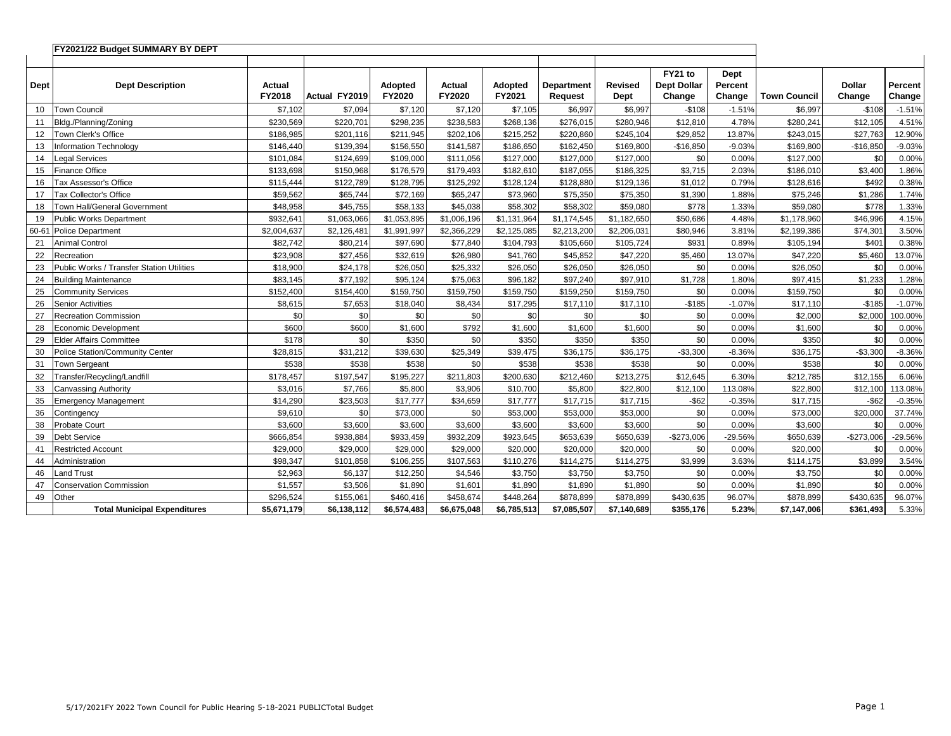|      | FY2021/22 Budget SUMMARY BY DEPT          |                  |                      |                   |                         |                   |                                     |                        |                                         |                           |                     |                         |                   |
|------|-------------------------------------------|------------------|----------------------|-------------------|-------------------------|-------------------|-------------------------------------|------------------------|-----------------------------------------|---------------------------|---------------------|-------------------------|-------------------|
|      |                                           |                  |                      |                   |                         |                   |                                     |                        |                                         |                           |                     |                         |                   |
| Dept | <b>Dept Description</b>                   | Actual<br>FY2018 | <b>Actual FY2019</b> | Adopted<br>FY2020 | <b>Actual</b><br>FY2020 | Adopted<br>FY2021 | <b>Department</b><br><b>Request</b> | <b>Revised</b><br>Dept | FY21 to<br><b>Dept Dollar</b><br>Change | Dept<br>Percent<br>Change | <b>Town Council</b> | <b>Dollar</b><br>Change | Percent<br>Change |
| 10   | <b>Town Council</b>                       | \$7,102          | \$7,094              | \$7,120           | \$7,120                 | \$7,105           | \$6,997                             | \$6,997                | $-$108$                                 | $-1.51%$                  | \$6,997             | $-$108$                 | $-1.51%$          |
| 11   | Bldg./Planning/Zoning                     | \$230.569        | \$220,701            | \$298.235         | \$238,583               | \$268,136         | \$276,015                           | \$280,946              | \$12,810                                | 4.78%                     | \$280,241           | \$12,105                | 4.51%             |
| 12   | Town Clerk's Office                       | \$186,985        | \$201,116            | \$211,945         | \$202,106               | \$215,252         | \$220,860                           | \$245,104              | \$29,852                                | 13.87%                    | \$243,015           | \$27,763                | 12.90%            |
| 13   | <b>Information Technology</b>             | \$146,440        | \$139,394            | \$156,550         | \$141,587               | \$186,650         | \$162,450                           | \$169,800              | $-$16,850$                              | $-9.03%$                  | \$169,800           | $-$16,850$              | $-9.03%$          |
| 14   | <b>Legal Services</b>                     | \$101.084        | \$124,699            | \$109,000         | \$111.056               | \$127,000         | \$127,000                           | \$127,000              | \$0                                     | 0.00%                     | \$127,000           | \$0                     | 0.00%             |
| 15   | <b>Finance Office</b>                     | \$133,698        | \$150,968            | \$176,579         | \$179,493               | \$182,610         | \$187,055                           | \$186,325              | \$3,715                                 | 2.03%                     | \$186,010           | \$3,400                 | 1.86%             |
| 16   | Tax Assessor's Office                     | \$115,444        | \$122,789            | \$128,795         | \$125,292               | \$128,124         | \$128,880                           | \$129,136              | \$1,012                                 | 0.79%                     | \$128,616           | \$492                   | 0.38%             |
| 17   | Tax Collector's Office                    | \$59.562         | \$65,744             | \$72,169          | \$65.247                | \$73,960          | \$75,350                            | \$75,350               | \$1,390                                 | 1.88%                     | \$75,246            | \$1,286                 | 1.74%             |
| 18   | Town Hall/General Government              | \$48,958         | \$45,755             | \$58,133          | \$45,038                | \$58,302          | \$58,302                            | \$59,080               | \$778                                   | 1.33%                     | \$59,080            | \$778                   | 1.33%             |
| 19   | Public Works Department                   | \$932,641        | \$1,063,066          | \$1,053,895       | \$1,006,196             | \$1,131,964       | \$1,174,545                         | \$1,182,650            | \$50,686                                | 4.48%                     | \$1,178,960         | \$46,996                | 4.15%             |
|      | 60-61 Police Department                   | \$2,004,637      | \$2,126,481          | \$1,991,997       | \$2,366,229             | \$2,125,085       | \$2,213,200                         | \$2,206,031            | \$80,946                                | 3.81%                     | \$2,199,386         | \$74,301                | 3.50%             |
| 21   | <b>Animal Control</b>                     | \$82,742         | \$80,214             | \$97,690          | \$77,840                | \$104,793         | \$105,660                           | \$105,724              | \$931                                   | 0.89%                     | \$105,194           | \$401                   | 0.38%             |
| 22   | Recreation                                | \$23,908         | \$27,456             | \$32.619          | \$26,980                | \$41,760          | \$45.852                            | \$47,220               | \$5,460                                 | 13.07%                    | \$47,220            | \$5,460                 | 13.07%            |
| 23   | Public Works / Transfer Station Utilities | \$18,900         | \$24,178             | \$26,050          | \$25,332                | \$26,050          | \$26,050                            | \$26,050               | \$0                                     | 0.00%                     | \$26,050            | \$0                     | 0.00%             |
| 24   | <b>Building Maintenance</b>               | \$83,145         | \$77,192             | \$95,124          | \$75,063                | \$96,182          | \$97,240                            | \$97,910               | \$1,728                                 | 1.80%                     | \$97,415            | \$1,233                 | 1.28%             |
| 25   | <b>Community Services</b>                 | \$152,400        | \$154,400            | \$159,750         | \$159,750               | \$159,750         | \$159,250                           | \$159,750              | \$0                                     | 0.00%                     | \$159,750           | \$0                     | 0.00%             |
| 26   | <b>Senior Activities</b>                  | \$8,615          | \$7,653              | \$18,040          | \$8,434                 | \$17,295          | \$17,110                            | \$17,110               | $-$185$                                 | $-1.07%$                  | \$17,110            | $-$185$                 | $-1.07%$          |
| 27   | <b>Recreation Commission</b>              | \$0              | \$0                  | \$0               | \$0                     | \$0               | \$0                                 | \$0                    | \$0                                     | 0.00%                     | \$2,000             | \$2,000                 | 100.00%           |
| 28   | <b>Economic Development</b>               | \$600            | \$600                | \$1,600           | \$792                   | \$1,600           | \$1,600                             | \$1,600                | \$0                                     | 0.00%                     | \$1,600             | \$0                     | 0.00%             |
| 29   | <b>Elder Affairs Committee</b>            | \$178            | \$0                  | \$350             | \$0                     | \$350             | \$350                               | \$350                  | \$0                                     | 0.00%                     | \$350               | \$0                     | 0.00%             |
| 30   | <b>Police Station/Community Center</b>    | \$28,815         | \$31,212             | \$39,630          | \$25,349                | \$39,475          | \$36,175                            | \$36,175               | $-$3,300$                               | $-8.36%$                  | \$36,175            | $-$3,300$               | $-8.36%$          |
| 31   | <b>Town Sergeant</b>                      | \$538            | \$538                | \$538             | \$0                     | \$538             | \$538                               | \$538                  | \$0                                     | 0.00%                     | \$538               | \$0                     | 0.00%             |
| 32   | Transfer/Recycling/Landfill               | \$178,457        | \$197,547            | \$195,227         | \$211,803               | \$200,630         | \$212,460                           | \$213,275              | \$12,645                                | 6.30%                     | \$212,785           | \$12,155                | 6.06%             |
| 33   | <b>Canvassing Authority</b>               | \$3.016          | \$7,766              | \$5,800           | \$3,906                 | \$10,700          | \$5,800                             | \$22,800               | \$12,100                                | 113.08%                   | \$22,800            | \$12,100                | 113.08%           |
| 35   | <b>Emergency Management</b>               | \$14,290         | \$23,503             | \$17,777          | \$34,659                | \$17,777          | \$17,715                            | \$17,715               | $-$ \$62                                | $-0.35%$                  | \$17,715            | $-$ \$62                | $-0.35%$          |
| 36   | Contingency                               | \$9,610          | \$0                  | \$73,000          | \$0                     | \$53,000          | \$53,000                            | \$53,000               | \$0                                     | 0.00%                     | \$73,000            | \$20,000                | 37.74%            |
| 38   | <b>Probate Court</b>                      | \$3,600          | \$3,600              | \$3,600           | \$3,600                 | \$3,600           | \$3,600                             | \$3,600                | \$0                                     | 0.00%                     | \$3,600             | \$0                     | 0.00%             |
| 39   | <b>Debt Service</b>                       | \$666,854        | \$938,884            | \$933,459         | \$932,209               | \$923,645         | \$653,639                           | \$650,639              | $-$273,006$                             | -29.56%                   | \$650,639           | $-$273,006$             | $-29.56%$         |
| 41   | <b>Restricted Account</b>                 | \$29,000         | \$29,000             | \$29,000          | \$29,000                | \$20,000          | \$20,000                            | \$20,000               | \$0                                     | 0.00%                     | \$20,000            | \$0                     | 0.00%             |
| 44   | Administration                            | \$98.347         | \$101,858            | \$106,255         | \$107,563               | \$110,276         | \$114,275                           | \$114,275              | \$3,999                                 | 3.63%                     | \$114,175           | \$3,899                 | 3.54%             |
| 46   | Land Trust                                | \$2,963          | \$6,137              | \$12,250          | \$4,546                 | \$3,750           | \$3,750                             | \$3,750                | \$0                                     | 0.00%                     | \$3,750             | \$0                     | 0.00%             |
| 47   | <b>Conservation Commission</b>            | \$1,557          | \$3,506              | \$1,890           | \$1,601                 | \$1,890           | \$1,890                             | \$1,890                | \$0                                     | 0.00%                     | \$1,890             | \$0                     | 0.00%             |
| 49   | Other                                     | \$296,524        | \$155,061            | \$460,416         | \$458,674               | \$448,264         | \$878,899                           | \$878,899              | \$430,635                               | 96.07%                    | \$878,899           | \$430,635               | 96.07%            |
|      | <b>Total Municipal Expenditures</b>       | \$5,671,179      | \$6,138,112          | \$6,574,483       | \$6,675,048             | \$6,785,513       | \$7,085,507                         | \$7,140,689            | \$355,176                               | 5.23%                     | \$7,147,006         | \$361,493               | 5.33%             |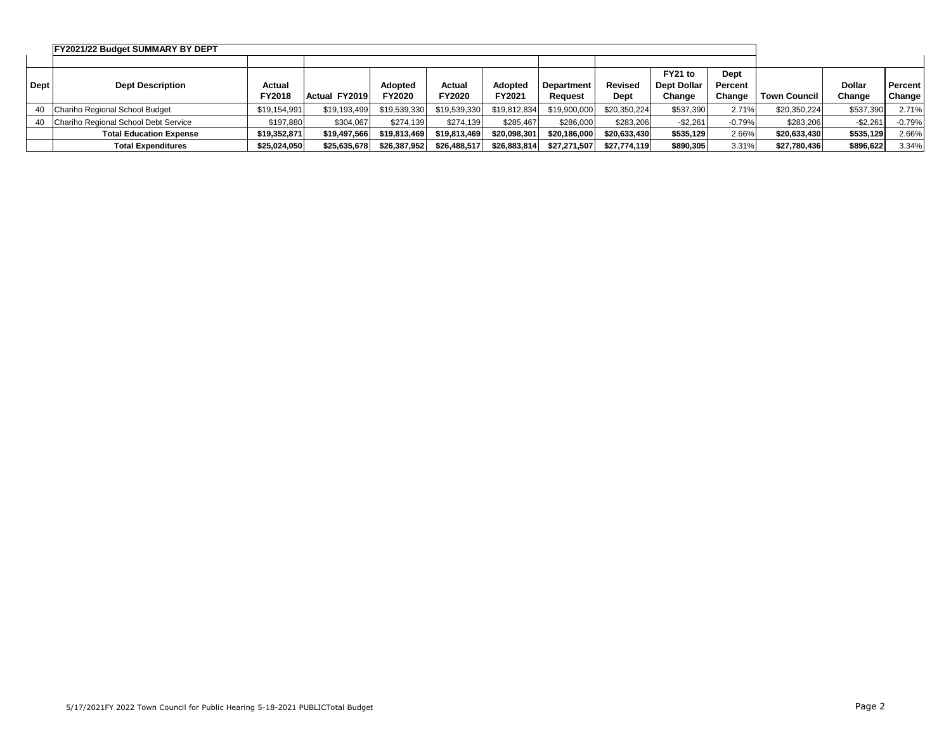|             | <b>FY2021/22 Budget SUMMARY BY DEPT</b> |               |               |                |              |                |                   |                |                    |          |                |               |                |
|-------------|-----------------------------------------|---------------|---------------|----------------|--------------|----------------|-------------------|----------------|--------------------|----------|----------------|---------------|----------------|
|             |                                         |               |               |                |              |                |                   |                |                    |          |                |               |                |
|             |                                         |               |               |                |              |                |                   |                | FY21 to            | Dept     |                |               |                |
| <b>Dept</b> | <b>Dept Description</b>                 | Actual        |               | <b>Adopted</b> | Actual       | <b>Adopted</b> | <b>Department</b> | <b>Revised</b> | <b>Dept Dollar</b> | Percent  |                | <b>Dollar</b> | <b>Percent</b> |
|             |                                         | <b>FY2018</b> | Actual FY2019 | <b>FY2020</b>  | FY2020       | FY2021         | Reauest           | Dept           | Change             | Change   | l Town Council | Change        | Change         |
|             | 40 Chariho Regional School Budget       | \$19,154,991  | \$19,193,499  | \$19,539,330   | \$19,539,330 | \$19,812,834   | \$19,900,000      | \$20,350,224   | \$537,390          | 2.71%    | \$20,350,224   | \$537,390     | 2.71%          |
|             | 40 Chariho Regional School Debt Service | \$197.880     | \$304,067     | \$274.139      | \$274.139    | \$285.467      | \$286,000         | \$283,206      | $-$2,261$          | $-0.79%$ | \$283,206      | $-$2,261$     | $-0.79%$       |
|             | <b>Total Education Expense</b>          | \$19,352,871  | \$19,497,566  | \$19,813,469   | \$19,813,469 | \$20,098,301   | \$20.186.000      | \$20.633.430   | \$535.129          | 2.66%    | \$20,633,430   | \$535,129     | 2.66%          |
|             | <b>Total Expenditures</b>               | \$25,024,050  | \$25,635,678  | \$26,387,952   | \$26,488,517 | \$26,883,814   | \$27,271,507      | \$27,774,119   | \$890,305          | 3.31%    | \$27,780,436   | \$896,622     | 3.34%          |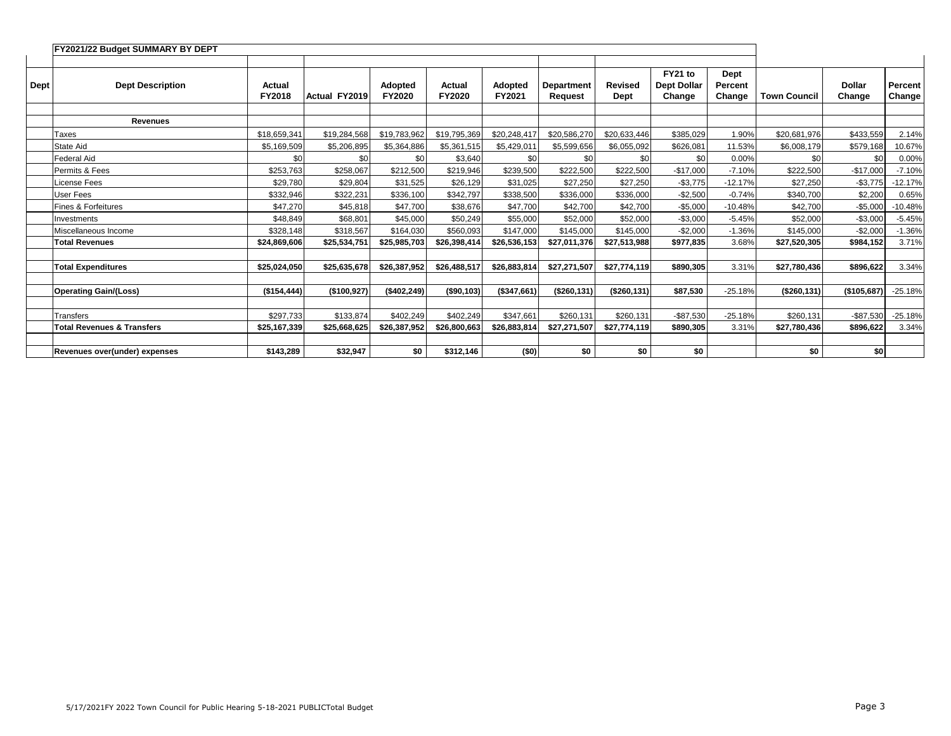|             | FY2021/22 Budget SUMMARY BY DEPT      |                  |               |                                 |                  |                   |                       |                        |                                         |                           |                     |                         |                          |
|-------------|---------------------------------------|------------------|---------------|---------------------------------|------------------|-------------------|-----------------------|------------------------|-----------------------------------------|---------------------------|---------------------|-------------------------|--------------------------|
|             |                                       |                  |               |                                 |                  |                   |                       |                        |                                         |                           |                     |                         |                          |
| <b>Dept</b> | <b>Dept Description</b>               | Actual<br>FY2018 | Actual FY2019 | <b>Adopted</b><br><b>FY2020</b> | Actual<br>FY2020 | Adopted<br>FY2021 | Department<br>Request | <b>Revised</b><br>Dept | FY21 to<br><b>Dept Dollar</b><br>Change | Dept<br>Percent<br>Change | <b>Town Council</b> | <b>Dollar</b><br>Change | <b>Percent</b><br>Change |
|             |                                       |                  |               |                                 |                  |                   |                       |                        |                                         |                           |                     |                         |                          |
|             | <b>Revenues</b>                       |                  |               |                                 |                  |                   |                       |                        |                                         |                           |                     |                         |                          |
|             | Taxes                                 | \$18,659,341     | \$19,284,568  | \$19,783,962                    | \$19,795,369     | \$20,248,417      | \$20,586,270          | \$20,633,446           | \$385,029                               | 1.90%                     | \$20,681,976        | \$433,559               | 2.14%                    |
|             | <b>State Aid</b>                      | \$5,169,509      | \$5,206,895   | \$5,364,886                     | \$5,361,515      | \$5,429,011       | \$5,599,656           | \$6,055,092            | \$626,081                               | 11.53%                    | \$6,008,179         | \$579,168               | 10.67%                   |
|             | <b>Federal Aid</b>                    | \$0              | \$0           | \$0                             | \$3,640          | \$0               | \$0                   | \$0                    | \$0                                     | 0.00%                     | \$0                 | \$0                     | 0.00%                    |
|             | Permits & Fees                        | \$253,763        | \$258,067     | \$212,500                       | \$219,946        | \$239,500         | \$222,500             | \$222,500              | $-$17,000$                              | $-7.10%$                  | \$222,500           | $-$17,000$              | $-7.10%$                 |
|             | License Fees                          | \$29,780         | \$29,804      | \$31,525                        | \$26,129         | \$31,025          | \$27,250              | \$27,250               | $-$3,775$                               | $-12.17%$                 | \$27,250            | $-$3,775$               | $-12.17%$                |
|             | User Fees                             | \$332.946        | \$322,231     | \$336.100                       | \$342,797        | \$338,500         | \$336,000             | \$336,000              | $-$2,500$                               | $-0.74%$                  | \$340.700           | \$2,200                 | 0.65%                    |
|             | <b>Fines &amp; Forfeitures</b>        | \$47.270         | \$45,818      | \$47.700                        | \$38,676         | \$47,700          | \$42,700              | \$42,700               | $-$5,000$                               | $-10.48%$                 | \$42.700            | $-$5,000$               | $-10.48%$                |
|             | Investments                           | \$48.849         | \$68.801      | \$45.000                        | \$50.249         | \$55,000          | \$52.000              | \$52,000               | $-$3.000$                               | $-5.45%$                  | \$52,000            | $-$3.000$               | $-5.45%$                 |
|             | Miscellaneous Income                  | \$328.148        | \$318.567     | \$164.030                       | \$560.093        | \$147.000         | \$145.000             | \$145,000              | $-$2,000$                               | $-1.36%$                  | \$145,000           | $-$2,000$               | $-1.36%$                 |
|             | <b>Total Revenues</b>                 | \$24,869,606     | \$25,534,751  | \$25,985,703                    | \$26,398,414     | \$26,536,153      | \$27,011,376          | \$27,513,988           | \$977,835                               | 3.68%                     | \$27,520,305        | \$984,152               | 3.71%                    |
|             |                                       |                  |               |                                 |                  |                   |                       |                        |                                         |                           |                     |                         |                          |
|             | <b>Total Expenditures</b>             | \$25,024,050     | \$25,635,678  | \$26,387,952                    | \$26,488,517     | \$26,883,814      | \$27,271,507          | \$27,774,119           | \$890,305                               | 3.31%                     | \$27,780,436        | \$896,622               | 3.34%                    |
|             |                                       |                  |               |                                 |                  |                   |                       |                        |                                         |                           |                     |                         |                          |
|             | <b>Operating Gain/(Loss)</b>          | (\$154,444)      | (\$100,927)   | (\$402, 249)                    | ( \$90, 103)     | (\$347,661)       | (\$260, 131)          | ( \$260, 131)          | \$87,530                                | $-25.18%$                 | (\$260, 131)        | (\$105,687)             | $-25.18%$                |
|             |                                       |                  |               |                                 |                  |                   |                       |                        |                                         |                           |                     |                         |                          |
|             | Transfers                             | \$297.733        | \$133.874     | \$402,249                       | \$402.249        | \$347.661         | \$260,131             | \$260.131              | $-$87.530$                              | $-25.18%$                 | \$260.131           | $-$87,530$              | $-25.18%$                |
|             | <b>Total Revenues &amp; Transfers</b> | \$25,167,339     | \$25,668,625  | \$26,387,952                    | \$26,800,663     | \$26,883,814      | \$27,271,507          | \$27,774,119           | \$890,305                               | 3.31%                     | \$27,780,436        | \$896,622               | 3.34%                    |
|             |                                       |                  |               |                                 |                  |                   |                       |                        |                                         |                           |                     |                         |                          |
|             | Revenues over(under) expenses         | \$143,289        | \$32,947      | \$0                             | \$312,146        | (50)              | \$0                   | \$0                    | \$0                                     |                           | \$0                 | \$0                     |                          |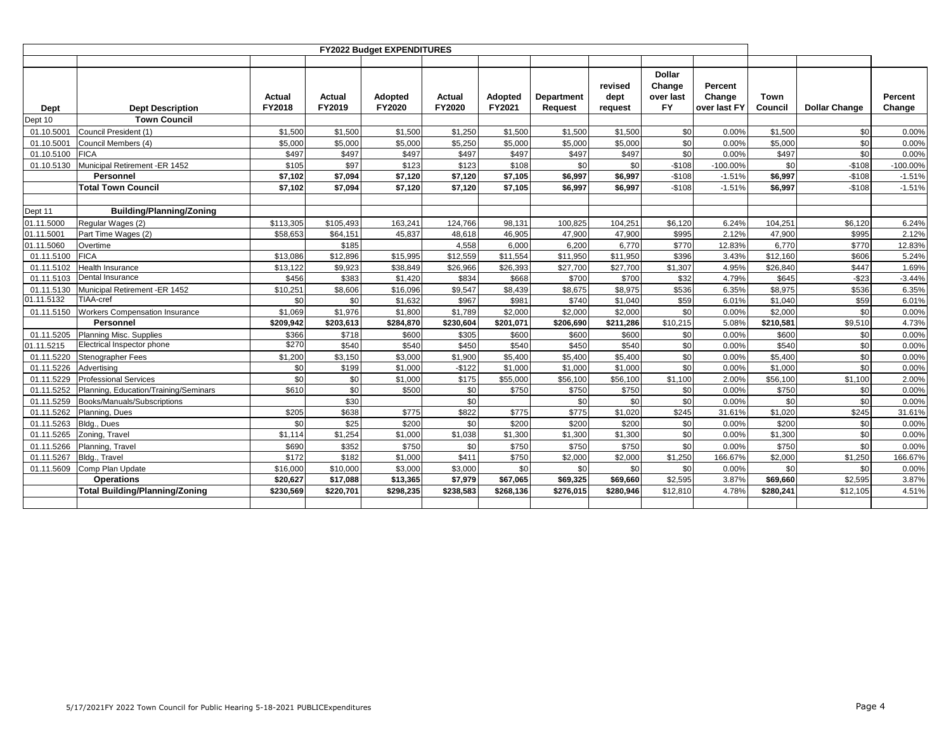|            |                                       |                  |                         | <b>FY2022 Budget EXPENDITURES</b> |                         |                   |                       |                            |                                                   |                                   |                 |                      |                   |
|------------|---------------------------------------|------------------|-------------------------|-----------------------------------|-------------------------|-------------------|-----------------------|----------------------------|---------------------------------------------------|-----------------------------------|-----------------|----------------------|-------------------|
| Dept       | <b>Dept Description</b>               | Actual<br>FY2018 | <b>Actual</b><br>FY2019 | Adopted<br>FY2020                 | Actual<br><b>FY2020</b> | Adopted<br>FY2021 | Department<br>Request | revised<br>dept<br>request | <b>Dollar</b><br>Change<br>over last<br><b>FY</b> | Percent<br>Change<br>over last FY | Town<br>Council | <b>Dollar Change</b> | Percent<br>Change |
| Dept 10    | <b>Town Council</b>                   |                  |                         |                                   |                         |                   |                       |                            |                                                   |                                   |                 |                      |                   |
| 01.10.5001 | Council President (1)                 | \$1.500          | \$1,500                 | \$1,500                           | \$1,250                 | \$1,500           | \$1.500               | \$1,500                    | \$0                                               | 0.00%                             | \$1,500         | \$0                  | 0.00%             |
| 01.10.5001 | Council Members (4)                   | \$5,000          | \$5,000                 | \$5,000                           | \$5,250                 | \$5,000           | \$5,000               | \$5,000                    | \$0                                               | 0.00%                             | \$5,000         | \$0                  | 0.00%             |
| 01.10.5100 | <b>FICA</b>                           | \$497            | \$497                   | \$497                             | \$497                   | \$497             | \$497                 | \$497                      | \$0                                               | 0.00%                             | \$497           | \$0                  | 0.00%             |
| 01.10.5130 | Municipal Retirement -ER 1452         | \$105            | \$97                    | \$123                             | \$123                   | \$108             | \$0                   | \$0                        | $-$108$                                           | $-100.00%$                        | \$0             | $-$108$              | $-100.00\%$       |
|            | <b>Personnel</b>                      | \$7,102          | \$7,094                 | \$7,120                           | \$7,120                 | \$7,105           | \$6,997               | \$6,997                    | $-$108$                                           | $-1.51%$                          | \$6,997         | $-$108$              | $-1.51%$          |
|            | <b>Total Town Council</b>             | \$7,102          | \$7,094                 | \$7,120                           | \$7,120                 | \$7,105           | \$6,997               | \$6,997                    | $-$108$                                           | $-1.51%$                          | \$6,997         | $-$108$              | $-1.51%$          |
|            |                                       |                  |                         |                                   |                         |                   |                       |                            |                                                   |                                   |                 |                      |                   |
| Dept 11    | <b>Building/Planning/Zoning</b>       |                  |                         |                                   |                         |                   |                       |                            |                                                   |                                   |                 |                      |                   |
| 01.11.5000 | Regular Wages (2)                     | \$113,305        | \$105,493               | 163,241                           | 124,766                 | 98,131            | 100,825               | 104,251                    | \$6,120                                           | 6.24%                             | 104,251         | \$6,120              | 6.24%             |
| 01.11.5001 | Part Time Wages (2)                   | \$58,653         | \$64,151                | 45.837                            | 48,618                  | 46,905            | 47.900                | 47,900                     | \$995                                             | 2.12%                             | 47,900          | \$995                | 2.12%             |
| 01.11.5060 | Overtime                              |                  | \$185                   |                                   | 4,558                   | 6.000             | 6.200                 | 6.770                      | \$770                                             | 12.83%                            | 6.770           | \$770                | 12.83%            |
| 01.11.5100 | <b>FICA</b>                           | \$13,086         | \$12,896                | \$15,995                          | \$12,559                | \$11,554          | \$11,950              | \$11,950                   | \$396                                             | 3.43%                             | \$12,160        | \$606                | 5.24%             |
| 01.11.5102 | <b>Health Insurance</b>               | \$13,122         | \$9,923                 | \$38,849                          | \$26,966                | \$26,393          | \$27,700              | \$27,700                   | \$1,307                                           | 4.95%                             | \$26,840        | \$447                | 1.69%             |
| 01.11.5103 | Dental Insurance                      | \$456            | \$383                   | \$1,420                           | \$834                   | \$668             | \$700                 | \$700                      | \$32                                              | 4.79%                             | \$645           | $-$23$               | $-3.44%$          |
| 01.11.5130 | Municipal Retirement -ER 1452         | \$10,251         | \$8,606                 | \$16,096                          | \$9,547                 | \$8,439           | \$8,675               | \$8,975                    | \$536                                             | 6.35%                             | \$8,975         | \$536                | 6.35%             |
| 01.11.5132 | TIAA-cref                             | \$0              | \$0                     | \$1,632                           | \$967                   | \$981             | \$740                 | \$1,040                    | \$59                                              | 6.01%                             | \$1,040         | \$59                 | 6.01%             |
| 01.11.5150 | <b>Workers Compensation Insurance</b> | \$1,069          | \$1,976                 | \$1,800                           | \$1,789                 | \$2.000           | \$2,000               | \$2,000                    | \$0                                               | 0.00%                             | \$2,000         | \$0                  | 0.00%             |
|            | Personnel                             | \$209,942        | \$203,613               | \$284,870                         | \$230,604               | \$201,071         | \$206,690             | \$211,286                  | \$10,215                                          | 5.08%                             | \$210,581       | \$9,510              | 4.73%             |
| 01.11.5205 | <b>Planning Misc. Supplies</b>        | \$366            | \$718                   | \$600                             | \$305                   | \$600             | \$600                 | \$600                      | \$0                                               | 0.00%                             | \$600           | \$0                  | 0.00%             |
| 01.11.5215 | Electrical Inspector phone            | \$270            | \$540                   | \$540                             | \$450                   | \$540             | \$450                 | \$540                      | \$0                                               | 0.00%                             | \$540           | \$0                  | 0.00%             |
| 01.11.5220 | Stenographer Fees                     | \$1,200          | \$3,150                 | \$3,000                           | \$1,900                 | \$5,400           | \$5,400               | \$5,400                    | \$0                                               | 0.00%                             | \$5,400         | \$0                  | 0.00%             |
| 01.11.5226 | Advertising                           | \$0              | \$199                   | \$1.000                           | $-$122$                 | \$1,000           | \$1,000               | \$1,000                    | \$0                                               | 0.00%                             | \$1,000         | \$0                  | 0.00%             |
| 01.11.5229 | <b>Professional Services</b>          | \$0              | \$0                     | \$1,000                           | \$175                   | \$55,000          | \$56,100              | \$56,100                   | \$1,100                                           | 2.00%                             | \$56,100        | \$1,100              | 2.00%             |
| 01.11.5252 | Planning, Education/Training/Seminars | \$610            | \$0                     | \$500                             | \$0                     | \$750             | \$750                 | \$750                      | \$0                                               | 0.00%                             | \$750           | \$0                  | 0.00%             |
| 01.11.5259 | Books/Manuals/Subscriptions           |                  | \$30                    |                                   | \$0                     |                   | \$0                   | \$0                        | \$0                                               | 0.00%                             | \$0             | \$0                  | 0.00%             |
| 01.11.5262 | Planning, Dues                        | \$205            | \$638                   | \$775                             | \$822                   | \$775             | \$775                 | \$1,020                    | \$245                                             | 31.61%                            | \$1,020         | \$245                | 31.61%            |
| 01.11.5263 | Bldg., Dues                           | \$0              | \$25                    | \$200                             | \$0                     | \$200             | \$200                 | \$200                      | \$0                                               | 0.00%                             | \$200           | \$0                  | 0.00%             |
| 01.11.5265 | Zoning, Travel                        | \$1,114          | \$1,254                 | \$1,000                           | \$1,038                 | \$1,300           | \$1,300               | \$1,300                    | \$0                                               | 0.00%                             | \$1,300         | \$0                  | 0.00%             |
| 01.11.5266 | Planning, Travel                      | \$690            | \$352                   | \$750                             | \$0                     | \$750             | \$750                 | \$750                      | \$0                                               | 0.00%                             | \$750           | \$0                  | 0.00%             |
| 01.11.5267 | Bldg., Travel                         | \$172            | \$182                   | \$1,000                           | \$411                   | \$750             | \$2,000               | \$2,000                    | \$1,250                                           | 166.67%                           | \$2,000         | \$1,250              | 166.67%           |
| 01.11.5609 | Comp Plan Update                      | \$16,000         | \$10,000                | \$3,000                           | \$3,000                 | \$0               | \$0                   | \$0                        | \$0                                               | 0.00%                             | \$0             | \$0                  | 0.00%             |
|            | <b>Operations</b>                     | \$20,627         | \$17,088                | \$13,365                          | \$7,979                 | \$67.065          | \$69,325              | \$69,660                   | \$2,595                                           | 3.87%                             | \$69,660        | \$2,595              | 3.87%             |
|            | <b>Total Building/Planning/Zoning</b> | \$230,569        | \$220,701               | \$298,235                         | \$238,583               | \$268,136         | \$276,015             | \$280,946                  | \$12,810                                          | 4.78%                             | \$280,241       | \$12,105             | 4.51%             |
|            |                                       |                  |                         |                                   |                         |                   |                       |                            |                                                   |                                   |                 |                      |                   |
|            |                                       |                  |                         |                                   |                         |                   |                       |                            |                                                   |                                   |                 |                      |                   |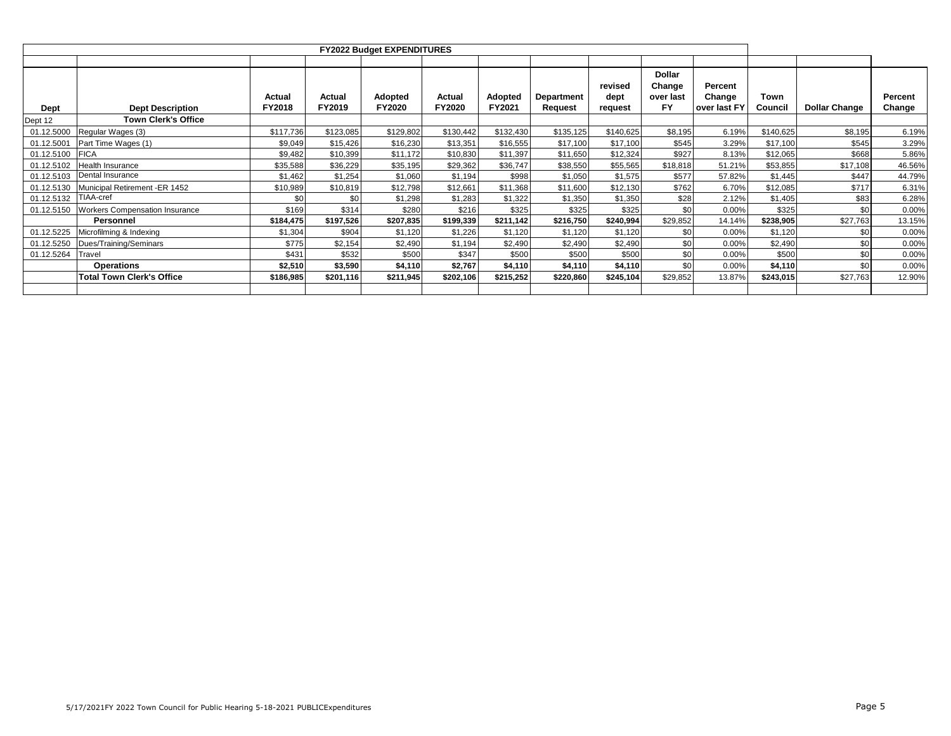|            |                                       |                         |                  | <b>FY2022 Budget EXPENDITURES</b> |                         |                   |                              |                            |                                                   |                                   |                 |                      |                   |
|------------|---------------------------------------|-------------------------|------------------|-----------------------------------|-------------------------|-------------------|------------------------------|----------------------------|---------------------------------------------------|-----------------------------------|-----------------|----------------------|-------------------|
| Dept       | <b>Dept Description</b>               | Actual<br><b>FY2018</b> | Actual<br>FY2019 | Adopted<br><b>FY2020</b>          | Actual<br><b>FY2020</b> | Adopted<br>FY2021 | <b>Department</b><br>Request | revised<br>dept<br>request | <b>Dollar</b><br>Change<br>over last<br><b>FY</b> | Percent<br>Change<br>over last FY | Town<br>Council | <b>Dollar Change</b> | Percent<br>Change |
| Dept 12    | <b>Town Clerk's Office</b>            |                         |                  |                                   |                         |                   |                              |                            |                                                   |                                   |                 |                      |                   |
| 01.12.5000 | Regular Wages (3)                     | \$117,736               | \$123,085        | \$129,802                         | \$130,442               | \$132,430         | \$135,125                    | \$140,625                  | \$8,195                                           | 6.19%                             | \$140,625       | \$8,195              | 6.19%             |
| 01.12.5001 | Part Time Wages (1)                   | \$9,049                 | \$15,426         | \$16,230                          | \$13,351                | \$16,555          | \$17,100                     | \$17,100                   | \$545                                             | 3.29%                             | \$17,100        | \$545                | 3.29%             |
| 01.12.5100 | <b>FICA</b>                           | \$9,482                 | \$10,399         | \$11,172                          | \$10,830                | \$11,397          | \$11,650                     | \$12,324                   | \$927                                             | 8.13%                             | \$12,065        | \$668                | 5.86%             |
| 01.12.5102 | Health Insurance                      | \$35,588                | \$36,229         | \$35,195                          | \$29,362                | \$36,747          | \$38,550                     | \$55,565                   | \$18,818                                          | 51.21%                            | \$53,855        | \$17,108             | 46.56%            |
| 01.12.5103 | Dental Insurance                      | \$1,462                 | \$1,254          | \$1,060                           | \$1,194                 | \$998             | \$1,050                      | \$1,575                    | \$577                                             | 57.82%                            | \$1,445         | \$447                | 44.79%            |
| 01.12.5130 | Municipal Retirement -ER 1452         | \$10,989                | \$10,819         | \$12,798                          | \$12,661                | \$11,368          | \$11,600                     | \$12,130                   | \$762                                             | 6.70%                             | \$12,085        | \$717                | 6.31%             |
| 01.12.5132 | TIAA-cref                             | \$0                     | \$0              | \$1,298                           | \$1,283                 | \$1,322           | \$1,350                      | \$1,350                    | \$28                                              | 2.12%                             | \$1,405         | \$83                 | 6.28%             |
| 01.12.5150 | <b>Workers Compensation Insurance</b> | \$169                   | \$314            | \$280                             | \$216                   | \$325             | \$325                        | \$325                      | \$0                                               | 0.00%                             | \$325           | \$0                  | 0.00%             |
|            | Personnel                             | \$184,475               | \$197,526        | \$207,835                         | \$199,339               | \$211,142         | \$216,750                    | \$240,994                  | \$29,852                                          | 14.14%                            | \$238,905       | \$27,763             | 13.15%            |
| 01.12.5225 | Microfilming & Indexing               | \$1,304                 | \$904            | \$1,120                           | \$1,226                 | \$1,120           | \$1,120                      | \$1,120                    | \$0                                               | 0.00%                             | \$1,120         | \$0                  | 0.00%             |
| 01.12.5250 | Dues/Training/Seminars                | \$775                   | \$2,154          | \$2,490                           | \$1,194                 | \$2,490           | \$2,490                      | \$2,490                    | \$0                                               | 0.00%                             | \$2,490         | \$0                  | 0.00%             |
| 01.12.5264 | Travel                                | \$431                   | \$532            | \$500                             | \$347                   | \$500             | \$500                        | \$500                      | \$0                                               | 0.00%                             | \$500           | \$0                  | 0.00%             |
|            | <b>Operations</b>                     | \$2,510                 | \$3,590          | \$4,110                           | \$2,767                 | \$4,110           | \$4,110                      | \$4,110                    | \$0                                               | 0.00%                             | \$4,110         | \$0                  | 0.00%             |
|            | Total Town Clerk's Office             | \$186,985               | \$201,116        | \$211,945                         | \$202,106               | \$215,252         | \$220,860                    | \$245,104                  | \$29,852                                          | 13.87%                            | \$243,015       | \$27,763             | 12.90%            |
|            |                                       |                         |                  |                                   |                         |                   |                              |                            |                                                   |                                   |                 |                      |                   |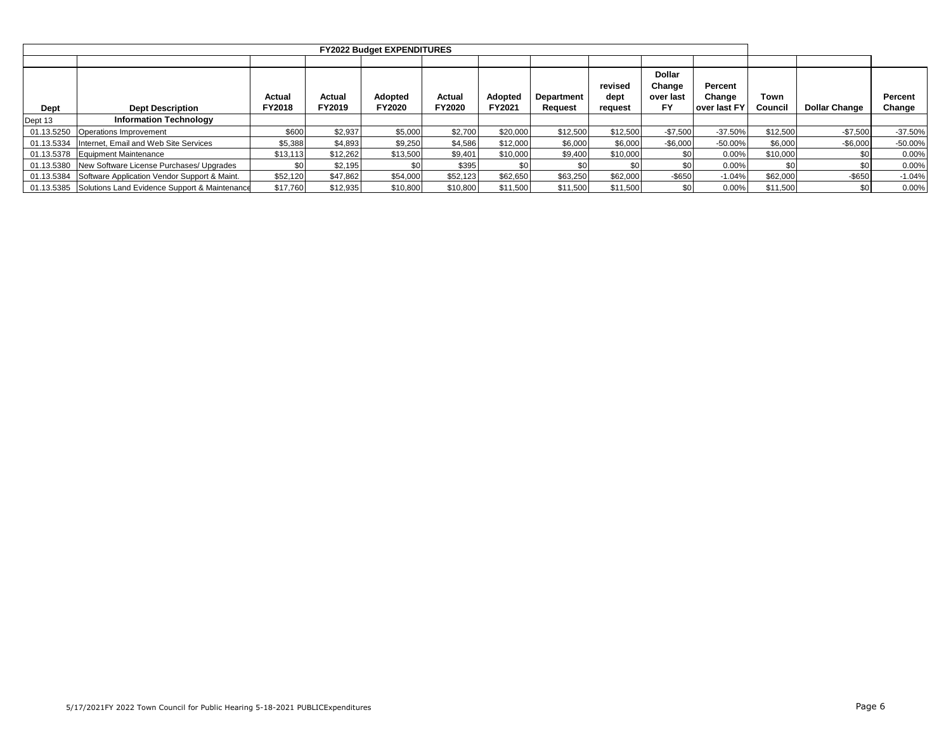|            |                                                          |                  |                  | <b>FY2022 Budget EXPENDITURES</b> |                  |                   |                              |                            |                                            |                                   |                 |                      |                   |
|------------|----------------------------------------------------------|------------------|------------------|-----------------------------------|------------------|-------------------|------------------------------|----------------------------|--------------------------------------------|-----------------------------------|-----------------|----------------------|-------------------|
|            |                                                          |                  |                  |                                   |                  |                   |                              |                            |                                            |                                   |                 |                      |                   |
| Dept       | <b>Dept Description</b>                                  | Actual<br>FY2018 | Actual<br>FY2019 | Adopted<br><b>FY2020</b>          | Actual<br>FY2020 | Adopted<br>FY2021 | <b>Department</b><br>Request | revised<br>dept<br>request | <b>Dollar</b><br>Change<br>over last<br>FY | Percent<br>Change<br>over last FY | Town<br>Council | <b>Dollar Change</b> | Percent<br>Change |
| Dept 13    | <b>Information Technology</b>                            |                  |                  |                                   |                  |                   |                              |                            |                                            |                                   |                 |                      |                   |
| 01.13.5250 | Operations Improvement                                   | \$600            | \$2,937          | \$5,000                           | \$2,700          | \$20,000          | \$12,500                     | \$12,500                   | $-$7,500$                                  | $-37.50%$                         | \$12,500        | $-$7,500$            | $-37.50%$         |
| 01.13.5334 | Internet, Email and Web Site Services                    | \$5,388          | \$4,893          | \$9,250                           | \$4,586          | \$12,000          | \$6,000                      | \$6,000                    | $-$6,000$                                  | $-50.00%$                         | \$6,000         | $-$6,000$            | $-50.00%$         |
|            | 01.13.5378 Equipment Maintenance                         | \$13,113         | \$12,262         | \$13,500                          | \$9,401          | \$10,000          | \$9,400                      | \$10,000                   |                                            | 0.00%                             | \$10,000        | \$0 <sub>1</sub>     | 0.00%             |
|            | 01.13.5380 New Software License Purchases/ Upgrades      | \$0              | \$2,195          | \$0                               | \$395            | \$0               | \$0                          | \$0                        |                                            | 0.00%                             | \$0             | \$0                  | 0.00%             |
|            | 01.13.5384 Software Application Vendor Support & Maint.  | \$52,120         | \$47,862         | \$54,000                          | \$52,123         | \$62,650          | \$63.250                     | \$62,000                   | $-$650$                                    | $-1.04%$                          | \$62,000        | $-$ \$650            | $-1.04%$          |
|            | 01.13.5385 Solutions Land Evidence Support & Maintenance | \$17,760         | \$12,935         | \$10,800                          | \$10,800         | \$11,500          | \$11,500                     | \$11,500                   |                                            | 0.00%                             | \$11,500        | \$0 <sub>1</sub>     | 0.00%             |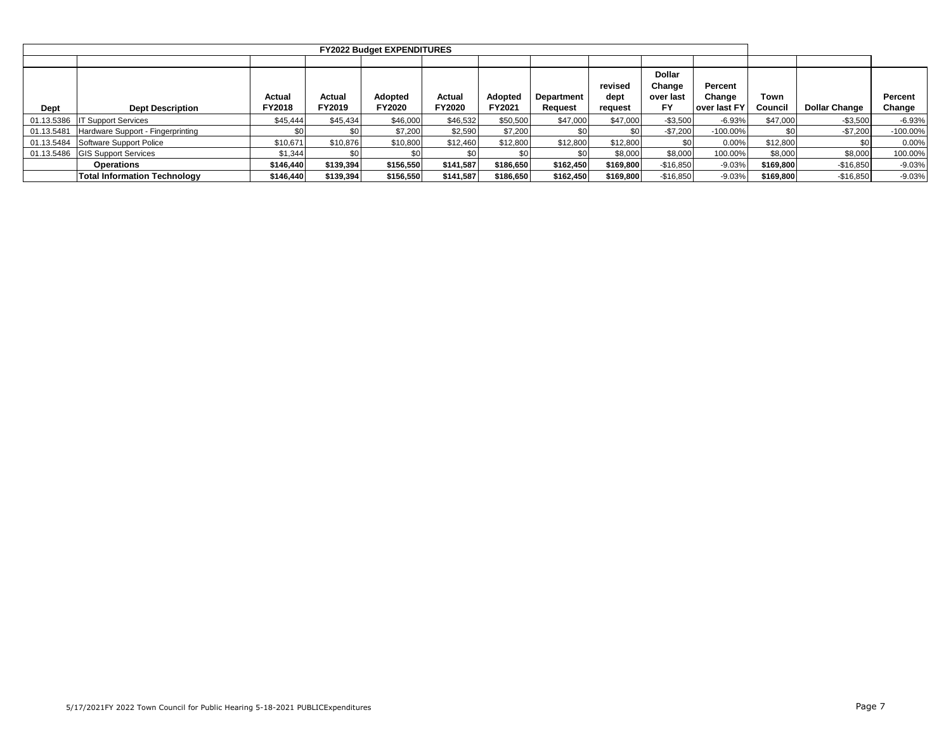|            |                                     |                  |                  | <b>FY2022 Budget EXPENDITURES</b> |                  |                   |                              |                            |                                                   |                                   |                 |                      |                   |
|------------|-------------------------------------|------------------|------------------|-----------------------------------|------------------|-------------------|------------------------------|----------------------------|---------------------------------------------------|-----------------------------------|-----------------|----------------------|-------------------|
|            |                                     |                  |                  |                                   |                  |                   |                              |                            |                                                   |                                   |                 |                      |                   |
| Dept       | <b>Dept Description</b>             | Actual<br>FY2018 | Actual<br>FY2019 | Adopted<br><b>FY2020</b>          | Actual<br>FY2020 | Adopted<br>FY2021 | <b>Department</b><br>Reauest | revised<br>dept<br>request | <b>Dollar</b><br>Change<br>over last<br><b>FY</b> | Percent<br>Change<br>over last FY | Town<br>Council | <b>Dollar Change</b> | Percent<br>Change |
|            |                                     |                  |                  |                                   |                  |                   |                              |                            |                                                   |                                   |                 |                      |                   |
| 01.13.5386 | <b>IT Support Services</b>          | \$45,444         | \$45,434         | \$46,000                          | \$46,532         | \$50,500          | \$47,000                     | \$47,000                   | $-$3,500$                                         | $-6.93%$                          | \$47,000        | $-$ \$3,500          | $-6.93%$          |
| 01.13.5481 | Hardware Support - Fingerprinting   | \$0              |                  | \$7,200                           | \$2,590          | \$7,200           | \$0                          | \$0                        | $-$7,200$                                         | $-100.00\%$                       | \$0             | $-$7,200$            | $-100.00\%$       |
| 01.13.5484 | Software Support Police             | \$10,671         | \$10,876         | \$10,800                          | \$12,460         | \$12,800          | \$12,800                     | \$12,800                   |                                                   | 0.00%                             | \$12,800        | \$0 <sub>1</sub>     | 0.00%             |
|            | 01.13.5486 GIS Support Services     | \$1,344          |                  |                                   | \$0              |                   | \$0                          | \$8,000                    | \$8,000                                           | 100.00%                           | \$8,000         | \$8,000              | 100.00%           |
|            | Operations                          | \$146.440        | \$139,394        | \$156,550                         | \$141,587        | \$186,650         | \$162,450                    | \$169.800                  | $-$16,850$                                        | $-9.03%$                          | \$169,800       | $-$16,850$           | $-9.03%$          |
|            | <b>Total Information Technology</b> | \$146,440        | \$139,394        | \$156,550                         | \$141,587        | \$186,650         | \$162.450                    | \$169,800                  | $-$16,850$                                        | $-9.03%$                          | \$169,800       | $-$16,850$           | $-9.03%$          |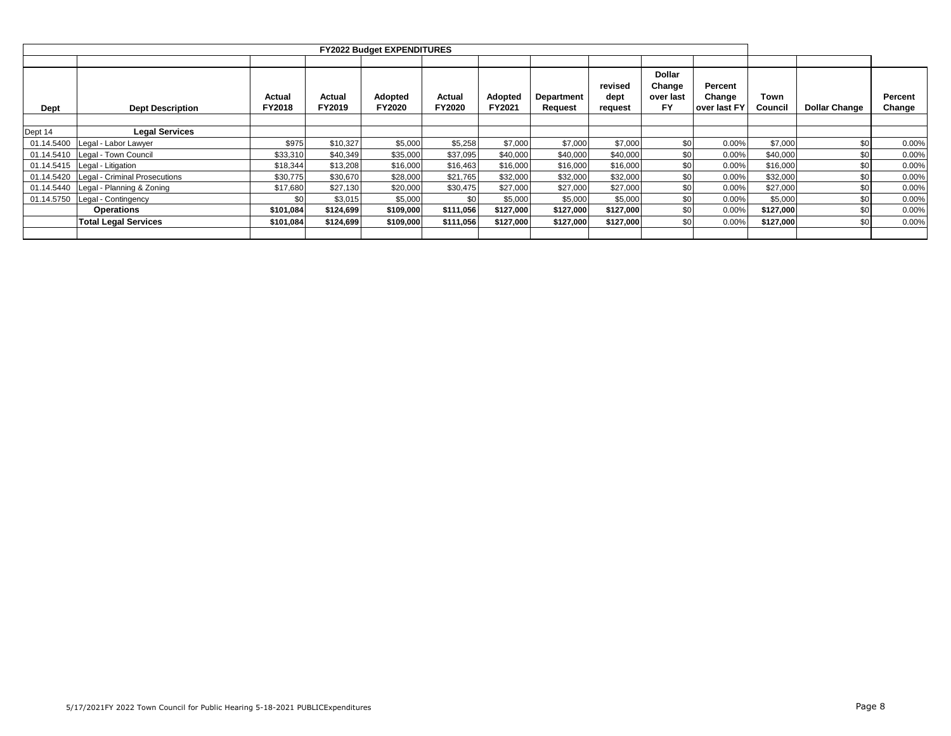|            |                               |                         |                  | <b>FY2022 Budget EXPENDITURES</b> |                  |                   |                              |                            |                                                   |                                   |                 |                      |                   |
|------------|-------------------------------|-------------------------|------------------|-----------------------------------|------------------|-------------------|------------------------------|----------------------------|---------------------------------------------------|-----------------------------------|-----------------|----------------------|-------------------|
|            |                               |                         |                  |                                   |                  |                   |                              |                            |                                                   |                                   |                 |                      |                   |
| Dept       | <b>Dept Description</b>       | Actual<br><b>FY2018</b> | Actual<br>FY2019 | Adopted<br>FY2020                 | Actual<br>FY2020 | Adopted<br>FY2021 | <b>Department</b><br>Request | revised<br>dept<br>request | <b>Dollar</b><br>Change<br>over last<br><b>FY</b> | Percent<br>Change<br>over last FY | Town<br>Council | <b>Dollar Change</b> | Percent<br>Change |
|            |                               |                         |                  |                                   |                  |                   |                              |                            |                                                   |                                   |                 |                      |                   |
| Dept 14    | <b>Legal Services</b>         |                         |                  |                                   |                  |                   |                              |                            |                                                   |                                   |                 |                      |                   |
| 01.14.5400 | Legal - Labor Lawyer          | \$975                   | \$10,327         | \$5,000                           | \$5,258          | \$7,000           | \$7,000                      | \$7,000                    | \$0 <sub>1</sub>                                  | 0.00%                             | \$7,000         | \$0                  | 0.00%             |
| 01.14.5410 | Legal - Town Council          | \$33,310                | \$40,349         | \$35,000                          | \$37,095         | \$40,000          | \$40,000                     | \$40,000                   | \$0                                               | 0.00%                             | \$40,000        | \$0                  | 0.00%             |
| 01.14.5415 | Legal - Litigation            | \$18,344                | \$13,208         | \$16,000                          | \$16,463         | \$16,000          | \$16,000                     | \$16,000                   | \$0                                               | 0.00%                             | \$16,000        | \$0                  | 0.00%             |
| 01.14.5420 | Legal - Criminal Prosecutions | \$30,775                | \$30,670         | \$28,000                          | \$21,765         | \$32,000          | \$32,000                     | \$32,000                   | \$0                                               | 0.00%                             | \$32,000        | \$0                  | 0.00%             |
| 01.14.5440 | Legal - Planning & Zoning     | \$17,680                | \$27,130         | \$20,000                          | \$30,475         | \$27,000          | \$27,000                     | \$27,000                   | \$0 <sub>1</sub>                                  | 0.00%                             | \$27,000        | \$0                  | 0.00%             |
| 01.14.5750 | Legal - Contingency           | \$0                     | \$3,015          | \$5,000                           | \$0              | \$5,000           | \$5,000                      | \$5,000                    | \$0                                               | 0.00%                             | \$5,000         | \$0                  | 0.00%             |
|            | <b>Operations</b>             | \$101,084               | \$124,699        | \$109,000                         | \$111,056        | \$127,000         | \$127,000                    | \$127,000                  | \$0                                               | 0.00%                             | \$127,000       | \$0                  | 0.00%             |
|            | <b>Total Legal Services</b>   | \$101,084               | \$124,699        | \$109,000                         | \$111,056        | \$127,000         | \$127,000                    | \$127,000                  | \$0                                               | 0.00%                             | \$127,000       | \$0                  | 0.00%             |
|            |                               |                         |                  |                                   |                  |                   |                              |                            |                                                   |                                   |                 |                      |                   |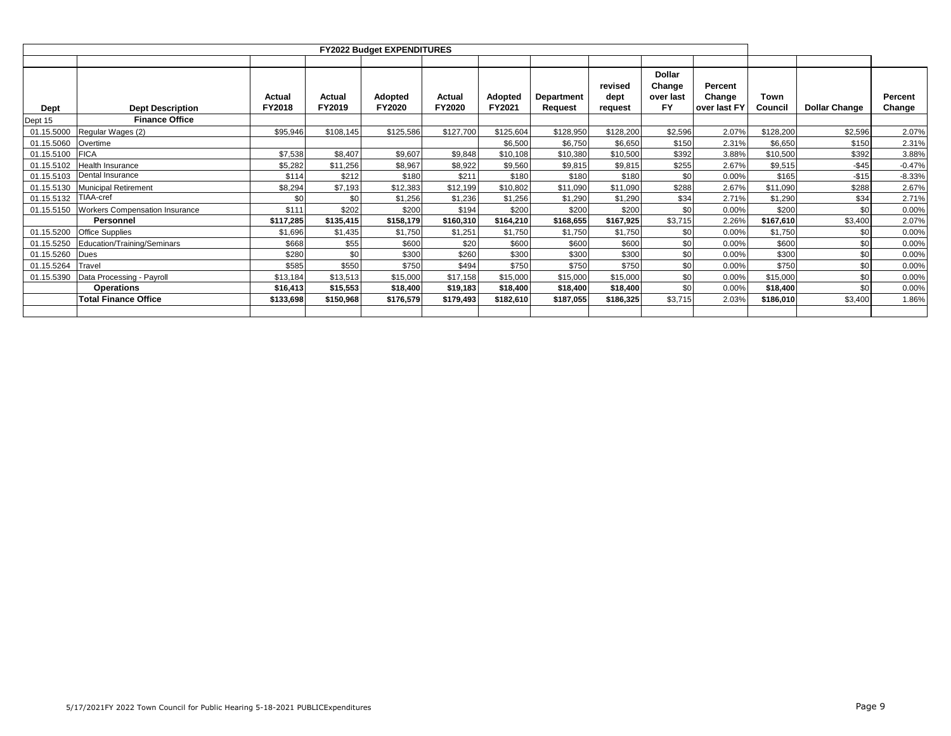| <b>Dept</b> | <b>Dept Description</b>               | Actual<br>FY2018 | Actual<br>FY2019 | Adopted<br><b>FY2020</b> | Actual<br>FY2020 | Adopted<br>FY2021 | <b>Department</b><br>Request | revised<br>dept<br>request | <b>Dollar</b><br>Change<br>over last<br><b>FY</b> | Percent<br>Change<br>over last FY | Town<br>Council | <b>Dollar Change</b> | Percent<br>Change |
|-------------|---------------------------------------|------------------|------------------|--------------------------|------------------|-------------------|------------------------------|----------------------------|---------------------------------------------------|-----------------------------------|-----------------|----------------------|-------------------|
| Dept 15     | <b>Finance Office</b>                 |                  |                  |                          |                  |                   |                              |                            |                                                   |                                   |                 |                      |                   |
| 01.15.5000  | Regular Wages (2)                     | \$95,946         | \$108,145        | \$125,586                | \$127,700        | \$125,604         | \$128,950                    | \$128,200                  | \$2,596                                           | 2.07%                             | \$128,200       | \$2,596              | 2.07%             |
| 01.15.5060  | Overtime                              |                  |                  |                          |                  | \$6,500           | \$6,750                      | \$6,650                    | \$150                                             | 2.31%                             | \$6,650         | \$150                | 2.31%             |
| 01.15.5100  | <b>FICA</b>                           | \$7,538          | \$8,407          | \$9,607                  | \$9,848          | \$10,108          | \$10,380                     | \$10,500                   | \$392                                             | 3.88%                             | \$10,500        | \$392                | 3.88%             |
| 01.15.5102  | Health Insurance                      | \$5,282          | \$11,256         | \$8,967                  | \$8,922          | \$9,560           | \$9,815                      | \$9,815                    | \$255                                             | 2.67%                             | \$9,515         | $-$45$               | $-0.47%$          |
| 01.15.5103  | Dental Insurance                      | \$114            | \$212            | \$180                    | \$21'            | \$180             | \$180                        | \$180                      | \$0                                               | 0.00%                             | \$165           | $-$15$               | $-8.33%$          |
| 01.15.5130  | Municipal Retirement                  | \$8,294          | \$7,193          | \$12,383                 | \$12,199         | \$10,802          | \$11,090                     | \$11,090                   | \$288                                             | 2.67%                             | \$11,090        | \$288                | 2.67%             |
| 01.15.5132  | TIAA-cref                             | \$0              | \$0              | \$1,256                  | \$1,236          | \$1,256           | \$1,290                      | \$1,290                    | \$34                                              | 2.71%                             | \$1,290         | \$34                 | 2.71%             |
| 01.15.5150  | <b>Workers Compensation Insurance</b> | \$111            | \$202            | \$200                    | \$194            | \$200             | \$200                        | \$200                      | \$0                                               | 0.00%                             | \$200           | \$0                  | 0.00%             |
|             | Personnel                             | \$117,285        | \$135,415        | \$158,179                | \$160,310        | \$164,210         | \$168,655                    | \$167,925                  | \$3,715                                           | 2.26%                             | \$167,610       | \$3,400              | 2.07%             |
| 01.15.5200  | <b>Office Supplies</b>                | \$1,696          | \$1,435          | \$1,750                  | \$1,251          | \$1,750           | \$1,750                      | \$1,750                    | \$0                                               | 0.00%                             | \$1,750         | \$0                  | 0.00%             |
| 01.15.5250  | Education/Training/Seminars           | \$668            | \$55             | \$600                    | \$20             | \$600             | \$600                        | \$600                      | \$0                                               | 0.00%                             | \$600           | \$0                  | 0.00%             |
| 01.15.5260  | Dues                                  | \$280            | \$0              | \$300                    | \$260            | \$300             | \$300                        | \$300                      | \$0                                               | 0.00%                             | \$300           | \$0                  | 0.00%             |
| 01.15.5264  | Travel                                | \$585            | \$550            | \$750                    | \$494            | \$750             | \$750                        | \$750                      | \$0                                               | 0.00%                             | \$750           | \$0                  | 0.00%             |
| 01.15.5390  | Data Processing - Payroll             | \$13,184         | \$13,513         | \$15,000                 | \$17,158         | \$15,000          | \$15,000                     | \$15,000                   | \$0                                               | 0.00%                             | \$15,000        | \$0                  | 0.00%             |
|             | <b>Operations</b>                     | \$16,413         | \$15,553         | \$18,400                 | \$19,183         | \$18,400          | \$18,400                     | \$18,400                   | \$0                                               | 0.00%                             | \$18,400        | \$0                  | 0.00%             |
|             | <b>Total Finance Office</b>           | \$133,698        | \$150,968        | \$176,579                | \$179,493        | \$182,610         | \$187,055                    | \$186,325                  | \$3,715                                           | 2.03%                             | \$186,010       | \$3,400              | 1.86%             |
|             |                                       |                  |                  |                          |                  |                   |                              |                            |                                                   |                                   |                 |                      |                   |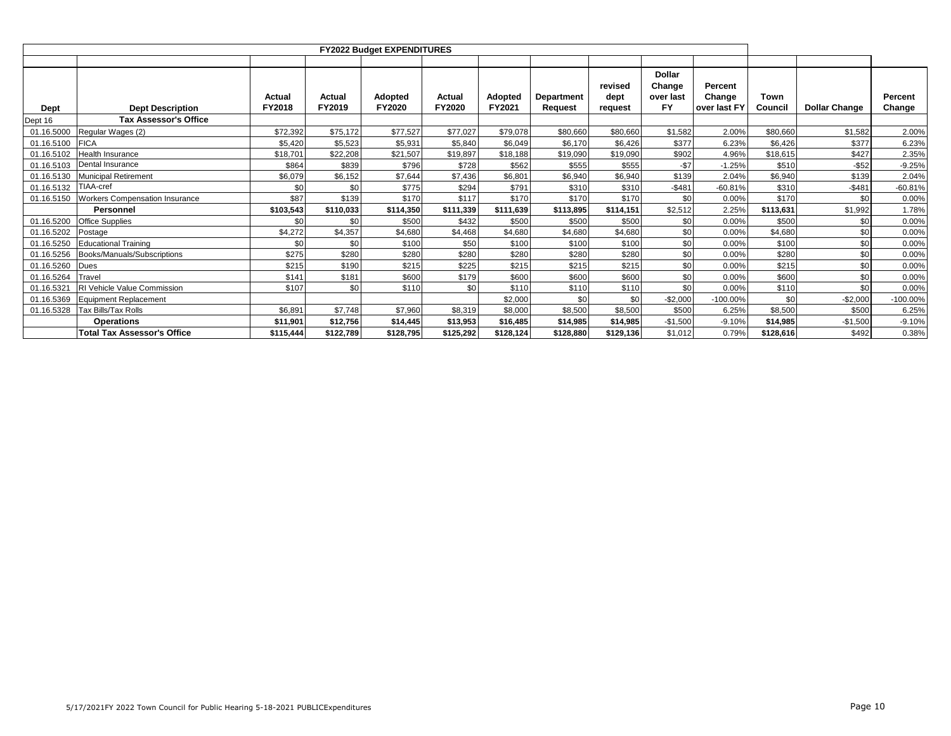|             |                                       |                  |                  | <b>FY2022 Budget EXPENDITURES</b> |                  |                          |                                     |                            |                                            |                                   |                 |                      |                   |
|-------------|---------------------------------------|------------------|------------------|-----------------------------------|------------------|--------------------------|-------------------------------------|----------------------------|--------------------------------------------|-----------------------------------|-----------------|----------------------|-------------------|
| <b>Dept</b> | <b>Dept Description</b>               | Actual<br>FY2018 | Actual<br>FY2019 | <b>Adopted</b><br>FY2020          | Actual<br>FY2020 | <b>Adopted</b><br>FY2021 | <b>Department</b><br><b>Request</b> | revised<br>dept<br>request | <b>Dollar</b><br>Change<br>over last<br>FY | Percent<br>Change<br>over last FY | Town<br>Council | <b>Dollar Change</b> | Percent<br>Change |
| Dept 16     | <b>Tax Assessor's Office</b>          |                  |                  |                                   |                  |                          |                                     |                            |                                            |                                   |                 |                      |                   |
| 01.16.5000  | Regular Wages (2)                     | \$72,392         | \$75,172         | \$77.527                          | \$77.027         | \$79,078                 | \$80,660                            | \$80,660                   | \$1,582                                    | 2.00%                             | \$80,660        | \$1,582              | 2.00%             |
| 01.16.5100  | <b>FICA</b>                           | \$5,420          | \$5,523          | \$5,931                           | \$5,840          | \$6.049                  | \$6,170                             | \$6,426                    | \$377                                      | 6.23%                             | \$6,426         | \$377                | 6.23%             |
| 01.16.5102  | <b>Health Insurance</b>               | \$18,701         | \$22,208         | \$21.507                          | \$19,897         | \$18,188                 | \$19.090                            | \$19.090                   | \$902                                      | 4.96%                             | \$18.615        | \$427                | 2.35%             |
| 01.16.5103  | Dental Insurance                      | \$864            | \$839            | \$796                             | \$728            | \$562                    | \$555                               | \$555                      | $-$7$                                      | $-1.25%$                          | \$510           | $-$ \$52             | $-9.25%$          |
| 01.16.5130  | Municipal Retirement                  | \$6,079          | \$6,152          | \$7.644                           | \$7,436          | \$6,801                  | \$6,940                             | \$6,940                    | \$139                                      | 2.04%                             | \$6,940         | \$139                | 2.04%             |
| 01.16.5132  | TIAA-cref                             | \$0              | \$0              | \$775                             | \$294            | \$791                    | \$310                               | \$310                      | $-$481$                                    | $-60.81%$                         | \$310           | $-$48'$              | $-60.81%$         |
| 01.16.5150  | <b>Workers Compensation Insurance</b> | \$87             | \$139            | \$170                             | \$117            | \$170                    | \$170                               | \$170                      | \$0                                        | 0.00%                             | \$170           | \$0                  | 0.00%             |
|             | Personnel                             | \$103,543        | \$110,033        | \$114,350                         | \$111,339        | \$111,639                | \$113,895                           | \$114,151                  | \$2,512                                    | 2.25%                             | \$113,631       | \$1,992              | 1.78%             |
| 01.16.5200  | <b>Office Supplies</b>                | \$0              | \$0              | \$500                             | \$432            | \$500                    | \$500                               | \$500                      | \$0                                        | 0.00%                             | \$500           | \$0                  | 0.00%             |
| 01.16.5202  | Postage                               | \$4,272          | \$4,357          | \$4,680                           | \$4,468          | \$4,680                  | \$4,680                             | \$4,680                    | \$0                                        | 0.00%                             | \$4,680         | \$0                  | 0.00%             |
| 01.16.5250  | <b>Educational Training</b>           | \$0              | \$0              | \$100                             | \$50             | \$100                    | \$100                               | \$100                      | \$0                                        | 0.00%                             | \$100           | \$0                  | 0.00%             |
| 01.16.5256  | Books/Manuals/Subscriptions           | \$275            | \$280            | \$280                             | \$280            | \$280                    | \$280                               | \$280                      | \$0                                        | 0.00%                             | \$280           | \$0                  | 0.00%             |
| 01.16.5260  | <b>Dues</b>                           | \$215            | \$190            | \$215                             | \$225            | \$215                    | \$215                               | \$215                      | \$0                                        | 0.00%                             | \$215           | \$0                  | 0.00%             |
| 01.16.5264  | Travel                                | \$141            | \$181            | \$600                             | \$179            | \$600                    | \$600                               | \$600                      | \$0                                        | 0.00%                             | \$600           | \$0                  | 0.00%             |
| 01.16.5321  | RI Vehicle Value Commission           | \$107            | \$0              | \$110                             | \$0              | \$110                    | \$110                               | \$110                      | \$0                                        | 0.00%                             | \$110           | \$0                  | 0.00%             |
| 01.16.5369  | <b>Equipment Replacement</b>          |                  |                  |                                   |                  | \$2,000                  | \$0                                 | \$0                        | $-$2,000$                                  | $-100.00%$                        | \$0             | $-$2,000$            | $-100.00\%$       |
| 01.16.5328  | <b>Tax Bills/Tax Rolls</b>            | \$6,891          | \$7,748          | \$7,960                           | \$8,319          | \$8,000                  | \$8,500                             | \$8,500                    | \$500                                      | 6.25%                             | \$8,500         | \$500                | 6.25%             |
|             | <b>Operations</b>                     | \$11,901         | \$12,756         | \$14,445                          | \$13,953         | \$16,485                 | \$14,985                            | \$14,985                   | $-$1,500$                                  | $-9.10%$                          | \$14,985        | $-$1,500$            | $-9.10%$          |
|             | <b>Total Tax Assessor's Office</b>    | \$115,444        | \$122,789        | \$128,795                         | \$125,292        | \$128,124                | \$128,880                           | \$129,136                  | \$1,012                                    | 0.79%                             | \$128.616       | \$492                | 0.38%             |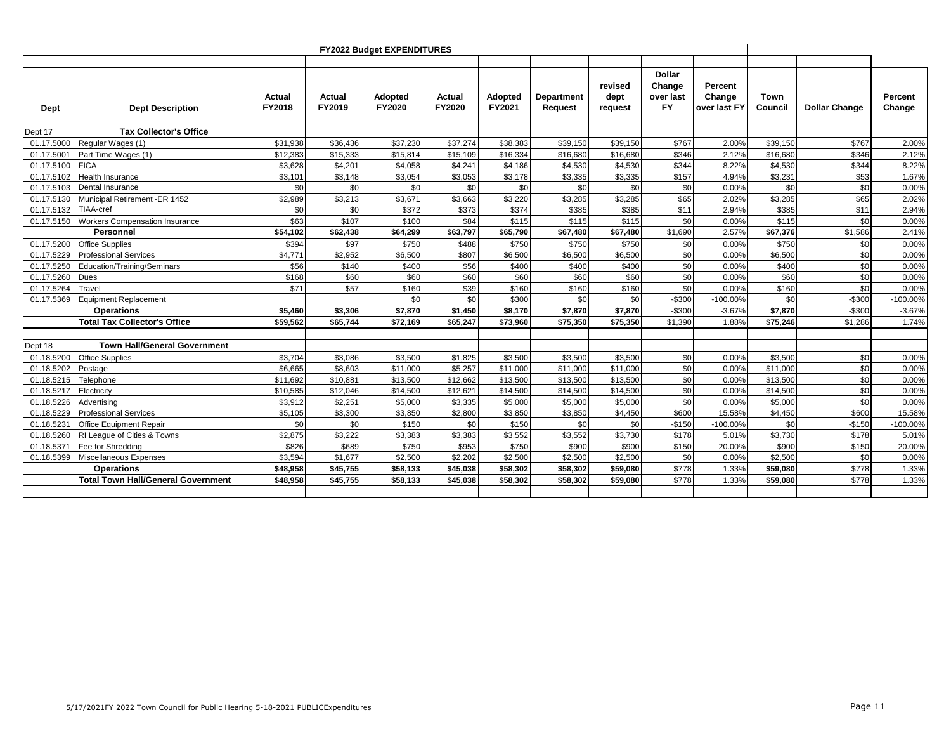|            |                                           |                  |                  | <b>FY2022 Budget EXPENDITURES</b> |                  |                   |                              |                            |                                                   |                                   |                 |                      |                   |
|------------|-------------------------------------------|------------------|------------------|-----------------------------------|------------------|-------------------|------------------------------|----------------------------|---------------------------------------------------|-----------------------------------|-----------------|----------------------|-------------------|
| Dept       | <b>Dept Description</b>                   | Actual<br>FY2018 | Actual<br>FY2019 | Adopted<br>FY2020                 | Actual<br>FY2020 | Adopted<br>FY2021 | <b>Department</b><br>Request | revised<br>dept<br>request | <b>Dollar</b><br>Change<br>over last<br><b>FY</b> | Percent<br>Change<br>over last FY | Town<br>Council | <b>Dollar Change</b> | Percent<br>Change |
| Dept 17    | <b>Tax Collector's Office</b>             |                  |                  |                                   |                  |                   |                              |                            |                                                   |                                   |                 |                      |                   |
| 01.17.5000 | Regular Wages (1)                         | \$31,938         | \$36,436         | \$37,230                          | \$37,274         | \$38,383          | \$39,150                     | \$39,150                   | \$767                                             | 2.00%                             | \$39,150        | \$767                | 2.00%             |
| 01.17.5001 | Part Time Wages (1)                       | \$12,383         | \$15,333         | \$15,814                          | \$15,109         | \$16.334          | \$16,680                     | \$16,680                   | \$346                                             | 2.12%                             | \$16,680        | \$346                | 2.12%             |
| 01.17.5100 | <b>FICA</b>                               | \$3,628          | \$4,201          | \$4,058                           | \$4,241          | \$4,186           | \$4,530                      | \$4,530                    | \$344                                             | 8.22%                             | \$4,530         | \$344                | 8.22%             |
| 01.17.5102 | <b>Health Insurance</b>                   | \$3,101          | \$3,148          | \$3,054                           | \$3,053          | \$3,178           | \$3,335                      | \$3,335                    | \$157                                             | 4.94%                             | \$3,231         | \$53                 | 1.67%             |
| 01.17.5103 | Dental Insurance                          | \$0              | \$0              | \$0                               | \$0              | \$0               | \$0                          | \$0                        | \$0                                               | 0.00%                             | \$0             | \$0                  | 0.00%             |
| 01.17.5130 | Municipal Retirement -ER 1452             | \$2,989          | \$3,213          | \$3,671                           | \$3,663          | \$3,220           | \$3,285                      | \$3,285                    | \$65                                              | 2.02%                             | \$3,285         | \$65                 | 2.02%             |
| 01.17.5132 | TIAA-cref                                 | \$0              | \$0              | \$372                             | \$373            | \$374             | \$385                        | \$385                      | \$11                                              | 2.94%                             | \$385           | \$11                 | 2.94%             |
| 01.17.5150 | <b>Workers Compensation Insurance</b>     | \$63             | \$107            | \$100                             | \$84             | \$115             | \$115                        | \$115                      | \$0                                               | 0.00%                             | \$115           | \$0                  | 0.00%             |
|            | Personnel                                 | \$54,102         | \$62,438         | \$64,299                          | \$63,797         | \$65,790          | \$67,480                     | \$67,480                   | \$1,690                                           | 2.57%                             | \$67,376        | \$1,586              | 2.41%             |
| 01.17.5200 | <b>Office Supplies</b>                    | \$394            | \$97             | \$750                             | \$488            | \$750             | \$750                        | \$750                      | \$0                                               | 0.00%                             | \$750           | \$0                  | 0.00%             |
| 01.17.5229 | <b>Professional Services</b>              | \$4,771          | \$2,952          | \$6,500                           | \$807            | \$6,500           | \$6,500                      | \$6,500                    | \$0                                               | 0.00%                             | \$6,500         | \$0                  | 0.00%             |
| 01.17.5250 | Education/Training/Seminars               | \$56             | \$140            | \$400                             | \$56             | \$400             | \$400                        | \$400                      | \$0                                               | 0.00%                             | \$400           | \$0                  | 0.00%             |
| 01.17.5260 | Dues                                      | \$168            | \$60             | \$60                              | \$60             | \$60              | \$60                         | \$60                       | \$0                                               | 0.00%                             | \$60            | \$0                  | 0.00%             |
| 01.17.5264 | Travel                                    | \$71             | \$57             | \$160                             | \$39             | \$160             | \$160                        | \$160                      | \$0                                               | 0.00%                             | \$160           | \$0                  | 0.00%             |
| 01.17.5369 | <b>Equipment Replacement</b>              |                  |                  | \$0                               | \$0              | \$300             | \$0                          | \$0                        | $-$300$                                           | $-100.00%$                        | \$0             | $-$300$              | $-100.00\%$       |
|            | <b>Operations</b>                         | \$5,460          | \$3,306          | \$7,870                           | \$1,450          | \$8.170           | \$7,870                      | \$7,870                    | $-$300$                                           | $-3.67%$                          | \$7,870         | $-$300$              | $-3.67%$          |
|            | <b>Total Tax Collector's Office</b>       | \$59,562         | \$65,744         | \$72,169                          | \$65,247         | \$73,960          | \$75,350                     | \$75,350                   | \$1,390                                           | 1.88%                             | \$75,246        | \$1,286              | 1.74%             |
| Dept 18    | <b>Town Hall/General Government</b>       |                  |                  |                                   |                  |                   |                              |                            |                                                   |                                   |                 |                      |                   |
| 01.18.5200 | <b>Office Supplies</b>                    | \$3,704          | \$3,086          | \$3,500                           | \$1,825          | \$3.500           | \$3,500                      | \$3.500                    | \$0                                               | 0.00%                             | \$3,500         | \$0                  | 0.00%             |
| 01.18.5202 | Postage                                   | \$6,665          | \$8,603          | \$11,000                          | \$5,257          | \$11.000          | \$11.000                     | \$11,000                   | \$0                                               | 0.00%                             | \$11,000        | \$0                  | 0.00%             |
| 01.18.5215 | Telephone                                 | \$11,692         | \$10,881         | \$13,500                          | \$12,662         | \$13,500          | \$13,500                     | \$13,500                   | \$0                                               | 0.00%                             | \$13,500        | \$0                  | 0.00%             |
| 01.18.5217 | Electricity                               | \$10,585         | \$12,046         | \$14,500                          | \$12,621         | \$14,500          | \$14,500                     | \$14,500                   | \$0                                               | 0.00%                             | \$14,500        | \$0                  | 0.00%             |
| 01.18.5226 | Advertisina                               | \$3,912          | \$2,251          | \$5,000                           | \$3,335          | \$5,000           | \$5,000                      | \$5,000                    | \$0                                               | 0.00%                             | \$5,000         | \$0                  | 0.00%             |
| 01.18.5229 | <b>Professional Services</b>              | \$5,105          | \$3,300          | \$3,850                           | \$2,800          | \$3,850           | \$3,850                      | \$4,450                    | \$600                                             | 15.58%                            | \$4,450         | \$600                | 15.58%            |
| 01.18.5231 | Office Equipment Repair                   | \$0              | \$0              | \$150                             | \$0              | \$150             | \$0                          | \$0                        | $-$150$                                           | $-100.00%$                        | \$0             | $-$150$              | $-100.00\%$       |
| 01.18.5260 | RI League of Cities & Towns               | \$2,875          | \$3,222          | \$3,383                           | \$3,383          | \$3,552           | \$3,552                      | \$3,730                    | \$178                                             | 5.01%                             | \$3,730         | \$178                | 5.01%             |
| 01.18.5371 | Fee for Shredding                         | \$826            | \$689            | \$750                             | \$953            | \$750             | \$900                        | \$900                      | \$150                                             | 20.00%                            | \$900           | \$150                | 20.00%            |
| 01.18.5399 | Miscellaneous Expenses                    | \$3,594          | \$1,677          | \$2,500                           | \$2,202          | \$2,500           | \$2,500                      | \$2,500                    | \$0                                               | 0.00%                             | \$2.500         | \$0                  | 0.00%             |
|            | <b>Operations</b>                         | \$48,958         | \$45,755         | \$58,133                          | \$45,038         | \$58,302          | \$58,302                     | \$59,080                   | \$778                                             | 1.33%                             | \$59,080        | \$778                | 1.33%             |
|            | <b>Total Town Hall/General Government</b> | \$48,958         | \$45,755         | \$58,133                          | \$45,038         | \$58,302          | \$58,302                     | \$59,080                   | \$778                                             | 1.33%                             | \$59,080        | \$778                | 1.33%             |
|            |                                           |                  |                  |                                   |                  |                   |                              |                            |                                                   |                                   |                 |                      |                   |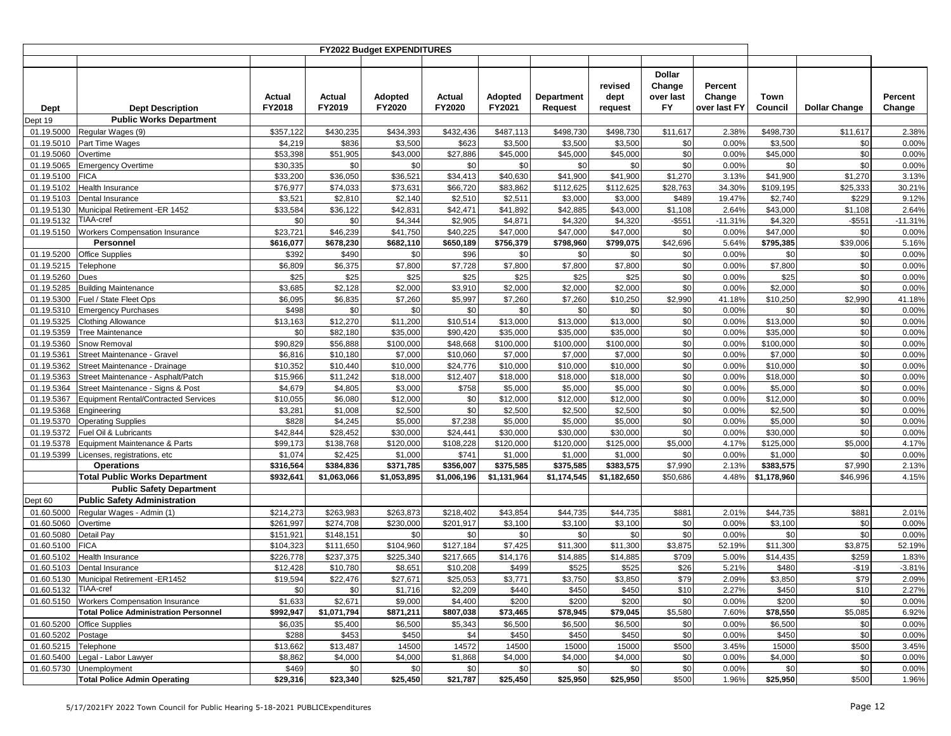|                          |                                              |                        |                        | <b>FY2022 Budget EXPENDITURES</b> |                        |                          |                       |                            |                                                   |                                   |                       |                      |                   |
|--------------------------|----------------------------------------------|------------------------|------------------------|-----------------------------------|------------------------|--------------------------|-----------------------|----------------------------|---------------------------------------------------|-----------------------------------|-----------------------|----------------------|-------------------|
|                          |                                              |                        |                        |                                   |                        |                          |                       |                            |                                                   |                                   |                       |                      |                   |
| Dept                     | <b>Dept Description</b>                      | Actual<br>FY2018       | Actual<br>FY2019       | Adopted<br>FY2020                 | Actual<br>FY2020       | <b>Adopted</b><br>FY2021 | Department<br>Request | revised<br>dept<br>request | <b>Dollar</b><br>Change<br>over last<br><b>FY</b> | Percent<br>Change<br>over last FY | Town<br>Council       | <b>Dollar Change</b> | Percent<br>Change |
| Dept 19                  | <b>Public Works Department</b>               |                        |                        |                                   |                        |                          |                       |                            |                                                   |                                   |                       |                      |                   |
| 01.19.5000               | Regular Wages (9)                            | \$357,122              | \$430,235              | \$434,393                         | \$432,436              | \$487,113                | \$498,730             | \$498,730                  | \$11,617                                          | 2.38%                             | \$498,730             | \$11,617             | 2.38%             |
| 01.19.5010               | Part Time Wages                              | \$4,219                | \$836                  | \$3,500                           | \$623                  | \$3,500                  | \$3,500               | \$3,500                    | \$0                                               | 0.00%                             | \$3,500               | \$0                  | 0.00%             |
| 01.19.5060               | Overtime                                     | \$53,398               | \$51,905               | \$43,000                          | \$27,886               | \$45,000                 | \$45,000              | \$45,000                   | \$0                                               | 0.00%                             | \$45,000              | \$0                  | 0.00%             |
| 01.19.5065               | <b>Emergency Overtime</b>                    | \$30,335               | \$0                    | \$0                               | \$0                    | \$0                      | \$0                   | \$0                        | \$0                                               | 0.00%                             | \$0                   | \$0                  | 0.00%             |
| 01.19.5100               | FICA                                         | \$33,200               | \$36,050               | \$36,521                          | \$34,413               | \$40,630                 | \$41,900              | \$41,900                   | \$1,270                                           | 3.13%                             | \$41,900<br>\$109,195 | \$1,270              | 3.13%             |
| 01.19.5102<br>01.19.5103 | Health Insurance<br>Dental Insurance         | \$76,977<br>\$3,521    | \$74,033<br>\$2,810    | \$73,631<br>\$2,140               | \$66,720<br>\$2,510    | \$83,862<br>\$2,511      | \$112,625<br>\$3,000  | \$112,625<br>\$3,000       | \$28,763<br>\$489                                 | 34.30%<br>19.47%                  | \$2,740               | \$25,333<br>\$229    | 30.21%<br>9.12%   |
| 01.19.5130               | Municipal Retirement -ER 1452                | \$33,584               | \$36,122               | \$42,831                          | \$42,471               | \$41,892                 | \$42,885              | \$43,000                   | \$1,108                                           | 2.64%                             | \$43,000              | \$1,108              | 2.64%             |
| 01.19.5132               | TIAA-cref                                    | \$0                    | \$0                    | \$4,344                           | \$2,905                | \$4,871                  | \$4,320               | \$4,320                    | $-$ \$551                                         | $-11.31%$                         | \$4,320               | $-$ \$551            | $-11.31%$         |
| 01.19.5150               | <b>Workers Compensation Insurance</b>        | \$23,721               | \$46,239               | \$41,750                          | \$40,225               | \$47,000                 | \$47,000              | \$47,000                   | \$0                                               | 0.00%                             | \$47,000              | \$0                  | 0.00%             |
|                          | Personnel                                    | \$616,077              | \$678,230              | \$682,110                         | \$650,189              | \$756,379                | \$798,960             | \$799,075                  | \$42,696                                          | 5.64%                             | \$795,385             | \$39,006             | 5.16%             |
| 01.19.5200               | <b>Office Supplies</b>                       | \$392                  | \$490                  | \$0                               | \$96                   | \$0                      | \$0                   | \$0                        | \$0                                               | 0.00%                             | \$0                   | \$0                  | 0.00%             |
| 01.19.5215               | Telephone                                    | \$6,809                | \$6,375                | \$7,800                           | \$7,728                | \$7,800                  | \$7,800               | \$7,800                    | \$0                                               | 0.00%                             | \$7,800               | \$0                  | 0.00%             |
| 01.19.5260               | Dues                                         | \$25                   | \$25                   | \$25                              | \$25                   | \$25                     | \$25                  | \$25                       | \$0                                               | 0.00%                             | \$25                  | \$0                  | 0.00%             |
| 01.19.5285               | <b>Building Maintenance</b>                  | \$3,685                | \$2,128                | \$2,000                           | \$3,910                | \$2,000                  | \$2,000               | \$2,000                    | \$0                                               | 0.00%                             | \$2,000               | \$0                  | 0.00%             |
| 01.19.5300               | Fuel / State Fleet Ops                       | \$6,095                | \$6,835                | \$7,260                           | \$5,997                | \$7,260                  | \$7,260               | \$10,250                   | \$2,990                                           | 41.18%                            | \$10,250              | \$2,990              | 41.18%            |
| 01.19.5310               | <b>Emergency Purchases</b>                   | \$498                  | \$0                    | \$0                               | \$0                    | \$0                      | \$0                   | \$0                        | \$0                                               | 0.00%                             | \$0                   | \$0                  | 0.00%             |
| 01.19.5325               | <b>Clothing Allowance</b>                    | \$13,163               | \$12,270               | \$11,200                          | \$10,514               | \$13,000                 | \$13,000              | \$13,000                   | \$0                                               | 0.00%                             | \$13,000              | \$0                  | 0.00%             |
| 01.19.5359               | <b>Tree Maintenance</b>                      | \$0                    | \$82,180               | \$35,000                          | \$90,420               | \$35,000                 | \$35,000              | \$35,000                   | \$0                                               | 0.00%                             | \$35,000              | \$0                  | 0.00%             |
| 01.19.5360               | Snow Removal                                 | \$90,829               | \$56,888               | \$100,000                         | \$48,668               | \$100,000                | \$100,000             | \$100,000                  | \$0                                               | 0.00%                             | \$100,000             | \$0                  | 0.00%             |
| 01.19.5361               | Street Maintenance - Gravel                  | \$6,816                | \$10,180               | \$7,000                           | \$10,060               | \$7,000                  | \$7,000               | \$7,000                    | $\$0$                                             | 0.00%                             | \$7,000               | \$0                  | 0.00%             |
| 01.19.5362               | Street Maintenance - Drainage                | \$10,352               | \$10,440               | \$10,000                          | \$24,776               | \$10,000                 | \$10,000              | \$10,000                   | \$0                                               | 0.00%                             | \$10,000              | \$0                  | 0.00%             |
| 01.19.5363               | Street Maintenance - Asphalt/Patch           | \$15,966               | \$11,242               | \$18,000                          | \$12,407               | \$18,000                 | \$18,000              | \$18,000                   | \$0                                               | 0.00%                             | \$18,000              | \$0                  | 0.00%             |
| 01.19.5364               | Street Maintenance - Signs & Post            | \$4,679                | \$4,805                | \$3,000                           | \$758                  | \$5,000                  | \$5,000               | \$5,000                    | \$0                                               | 0.00%                             | \$5,000               | \$0                  | 0.00%             |
| 01.19.5367               | <b>Equipment Rental/Contracted Services</b>  | \$10,055               | \$6,080                | \$12,000                          | \$0                    | \$12,000                 | \$12,000              | \$12,000                   | \$0                                               | 0.00%                             | \$12,000              | \$0                  | 0.00%             |
| 01.19.5368               | Engineering                                  | \$3,281                | \$1,008                | \$2,500                           | \$0                    | \$2,500                  | \$2,500               | \$2,500                    | \$0                                               | 0.00%                             | \$2,500               | \$0                  | 0.00%             |
| 01.19.5370               | <b>Operating Supplies</b>                    | \$828                  | \$4,245                | \$5,000                           | \$7,238                | \$5,000                  | \$5,000               | \$5,000                    | \$0                                               | 0.00%                             | \$5,000               | \$0                  | 0.00%             |
| 01.19.5372               | Fuel Oil & Lubricants                        | \$42,844               | \$28,452               | \$30,000                          | \$24,441               | \$30,000                 | \$30,000              | \$30,000                   | \$0                                               | 0.00%                             | \$30,000              | \$0                  | 0.00%             |
| 01.19.5378               | Equipment Maintenance & Parts                | \$99,173               | \$138,768              | \$120,000                         | \$108,228              | \$120,000                | \$120,000             | \$125,000                  | \$5,000                                           | 4.17%                             | \$125,000             | \$5,000              | 4.17%             |
| 01.19.5399               | Licenses, registrations, etc                 | \$1,074                | \$2,425                | \$1,000                           | \$741                  | \$1,000                  | \$1,000               | \$1,000                    | \$0                                               | 0.00%                             | \$1,000               | \$0                  | 0.00%             |
|                          | <b>Operations</b>                            | \$316,564              | \$384,836              | \$371,785                         | \$356,007              | \$375,585                | \$375,585             | \$383,575                  | \$7,990                                           | 2.13%                             | \$383,575             | \$7,990              | 2.13%             |
|                          | <b>Total Public Works Department</b>         | \$932,641              | \$1,063,066            | \$1,053,895                       | \$1,006,196            | \$1,131,964              | \$1,174,545           | \$1,182,650                | \$50,686                                          | 4.48%                             | \$1,178,960           | \$46,996             | 4.15%             |
|                          | <b>Public Safety Department</b>              |                        |                        |                                   |                        |                          |                       |                            |                                                   |                                   |                       |                      |                   |
| Dept 60                  | <b>Public Safety Administration</b>          |                        |                        |                                   |                        |                          |                       |                            |                                                   |                                   |                       |                      |                   |
| 01.60.5000               | Regular Wages - Admin (1)                    | \$214,273<br>\$261,997 | \$263,983<br>\$274,708 | \$263,873<br>\$230,000            | \$218,402<br>\$201,917 | \$43,854                 | \$44,735<br>\$3,100   | \$44,735<br>\$3,100        | \$881<br>\$0                                      | 2.01%<br>0.00%                    | \$44,735<br>\$3,100   | \$881<br>\$0         | 2.01%<br>0.00%    |
| 01.60.5060<br>01.60.5080 | Overtime<br>Detail Pay                       | \$151,921              | \$148,151              | \$0                               | \$0                    | \$3,100<br>\$0           | \$0                   | \$0                        | \$0                                               | 0.00%                             | \$0                   | \$0                  | 0.00%             |
| 01.60.5100               | <b>FICA</b>                                  | \$104,323              | \$111,650              | \$104,960                         | \$127,184              | \$7,425                  | \$11,300              | \$11,300                   | \$3,875                                           | 52.19%                            | \$11,300              | \$3,875              | 52.19%            |
| 01.60.5102               | <b>Health Insurance</b>                      | \$226,778              | \$237,375              | \$225,340                         | \$217,665              | \$14,176                 | \$14,885              | \$14,885                   | \$709                                             | 5.00%                             | \$14,435              | \$259                | 1.83%             |
| 01.60.5103               | Dental Insurance                             | \$12,428               | \$10,780               | \$8,651                           | \$10,208               | \$499                    | \$525                 | \$525                      | \$26                                              | 5.21%                             | \$480                 | $-$19$               | $-3.81%$          |
| 01.60.5130               | Municipal Retirement -ER1452                 | \$19,594               | \$22,476               | \$27,671                          | \$25,053               | \$3,771                  | \$3,750               | \$3,850                    | \$79                                              | 2.09%                             | \$3,850               | \$79                 | 2.09%             |
| 01.60.5132 TIAA-cref     |                                              | \$0                    | \$0                    | \$1,716                           | \$2,209                | \$440                    | \$450                 | \$450                      | \$10                                              | 2.27%                             | \$450                 | \$10                 | 2.27%             |
| 01.60.5150               | <b>Workers Compensation Insurance</b>        | \$1,633                | \$2,671                | \$9,000                           | \$4,400                | \$200                    | \$200                 | \$200                      | \$0                                               | 0.00%                             | \$200                 | \$0                  | 0.00%             |
|                          | <b>Total Police Administration Personnel</b> | \$992,947              | \$1,071,794            | \$871,211                         | \$807,038              | \$73,465                 | \$78,945              | \$79,045                   | \$5,580                                           | 7.60%                             | \$78,550              | \$5,085              | 6.92%             |
| 01.60.5200               | <b>Office Supplies</b>                       | \$6,035                | \$5,400                | \$6,500                           | \$5,343                | \$6,500                  | \$6,500               | \$6,500                    | \$0                                               | 0.00%                             | \$6,500               | \$0                  | 0.00%             |
| 01.60.5202               | Postage                                      | \$288                  | \$453                  | \$450                             | \$4                    | \$450                    | \$450                 | \$450                      | \$0                                               | 0.00%                             | \$450                 | \$0                  | 0.00%             |
| 01.60.5215               | Telephone                                    | \$13,662               | \$13,487               | 14500                             | 14572                  | 14500                    | 15000                 | 15000                      | \$500                                             | 3.45%                             | 15000                 | \$500                | 3.45%             |
| 01.60.5400               | Legal - Labor Lawyer                         | \$8,862                | \$4,000                | \$4,000                           | \$1,868                | \$4,000                  | \$4,000               | \$4,000                    | \$0                                               | 0.00%                             | \$4,000               | \$0                  | 0.00%             |
| 01.60.5730               | Unemployment                                 | \$469                  | \$0                    | \$0                               | \$0                    | \$0                      | \$0                   | \$0                        | \$0                                               | 0.00%                             | \$0                   | \$0                  | 0.00%             |
|                          | <b>Total Police Admin Operating</b>          | \$29,316               | \$23,340               | \$25,450                          | \$21,787               | \$25,450                 | \$25,950              | \$25,950                   | \$500                                             | 1.96%                             | \$25,950              | \$500                | 1.96%             |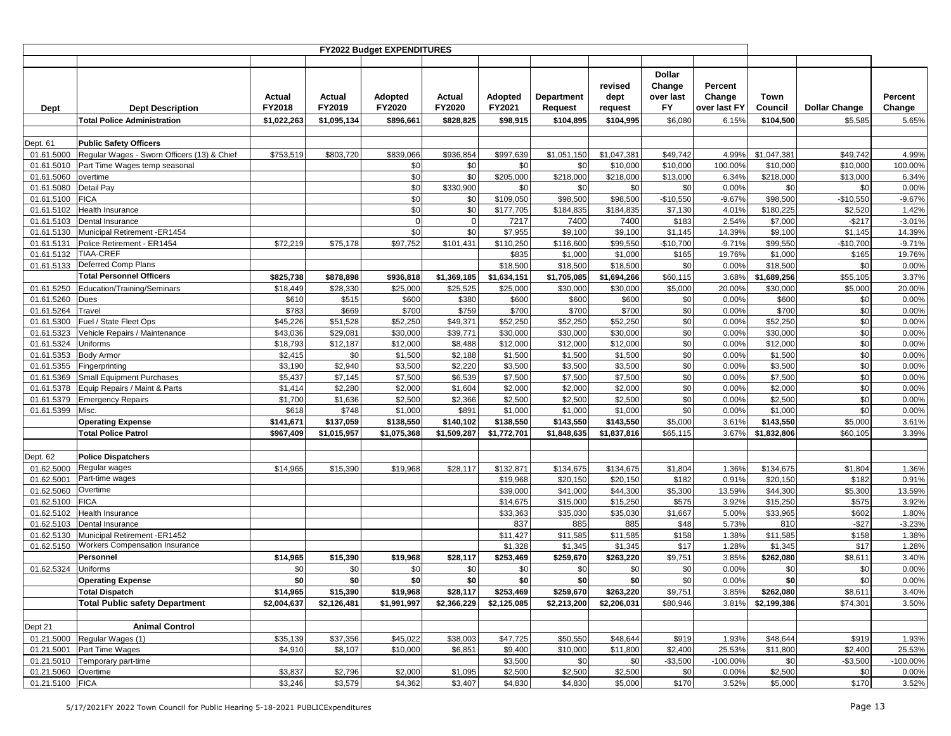|                          |                                             |                  |                  | FY2022 Budget EXPENDITURES      |                  |                          |                              |                            |                                             |                                   |                    |                      |                   |
|--------------------------|---------------------------------------------|------------------|------------------|---------------------------------|------------------|--------------------------|------------------------------|----------------------------|---------------------------------------------|-----------------------------------|--------------------|----------------------|-------------------|
|                          |                                             |                  |                  |                                 |                  |                          |                              |                            |                                             |                                   |                    |                      |                   |
| Dept                     | <b>Dept Description</b>                     | Actual<br>FY2018 | Actual<br>FY2019 | <b>Adopted</b><br><b>FY2020</b> | Actual<br>FY2020 | Adopted<br>FY2021        | <b>Department</b><br>Request | revised<br>dept<br>request | <b>Dollar</b><br>Change<br>over last<br>FY. | Percent<br>Change<br>over last FY | Town<br>Council    | <b>Dollar Change</b> | Percent<br>Change |
|                          | <b>Total Police Administration</b>          | \$1,022,263      | \$1,095,134      | \$896,661                       | \$828,825        | \$98,915                 | \$104,895                    | \$104,995                  | \$6,080                                     | 6.15%                             | \$104,500          | \$5,585              | 5.65%             |
|                          |                                             |                  |                  |                                 |                  |                          |                              |                            |                                             |                                   |                    |                      |                   |
| Dept. 61                 | <b>Public Safety Officers</b>               |                  |                  |                                 |                  |                          |                              |                            |                                             |                                   |                    |                      |                   |
| 01.61.5000               | Regular Wages - Sworn Officers (13) & Chief | \$753,519        | \$803,720        | \$839,066                       | \$936,854        | \$997,639                | \$1,051,150                  | \$1,047,381                | \$49,742                                    | 4.99%                             | \$1,047,381        | \$49,742             | 4.99%             |
| 01.61.5010               | Part Time Wages temp seasonal               |                  |                  | \$0                             | \$0              | \$0                      | \$0                          | \$10,000                   | \$10,000                                    | 100.00%                           | \$10,000           | \$10,000             | 100.00%           |
| 01.61.5060               | overtime                                    |                  |                  | \$0                             | \$0              | \$205,000                | \$218,000                    | \$218,000                  | \$13,000                                    | 6.34%                             | \$218,000          | \$13,000             | 6.34%             |
| 01.61.5080<br>01.61.5100 | Detail Pay<br><b>FICA</b>                   |                  |                  | \$0<br>\$0                      | \$330,900<br>\$0 | \$0<br>\$109,050         | \$0<br>\$98,500              | \$0<br>\$98,500            | \$0<br>$-$10,550$                           | 0.00%<br>$-9.67%$                 | \$0<br>\$98,500    | \$0<br>$-$10,550$    | 0.00%<br>$-9.67%$ |
| 01.61.5102               | Health Insurance                            |                  |                  | \$0                             | \$0              | \$177,705                | \$184,835                    | \$184,835                  | \$7,130                                     | 4.01%                             | \$180,225          | \$2,520              | 1.42%             |
| 01.61.5103               | Dental Insurance                            |                  |                  | $\mathbf 0$                     | $\mathbf 0$      | 7217                     | 7400                         | 7400                       | \$183                                       | 2.54%                             | \$7,000            | $-$217$              | $-3.01%$          |
| 01.61.5130               | Municipal Retirement -ER1454                |                  |                  | \$0                             | \$0              | \$7,955                  | \$9,100                      | \$9,100                    | \$1,145                                     | 14.39%                            | \$9,100            | \$1,145              | 14.39%            |
| 01.61.5131               | Police Retirement - ER1454                  | \$72,219         | \$75,178         | \$97,752                        | \$101,431        | \$110,250                | \$116,600                    | \$99,550                   | $-$10,700$                                  | $-9.71%$                          | \$99,550           | $-$10,700$           | $-9.71%$          |
| 01.61.5132               | TIAA-CREF                                   |                  |                  |                                 |                  | \$835                    | \$1,000                      | \$1,000                    | \$165                                       | 19.76%                            | \$1,000            | \$165                | 19.76%            |
| 01.61.5133               | Deferred Comp Plans                         |                  |                  |                                 |                  | \$18,500                 | \$18,500                     | \$18,500                   | \$0                                         | 0.00%                             | \$18,500           | \$0                  | 0.00%             |
|                          | <b>Total Personnel Officers</b>             | \$825,738        | \$878,898        | \$936,818                       | \$1,369,185      | \$1,634,151              | \$1,705,085                  | \$1,694,266                | \$60,115                                    | 3.68%                             | \$1,689,256        | \$55,105             | 3.37%             |
| 01.61.5250               | Education/Training/Seminars                 | \$18,449         | \$28,330         | \$25,000                        | \$25,525         | \$25,000                 | \$30,000                     | \$30,000                   | \$5,000                                     | 20.00%                            | \$30,000           | \$5,000              | 20.00%            |
| 01.61.5260               | Dues                                        | \$610            | \$515            | \$600                           | \$380            | \$600                    | \$600                        | \$600                      | \$0                                         | 0.00%                             | \$600              | \$0                  | 0.00%             |
| 01.61.5264               | Travel                                      | \$783            | \$669            | \$700                           | \$759            | \$700                    | \$700                        | \$700                      | \$0                                         | 0.00%                             | \$700              | \$0                  | 0.00%             |
| 01.61.5300               | Fuel / State Fleet Ops                      | \$45,226         | \$51,528         | \$52,250                        | \$49,371         | \$52,250                 | \$52,250                     | \$52,250                   | \$0                                         | 0.00%                             | \$52,250           | \$0                  | 0.00%             |
| 01.61.5323               | Vehicle Repairs / Maintenance               | \$43,036         | \$29,081         | \$30,000                        | \$39,771         | \$30,000                 | \$30,000                     | \$30,000                   | \$0                                         | 0.00%                             | \$30,000           | \$0                  | 0.00%             |
| 01.61.5324               | <b>Uniforms</b>                             | \$18,793         | \$12,187         | \$12,000                        | \$8,488          | \$12,000                 | \$12,000                     | \$12,000                   | \$0                                         | 0.00%                             | \$12,000           | \$0                  | 0.00%             |
| 01.61.5353               | <b>Body Armor</b>                           | \$2,415          | \$0              | \$1,500                         | \$2,188          | \$1,500                  | \$1,500                      | \$1,500                    | \$0                                         | 0.00%                             | \$1,500            | \$0                  | 0.00%             |
| 01.61.5355               | Fingerprinting                              | \$3,190          | \$2,940          | \$3,500                         | \$2,220          | \$3,500                  | \$3,500                      | \$3,500                    | \$0                                         | 0.00%                             | \$3,500            | \$0                  | 0.00%             |
| 01.61.5369               | <b>Small Equipment Purchases</b>            | \$5,437          | \$7,145          | \$7,500                         | \$6,539          | \$7,500                  | \$7,500                      | \$7,500                    | \$0                                         | 0.00%                             | \$7,500            | \$0                  | 0.00%             |
| 01.61.5378<br>01.61.5379 | Equip Repairs / Maint & Parts               | \$1,414          | \$2,280          | \$2,000<br>\$2,500              | \$1,604          | \$2,000                  | \$2,000<br>\$2,500           | \$2,000<br>\$2,500         | \$0<br>\$0                                  | 0.00%<br>0.00%                    | \$2,000<br>\$2,500 | \$0<br>\$0           | 0.00%<br>0.00%    |
| 01.61.5399               | <b>Emergency Repairs</b><br>Misc.           | \$1,700<br>\$618 | \$1,636<br>\$748 | \$1,000                         | \$2,366<br>\$891 | \$2,500<br>\$1,000       | \$1,000                      | \$1,000                    | \$0                                         | 0.00%                             | \$1,000            | \$0                  | 0.00%             |
|                          | <b>Operating Expense</b>                    | \$141,671        | \$137,059        | \$138,550                       | \$140,102        | \$138,550                | \$143,550                    | \$143,550                  | \$5,000                                     | 3.61%                             | \$143,550          | \$5,000              | 3.61%             |
|                          | <b>Total Police Patrol</b>                  | \$967,409        | \$1,015,957      | \$1,075,368                     | \$1,509,287      | \$1,772,701              | \$1,848,635                  | \$1,837,816                | \$65,115                                    | 3.67%                             | \$1,832,806        | \$60,105             | 3.39%             |
|                          |                                             |                  |                  |                                 |                  |                          |                              |                            |                                             |                                   |                    |                      |                   |
| Dept. 62                 | <b>Police Dispatchers</b>                   |                  |                  |                                 |                  |                          |                              |                            |                                             |                                   |                    |                      |                   |
| 01.62.5000               | Regular wages                               | \$14,965         | \$15,390         | \$19,968                        | \$28,117         | \$132,871                | \$134,675                    | \$134,675                  | \$1,804                                     | 1.36%                             | \$134,675          | \$1,804              | 1.36%             |
| 01.62.5001               | Part-time wages                             |                  |                  |                                 |                  | \$19,968                 | \$20,150                     | \$20,150                   | \$182                                       | 0.91%                             | \$20,150           | \$182                | 0.91%             |
| 01.62.5060               | Overtime                                    |                  |                  |                                 |                  | \$39,000                 | \$41,000                     | \$44,300                   | \$5,300                                     | 13.59%                            | \$44,300           | \$5,300              | 13.59%            |
| 01.62.5100               | <b>FICA</b>                                 |                  |                  |                                 |                  | \$14,675                 | \$15,000                     | \$15,250                   | \$575                                       | 3.92%                             | \$15,250           | \$575                | 3.92%             |
| 01.62.5102               | Health Insurance                            |                  |                  |                                 |                  | \$33,363                 | \$35,030                     | \$35,030                   | \$1,667                                     | 5.00%                             | 33,965             | \$602                | 1.80%             |
| 01.62.5103               | Dental Insurance                            |                  |                  |                                 |                  | 837                      | 885                          | 885                        | \$48                                        | 5.73%                             | 810                | $-$27$               | $-3.23%$          |
| 01.62.5130               | Municipal Retirement -ER1452                |                  |                  |                                 |                  | \$11,427                 | \$11,585                     | \$11,585                   | \$158                                       | 1.38%                             | \$11,585           | \$158                | 1.38%             |
| 01.62.5150               | Workers Compensation Insurance              |                  |                  |                                 |                  | \$1,328                  | \$1,345                      | \$1,345                    | \$17                                        | 1.28%                             | \$1,345            | \$17                 | 1.28%             |
|                          | Personnel                                   | \$14,965         | \$15,390         | \$19,968                        | \$28,117         | \$253,469                | \$259,670                    | \$263,220                  | \$9,751                                     | 3.85%                             | \$262,080          | \$8,611              | 3.40%             |
| 01.62.5324               | Uniforms                                    | \$0<br>\$0       | \$0<br>\$0       | \$0<br>\$0                      | \$0<br>\$0       | \$0<br>\$0               | \$0                          | \$0<br>\$0                 | \$0<br>\$0                                  | 0.00%                             | \$0                | \$0                  | 0.00%             |
|                          | <b>Operating Expense</b>                    |                  |                  |                                 |                  |                          | \$0                          |                            |                                             | 0.00%                             | \$0                | \$0                  | 0.00%             |
|                          | <b>Total Dispatch</b>                       | \$14,965         | \$15,390         | \$19,968                        | \$28,117         | \$253,469<br>\$2,125,085 | \$259,670                    | \$263,220                  | \$9,751                                     | 3.85%                             | \$262,080          | \$8,611              | 3.40%             |
|                          | <b>Total Public safety Department</b>       | \$2,004,637      | \$2,126,481      | \$1,991,997                     | \$2,366,229      |                          | \$2,213,200                  | \$2,206,031                | \$80,946                                    | 3.81%                             | \$2,199,386        | \$74,301             | 3.50%             |
| Dept 21                  | <b>Animal Control</b>                       |                  |                  |                                 |                  |                          |                              |                            |                                             |                                   |                    |                      |                   |
|                          | 01.21.5000 Regular Wages (1)                | \$35,139         | \$37,356         | \$45,022                        | \$38,003         | \$47,725                 | \$50,550                     | \$48,644                   | \$919                                       | 1.93%                             | \$48,644           | \$919                | 1.93%             |
| 01.21.5001               | Part Time Wages                             | \$4,910          | \$8,107          | \$10,000                        | \$6,851          | \$9,400                  | \$10,000                     | \$11,800                   | \$2,400                                     | 25.53%                            | \$11,800           | \$2,400              | 25.53%            |
| 01.21.5010               | Temporary part-time                         |                  |                  |                                 |                  | \$3,500                  | \$0                          | \$0                        | $-$3,500$                                   | $-100.00%$                        | \$0                | $-$3,500$            | -100.00%          |
| 01.21.5060               | Overtime                                    | \$3,837          | \$2,796          | \$2,000                         | \$1,095          | \$2,500                  | \$2,500                      | \$2,500                    | \$0                                         | 0.00%                             | \$2,500            | \$0                  | 0.00%             |
| 01.21.5100 FICA          |                                             | \$3,246          | \$3,579          | \$4,362                         | \$3,407          | \$4,830                  | \$4,830                      | \$5,000                    | \$170                                       | 3.52%                             | \$5,000            | \$170                | 3.52%             |
|                          |                                             |                  |                  |                                 |                  |                          |                              |                            |                                             |                                   |                    |                      |                   |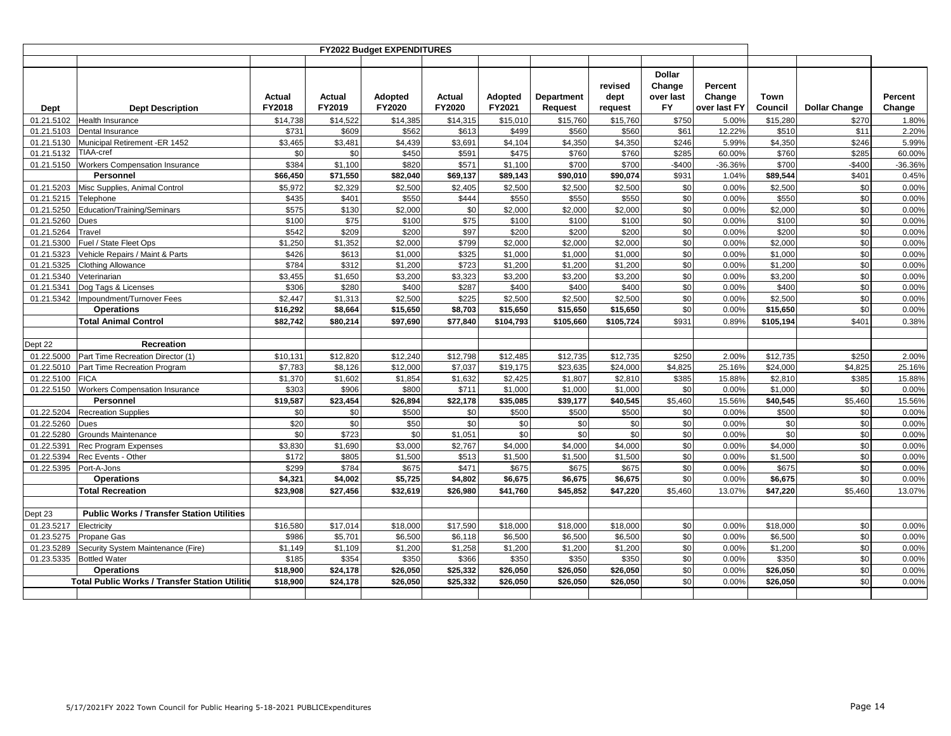|            |                                                        |                  |                  | <b>FY2022 Budget EXPENDITURES</b> |                  |                          |                       |                            |                                  |                                   |                 |                      |                   |
|------------|--------------------------------------------------------|------------------|------------------|-----------------------------------|------------------|--------------------------|-----------------------|----------------------------|----------------------------------|-----------------------------------|-----------------|----------------------|-------------------|
|            |                                                        |                  |                  |                                   |                  |                          |                       |                            | <b>Dollar</b>                    |                                   |                 |                      |                   |
| Dept       | <b>Dept Description</b>                                | Actual<br>FY2018 | Actual<br>FY2019 | <b>Adopted</b><br>FY2020          | Actual<br>FY2020 | <b>Adopted</b><br>FY2021 | Department<br>Request | revised<br>dept<br>request | Change<br>over last<br><b>FY</b> | Percent<br>Change<br>over last FY | Town<br>Council | <b>Dollar Change</b> | Percent<br>Change |
| 01.21.5102 | <b>Health Insurance</b>                                | \$14,738         | \$14,522         | \$14,385                          | \$14,315         | \$15,010                 | \$15,760              | \$15,760                   | \$750                            | 5.00%                             | \$15,280        | \$270                | 1.80%             |
| 01.21.5103 | Dental Insurance                                       | \$731            | \$609            | \$562                             | \$613            | \$499                    | \$560                 | \$560                      | \$61                             | 12.22%                            | \$510           | \$11                 | 2.20%             |
| 01.21.5130 | Municipal Retirement -ER 1452                          | \$3,465          | \$3,481          | \$4,439                           | \$3,691          | \$4,104                  | \$4,350               | \$4,350                    | \$246                            | 5.99%                             | \$4,350         | \$246                | 5.99%             |
| 01.21.5132 | <b>TIAA-cref</b>                                       | \$0              | \$0              | \$450                             | \$591            | \$475                    | \$760                 | \$760                      | \$285                            | 60.00%                            | \$760           | \$285                | 60.00%            |
| 01.21.5150 | <b>Workers Compensation Insurance</b>                  | \$384            | \$1,100          | \$820                             | \$571            | \$1.100                  | \$700                 | \$700                      | $-$400$                          | -36.36%                           | \$700           | $-$400$              | -36.36%           |
|            | Personnel                                              | \$66,450         | \$71,550         | \$82,040                          | \$69,137         | \$89,143                 | \$90,010              | \$90.074                   | \$931                            | 1.04%                             | \$89,544        | \$401                | 0.45%             |
| 01.21.5203 | Misc Supplies, Animal Control                          | \$5,972          | \$2,329          | \$2,500                           | \$2,405          | \$2,500                  | \$2,500               | \$2,500                    | \$0                              | 0.00%                             | \$2,500         | \$0                  | 0.00%             |
| 01.21.5215 | Telephone                                              | \$435            | \$401            | \$550                             | \$444            | \$550                    | \$550                 | \$550                      | \$0                              | 0.00%                             | \$550           | \$0                  | 0.00%             |
| 01.21.5250 | Education/Training/Seminars                            | \$575            | \$130            | \$2,000                           | \$0              | \$2,000                  | \$2,000               | \$2,000                    | \$0                              | 0.00%                             | \$2,000         | \$0                  | 0.00%             |
| 01.21.5260 | Dues                                                   | \$100            | \$75             | \$100                             | \$75             | \$100                    | \$100                 | \$100                      | \$0                              | 0.00%                             | \$100           | \$0                  | 0.00%             |
| 01.21.5264 | Travel                                                 | \$542            | \$209            | \$200                             | \$97             | \$200                    | \$200                 | \$200                      | \$0                              | 0.00%                             | \$200           | \$0                  | 0.00%             |
| 01.21.5300 | Fuel / State Fleet Ops                                 | \$1,250          | \$1,352          | \$2,000                           | \$799            | \$2,000                  | \$2,000               | \$2,000                    | \$0                              | 0.00%                             | \$2,000         | \$0                  | 0.00%             |
| 01.21.5323 | Vehicle Repairs / Maint & Parts                        | \$426            | \$613            | \$1.000                           | \$325            | \$1,000                  | \$1,000               | \$1,000                    | \$0                              | 0.00%                             | \$1.000         | \$0                  | 0.00%             |
| 01.21.5325 | <b>Clothing Allowance</b>                              | \$784            | \$312            | \$1,200                           | \$723            | \$1,200                  | \$1,200               | \$1,200                    | \$0                              | 0.00%                             | \$1.200         | \$0                  | 0.00%             |
| 01.21.5340 | Veterinarian                                           | \$3.455          | \$1,650          | \$3.200                           | \$3,323          | \$3.200                  | \$3.200               | \$3,200                    | \$0                              | 0.00%                             | \$3.200         | \$0                  | 0.00%             |
| 01.21.5341 | Dog Tags & Licenses                                    | \$306            | \$280            | \$400                             | \$287            | \$400                    | \$400                 | \$400                      | \$0                              | 0.00%                             | \$400           | \$0                  | 0.00%             |
| 01.21.5342 | Impoundment/Turnover Fees                              | \$2,447          | \$1,313          | \$2,500                           | \$225            | \$2,500                  | \$2,500               | \$2,500                    | \$0                              | 0.00%                             | \$2,500         | \$0                  | 0.00%             |
|            | <b>Operations</b>                                      | \$16,292         | \$8,664          | \$15,650                          | \$8,703          | \$15,650                 | \$15,650              | \$15,650                   | \$0                              | 0.00%                             | \$15,650        | \$0                  | 0.00%             |
|            | <b>Total Animal Control</b>                            | \$82,742         | \$80,214         | \$97,690                          | \$77,840         | \$104,793                | \$105,660             | \$105,724                  | \$931                            | 0.89%                             | \$105,194       | \$401                | 0.38%             |
|            |                                                        |                  |                  |                                   |                  |                          |                       |                            |                                  |                                   |                 |                      |                   |
| Dept 22    | Recreation                                             |                  |                  |                                   |                  |                          |                       |                            |                                  |                                   |                 |                      |                   |
| 01.22.5000 | Part Time Recreation Director (1)                      | \$10,131         | \$12.820         | \$12,240                          | \$12,798         | \$12,485                 | \$12.735              | \$12.735                   | \$250                            | 2.00%                             | \$12,735        | \$250                | 2.00%             |
| 01.22.5010 | Part Time Recreation Program                           | \$7,783          | \$8.126          | \$12,000                          | \$7.037          | \$19,175                 | \$23.635              | \$24.000                   | \$4.825                          | 25.16%                            | \$24.000        | \$4.825              | 25.16%            |
| 01.22.5100 | <b>FICA</b>                                            | \$1,370          | \$1,602          | \$1.854                           | \$1,632          | \$2.425                  | \$1,807               | \$2,810                    | \$385                            | 15.88%                            | \$2,810         | \$385                | 15.88%            |
| 01.22.5150 | <b>Workers Compensation Insurance</b>                  | \$303            | \$906            | \$800                             | \$711            | \$1,000                  | \$1,000               | \$1,000                    | \$0                              | 0.00%                             | \$1,000         | \$0                  | 0.00%             |
|            | Personnel                                              | \$19,587         | \$23,454         | \$26,894                          | \$22,178         | \$35,085                 | \$39,177              | \$40,545                   | \$5,460                          | 15.56%                            | \$40,545        | \$5,460              | 15.56%            |
| 01.22.5204 | <b>Recreation Supplies</b>                             | \$0              | \$0              | \$500                             | \$0              | \$500                    | \$500                 | \$500                      | \$0                              | 0.00%                             | \$500           | \$0                  | 0.00%             |
| 01.22.5260 | Dues                                                   | \$20             | \$0              | \$50                              | \$0              | \$0                      | \$0                   | \$0                        | \$0                              | 0.00%                             | \$0             | \$0                  | 0.00%             |
| 01.22.5280 | Grounds Maintenance                                    | \$0              | \$723            | \$0                               | \$1,051          | \$0                      | \$0                   | \$0                        | \$0                              | 0.00%                             | \$0             | \$0                  | 0.00%             |
| 01.22.5391 | Rec Program Expenses                                   | \$3,830          | \$1,690          | \$3,000                           | \$2,767          | \$4,000                  | \$4,000               | \$4,000                    | \$0                              | 0.00%                             | \$4,000         | \$0                  | 0.00%             |
| 01.22.5394 | Rec Events - Other                                     | \$172            | \$805            | \$1,500                           | \$513            | \$1,500                  | \$1,500               | \$1,500                    | \$0                              | 0.00%                             | \$1,500         | \$0                  | 0.00%             |
| 01.22.5395 | Port-A-Jons                                            | \$299            | \$784            | \$675                             | \$471            | \$675                    | \$675                 | \$675                      | \$0                              | 0.00%                             | \$675           | \$0                  | 0.00%             |
|            | <b>Operations</b>                                      | \$4,321          | \$4,002          | \$5,725                           | \$4,802          | \$6,675                  | \$6,675               | \$6,675                    | \$0                              | 0.00%                             | \$6,675         | \$0                  | 0.00%             |
|            | <b>Total Recreation</b>                                | \$23,908         | \$27,456         | \$32,619                          | \$26,980         | \$41,760                 | \$45,852              | \$47,220                   | \$5,460                          | 13.07%                            | \$47,220        | \$5,460              | 13.07%            |
|            |                                                        |                  |                  |                                   |                  |                          |                       |                            |                                  |                                   |                 |                      |                   |
| Dept 23    | <b>Public Works / Transfer Station Utilities</b>       |                  |                  |                                   |                  |                          |                       |                            |                                  |                                   |                 |                      |                   |
| 01.23.5217 | Electricity                                            | \$16,580         | \$17,014         | \$18,000                          | \$17,590         | \$18,000                 | \$18,000              | \$18,000                   | \$0                              | 0.00%                             | \$18,000        | \$0                  | 0.00%             |
| 01.23.5275 | Propane Gas                                            | \$986            | \$5,701          | \$6,500                           | \$6,118          | \$6,500                  | \$6,500               | \$6,500                    | \$0                              | 0.00%                             | \$6,500         | \$0                  | 0.00%             |
| 01.23.5289 | Security System Maintenance (Fire)                     | \$1,149          | \$1,109          | \$1,200                           | \$1,258          | \$1,200                  | \$1,200               | \$1,200                    | \$0                              | 0.00%                             | \$1,200         | \$0                  | 0.00%             |
| 01.23.5335 | <b>Bottled Water</b>                                   | \$185            | \$354            | \$350                             | \$366            | \$350                    | \$350                 | \$350                      | \$0                              | 0.00%                             | \$350           | \$0                  | 0.00%             |
|            | <b>Operations</b>                                      | \$18,900         | \$24,178         | \$26,050                          | \$25,332         | \$26,050                 | \$26,050              | \$26.050                   | \$0                              | 0.00%                             | \$26,050        | \$0                  | 0.00%             |
|            | <b>Total Public Works / Transfer Station Utilition</b> | \$18,900         | \$24,178         | \$26,050                          | \$25,332         | \$26,050                 | \$26,050              | \$26,050                   | \$0                              | 0.00%                             | \$26,050        | \$0                  | 0.00%             |
|            |                                                        |                  |                  |                                   |                  |                          |                       |                            |                                  |                                   |                 |                      |                   |
|            |                                                        |                  |                  |                                   |                  |                          |                       |                            |                                  |                                   |                 |                      |                   |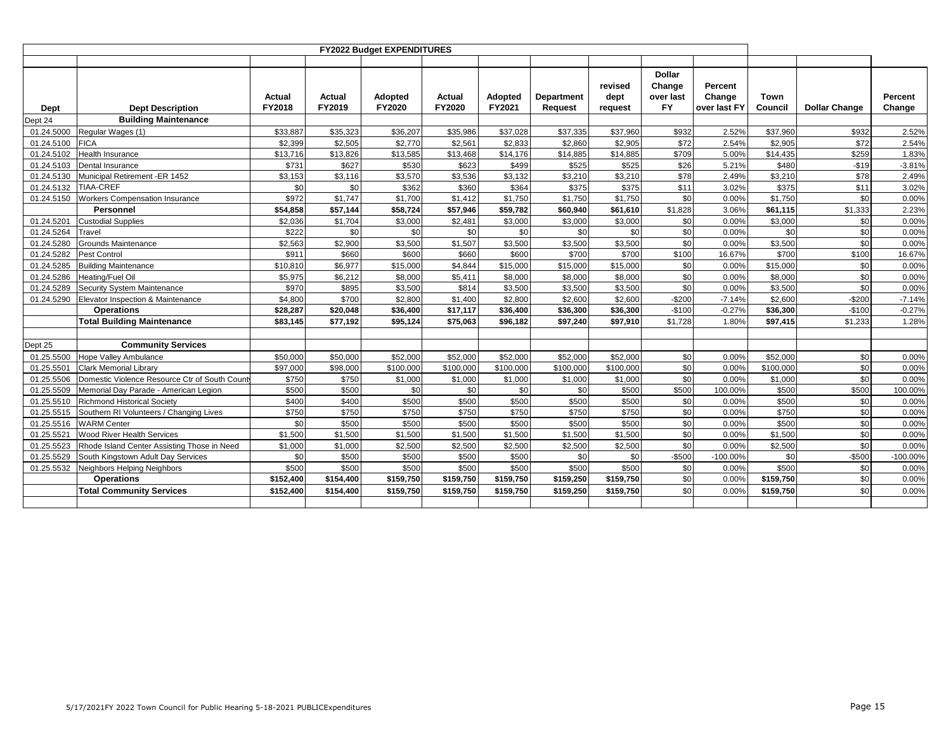|            |                                               |                  |                  | FY2022 Budget EXPENDITURES |                  |                   |                              |                            |                                                   |                                   |                 |                      |                   |
|------------|-----------------------------------------------|------------------|------------------|----------------------------|------------------|-------------------|------------------------------|----------------------------|---------------------------------------------------|-----------------------------------|-----------------|----------------------|-------------------|
| Dept       | <b>Dept Description</b>                       | Actual<br>FY2018 | Actual<br>FY2019 | <b>Adopted</b><br>FY2020   | Actual<br>FY2020 | Adopted<br>FY2021 | Department<br><b>Request</b> | revised<br>dept<br>request | <b>Dollar</b><br>Change<br>over last<br><b>FY</b> | Percent<br>Change<br>over last FY | Town<br>Council | <b>Dollar Change</b> | Percent<br>Change |
| Dept 24    | <b>Building Maintenance</b>                   |                  |                  |                            |                  |                   |                              |                            |                                                   |                                   |                 |                      |                   |
| 01.24.5000 | Regular Wages (1)                             | \$33,887         | \$35,323         | \$36,207                   | \$35,986         | \$37,028          | \$37,335                     | \$37,960                   | \$932                                             | 2.52%                             | \$37,960        | \$932                | 2.52%             |
| 01.24.5100 | <b>FICA</b>                                   | \$2.399          | \$2.505          | \$2,770                    | \$2.561          | \$2.833           | \$2,860                      | \$2,905                    | \$72                                              | 2.54%                             | \$2.905         | \$72                 | 2.54%             |
| 01.24.5102 | Health Insurance                              | \$13,716         | \$13,826         | \$13,585                   | \$13,468         | \$14,176          | \$14,885                     | \$14,885                   | \$709                                             | 5.00%                             | \$14,435        | \$259                | 1.83%             |
| 01.24.5103 | <b>Dental Insurance</b>                       | \$731            | \$627            | \$530                      | \$623            | \$499             | \$525                        | \$525                      | \$26                                              | 5.21%                             | \$480           | $-$19$               | $-3.81%$          |
| 01.24.5130 | Municipal Retirement -ER 1452                 | \$3,153          | \$3,116          | \$3,570                    | \$3,536          | \$3,132           | \$3,210                      | \$3,210                    | \$78                                              | 2.49%                             | \$3,210         | \$78                 | 2.49%             |
| 01.24.5132 | <b>TIAA-CREF</b>                              | \$0              | \$0              | \$362                      | \$360            | \$364             | \$375                        | \$375                      | \$11                                              | 3.02%                             | \$375           | \$11                 | 3.02%             |
| 01.24.5150 | <b>Workers Compensation Insurance</b>         | \$972            | \$1,747          | \$1,700                    | \$1,412          | \$1,750           | \$1,750                      | \$1,750                    | \$0                                               | 0.00%                             | \$1,750         | \$0                  | 0.00%             |
|            | Personnel                                     | \$54,858         | \$57,144         | \$58,724                   | \$57,946         | \$59,782          | \$60,940                     | \$61,610                   | \$1,828                                           | 3.06%                             | \$61,115        | \$1,333              | 2.23%             |
| 01.24.5201 | <b>Custodial Supplies</b>                     | \$2,036          | \$1,704          | \$3,000                    | \$2,481          | \$3,000           | \$3,000                      | \$3,000                    | \$0                                               | 0.00%                             | \$3,000         | \$0                  | 0.00%             |
| 01.24.5264 | Travel                                        | \$222            | \$0              | \$0                        | \$0              | \$0               | \$0                          | \$0                        | \$0                                               | 0.00%                             | \$0             | \$0                  | 0.00%             |
| 01.24.5280 | Grounds Maintenance                           | \$2,563          | \$2,900          | \$3,500                    | \$1,507          | \$3,500           | \$3,500                      | \$3,500                    | \$0                                               | 0.00%                             | \$3,500         | \$0                  | 0.00%             |
| 01.24.5282 | Pest Control                                  | \$911            | \$660            | \$600                      | \$660            | \$600             | \$700                        | \$700                      | \$100                                             | 16.67%                            | \$700           | \$100                | 16.67%            |
| 01.24.5285 | <b>Building Maintenance</b>                   | \$10,810         | \$6,977          | \$15,000                   | \$4,844          | \$15,000          | \$15,000                     | \$15,000                   | \$0                                               | 0.00%                             | \$15,000        | \$0                  | 0.00%             |
| 01.24.5286 | Heating/Fuel Oil                              | \$5,975          | \$6,212          | \$8,000                    | \$5,411          | \$8,000           | \$8,000                      | \$8,000                    | \$0                                               | 0.00%                             | \$8,000         | \$0                  | 0.00%             |
| 01.24.5289 | <b>Security System Maintenance</b>            | \$970            | \$895            | \$3,500                    | \$814            | \$3,500           | \$3,500                      | \$3,500                    | \$0                                               | 0.00%                             | \$3,500         | \$0                  | 0.00%             |
| 01.24.5290 | Elevator Inspection & Maintenance             | \$4,800          | \$700            | \$2,800                    | \$1,400          | \$2,800           | \$2,600                      | \$2,600                    | $-$200$                                           | $-7.14%$                          | \$2,600         | $-$200$              | $-7.14%$          |
|            | <b>Operations</b>                             | \$28,287         | \$20,048         | \$36,400                   | \$17,117         | \$36,400          | \$36,300                     | \$36,300                   | $-$100$                                           | $-0.27%$                          | \$36,300        | $-$100$              | $-0.27%$          |
|            | <b>Total Building Maintenance</b>             | \$83,145         | \$77,192         | \$95,124                   | \$75,063         | \$96,182          | \$97,240                     | \$97,910                   | \$1,728                                           | 1.80%                             | \$97,415        | \$1,233              | 1.28%             |
|            |                                               |                  |                  |                            |                  |                   |                              |                            |                                                   |                                   |                 |                      |                   |
| Dept 25    | <b>Community Services</b>                     |                  |                  |                            |                  |                   |                              |                            |                                                   |                                   |                 |                      |                   |
| 01.25.5500 | Hope Valley Ambulance                         | \$50,000         | \$50,000         | \$52,000                   | \$52,000         | \$52,000          | \$52,000                     | \$52,000                   | \$0                                               | 0.00%                             | \$52,000        | \$0                  | 0.00%             |
| 01.25.5501 | <b>Clark Memorial Library</b>                 | \$97,000         | \$98,000         | \$100,000                  | \$100,000        | \$100,000         | \$100,000                    | \$100,000                  | \$0                                               | 0.00%                             | \$100,000       | \$0                  | 0.00%             |
| 01.25.5506 | Domestic Violence Resource Ctr of South Count | \$750            | \$750            | \$1,000                    | \$1,000          | \$1,000           | \$1,000                      | \$1,000                    | \$0                                               | 0.00%                             | \$1,000         | \$0                  | 0.00%             |
| 01.25.5509 | Memorial Day Parade - American Legion         | \$500            | \$500            | \$0                        | \$0              | \$0               | \$0                          | \$500                      | \$500                                             | 100.00%                           | \$500           | \$500                | 100.00%           |
| 01.25.5510 | Richmond Historical Society                   | \$400            | \$400            | \$500                      | \$500            | \$500             | \$500                        | \$500                      | \$0                                               | 0.00%                             | \$500           | \$0                  | 0.00%             |
| 01.25.5515 | Southern RI Volunteers / Changing Lives       | \$750            | \$750            | \$750                      | \$750            | \$750             | \$750                        | \$750                      | \$0                                               | 0.00%                             | \$750           | \$0                  | 0.00%             |
| 01.25.5516 | <b>WARM Center</b>                            | \$0              | \$500            | \$500                      | \$500            | \$500             | \$500                        | \$500                      | \$0                                               | 0.00%                             | \$500           | \$0                  | 0.00%             |
| 01.25.5521 | <b>Wood River Health Services</b>             | \$1,500          | \$1,500          | \$1,500                    | \$1,500          | \$1,500           | \$1,500                      | \$1,500                    | \$0                                               | 0.00%                             | \$1,500         | \$0                  | 0.00%             |
| 01.25.5523 | Rhode Island Center Assisting Those in Need   | \$1,000          | \$1.000          | \$2,500                    | \$2,500          | \$2.500           | \$2.500                      | \$2,500                    | \$0                                               | 0.00%                             | \$2.500         | \$0                  | 0.00%             |
| 01.25.5529 | South Kingstown Adult Day Services            | \$0              | \$500            | \$500                      | \$500            | \$500             | \$0                          | \$0                        | $-$500$                                           | $-100.00%$                        | \$0             | $-$500$              | $-100.00\%$       |
| 01.25.5532 | Neighbors Helping Neighbors                   | \$500            | \$500            | \$500                      | \$500            | \$500             | \$500                        | \$500                      | \$0                                               | 0.00%                             | \$500           | \$0                  | 0.00%             |
|            | <b>Operations</b>                             | \$152,400        | \$154,400        | \$159,750                  | \$159,750        | \$159,750         | \$159,250                    | \$159,750                  | \$0                                               | 0.00%                             | \$159,750       | \$0                  | 0.00%             |
|            | <b>Total Community Services</b>               | \$152,400        | \$154,400        | \$159,750                  | \$159,750        | \$159,750         | \$159,250                    | \$159,750                  | \$0                                               | 0.00%                             | \$159,750       | \$0                  | 0.00%             |
|            |                                               |                  |                  |                            |                  |                   |                              |                            |                                                   |                                   |                 |                      |                   |
|            |                                               |                  |                  |                            |                  |                   |                              |                            |                                                   |                                   |                 |                      |                   |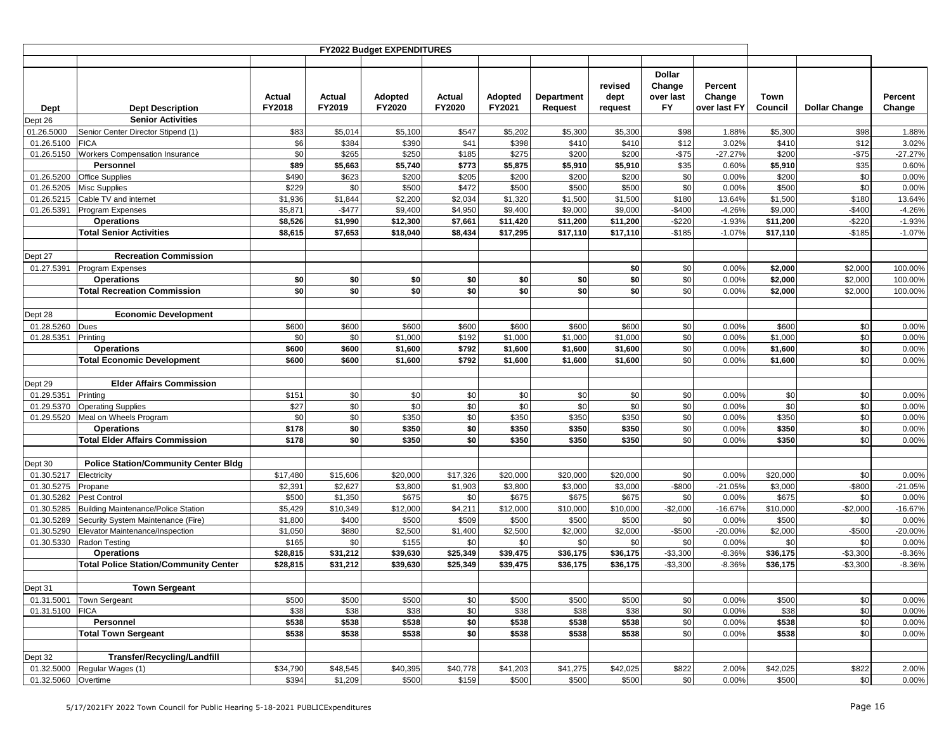|                          |                                                            |                  |                     | FY2022 Budget EXPENDITURES      |                   |                   |                              |                            |                                                   |                                   |                   |                      |                    |
|--------------------------|------------------------------------------------------------|------------------|---------------------|---------------------------------|-------------------|-------------------|------------------------------|----------------------------|---------------------------------------------------|-----------------------------------|-------------------|----------------------|--------------------|
|                          |                                                            |                  |                     |                                 |                   |                   |                              |                            |                                                   |                                   |                   |                      |                    |
| Dept                     | <b>Dept Description</b><br><b>Senior Activities</b>        | Actual<br>FY2018 | Actual<br>FY2019    | <b>Adopted</b><br><b>FY2020</b> | Actual<br>FY2020  | Adopted<br>FY2021 | <b>Department</b><br>Request | revised<br>dept<br>request | <b>Dollar</b><br>Change<br>over last<br><b>FY</b> | Percent<br>Change<br>over last FY | Town<br>Council   | <b>Dollar Change</b> | Percent<br>Change  |
| Dept 26<br>01.26.5000    | Senior Center Director Stipend (1)                         | \$83             | \$5,014             | \$5,100                         | \$547             | \$5,202           | \$5,300                      | \$5,300                    | \$98                                              | 1.88%                             | \$5,300           | \$98                 | 1.88%              |
| 01.26.5100               | <b>FICA</b>                                                | \$6              | \$384               | \$390                           | \$41              | \$398             | \$410                        | \$410                      | \$12                                              | 3.02%                             | \$410             | \$12                 | 3.02%              |
| 01.26.5150               | Workers Compensation Insurance                             | \$0              | \$265               | \$250                           | \$185             | \$275             | \$200                        | \$200                      | $-$75$                                            | $-27.27%$                         | \$200             | $-$75$               | $-27.27%$          |
|                          | <b>Personnel</b>                                           | \$89             | \$5,663             | \$5,740                         | \$773             | \$5,875           | \$5,910                      | \$5,910                    | \$35                                              | 0.60%                             | \$5,910           | \$35                 | 0.60%              |
| 01.26.5200               | <b>Office Supplies</b>                                     | \$490            | \$623               | \$200                           | \$205             | \$200             | \$200                        | \$200                      | \$0                                               | 0.00%                             | \$200             | \$0                  | 0.00%              |
| 01.26.5205               | <b>Misc Supplies</b>                                       | \$229            | \$0                 | \$500                           | \$472             | \$500             | \$500                        | \$500                      | \$0                                               | 0.00%                             | \$500             | \$0                  | 0.00%              |
| 01.26.5215               | Cable TV and internet                                      | \$1,936          | \$1,844             | \$2,200                         | \$2,034           | \$1,320           | \$1,500                      | \$1,500                    | \$180                                             | 13.64%                            | \$1,500           | \$180                | 13.64%             |
| 01.26.5391               | Program Expenses                                           | \$5,871          | $-$477$             | \$9,400                         | \$4,950           | \$9,400           | \$9,000                      | \$9,000                    | $-$400$                                           | $-4.26%$                          | \$9,000           | $-$400$              | $-4.26%$           |
|                          | <b>Operations</b>                                          | \$8,526          | \$1,990             | \$12,300                        | \$7,661           | \$11,420          | \$11,200                     | \$11,200                   | $-$220$                                           | $-1.93%$                          | \$11,200          | $-$220$              | $-1.93%$           |
|                          | <b>Total Senior Activities</b>                             | \$8,615          | \$7,653             | \$18,040                        | \$8,434           | \$17,295          | \$17,110                     | \$17,110                   | $-$185$                                           | $-1.07%$                          | \$17,110          | $-$185$              | $-1.07%$           |
|                          |                                                            |                  |                     |                                 |                   |                   |                              |                            |                                                   |                                   |                   |                      |                    |
| Dept 27                  | <b>Recreation Commission</b>                               |                  |                     |                                 |                   |                   |                              |                            |                                                   |                                   |                   |                      |                    |
| 01.27.5391               | Program Expenses                                           |                  |                     |                                 |                   |                   |                              | \$0                        | \$0                                               | 0.00%                             | \$2,000           | \$2,000              | 100.00%            |
|                          | <b>Operations</b>                                          | \$0              | \$0                 | \$0                             | \$0               | \$0               | \$0                          | \$0                        | \$0                                               | 0.00%                             | \$2,000           | \$2,000              | 100.00%            |
|                          | <b>Total Recreation Commission</b>                         | \$0              | \$0                 | \$0                             | \$0               | \$0               | \$0                          | \$0                        | \$0                                               | 0.00%                             | \$2,000           | \$2,000              | 100.00%            |
|                          |                                                            |                  |                     |                                 |                   |                   |                              |                            |                                                   |                                   |                   |                      |                    |
| Dept 28                  | <b>Economic Development</b>                                |                  | \$600               | \$600                           |                   | \$600             | \$600                        | \$600                      | \$0                                               | 0.00%                             | \$600             |                      | 0.00%              |
| 01.28.5260<br>01.28.5351 | Dues<br>Printing                                           | \$600<br>\$0     | \$0                 | \$1,000                         | \$600<br>\$192    | \$1,000           | \$1,000                      | \$1,000                    | \$0                                               | 0.00%                             | \$1,000           | \$0<br>\$0           | 0.00%              |
|                          | <b>Operations</b>                                          | \$600            | \$600               | \$1,600                         | \$792             | \$1,600           | \$1,600                      | \$1,600                    | \$0                                               | 0.00%                             | \$1,600           | \$0                  | 0.00%              |
|                          | <b>Total Economic Development</b>                          | \$600            | \$600               | \$1,600                         | \$792             | \$1,600           | \$1,600                      | \$1,600                    | \$0                                               | 0.00%                             | \$1,600           | \$0                  | 0.00%              |
|                          |                                                            |                  |                     |                                 |                   |                   |                              |                            |                                                   |                                   |                   |                      |                    |
| Dept 29                  | <b>Elder Affairs Commission</b>                            |                  |                     |                                 |                   |                   |                              |                            |                                                   |                                   |                   |                      |                    |
| 01.29.5351               | Printing                                                   | \$151            | \$0                 | \$0                             | \$0               | \$0               | \$0                          | \$0                        | \$0                                               | 0.00%                             | \$0               | \$0                  | 0.00%              |
| 01.29.5370               | <b>Operating Supplies</b>                                  | \$27             | \$0                 | \$0                             | \$0               | \$0               | \$0                          | \$0                        | \$0                                               | 0.00%                             | \$0               | \$0                  | 0.00%              |
| 01.29.5520               | Meal on Wheels Program                                     | \$0              | \$0                 | \$350                           | \$0               | \$350             | \$350                        | \$350                      | \$0                                               | 0.00%                             | \$350             | \$0                  | 0.00%              |
|                          | <b>Operations</b>                                          | \$178            | \$0                 | \$350                           | \$0               | \$350             | \$350                        | \$350                      | \$0                                               | 0.00%                             | \$350             | \$0                  | 0.00%              |
|                          | <b>Total Elder Affairs Commission</b>                      | \$178            | \$0                 | \$350                           | \$0               | \$350             | \$350                        | \$350                      | \$0                                               | 0.00%                             | \$350             | \$0                  | 0.00%              |
|                          |                                                            |                  |                     |                                 |                   |                   |                              |                            |                                                   |                                   |                   |                      |                    |
| Dept 30                  | <b>Police Station/Community Center Bldg</b>                |                  |                     |                                 |                   |                   |                              |                            |                                                   |                                   |                   |                      |                    |
| 01.30.5217               | Electricity                                                | \$17,480         | \$15,606            | \$20,000                        | \$17,326          | \$20,000          | \$20,000                     | \$20,000                   | \$0                                               | 0.00%                             | \$20,000          | \$0                  | 0.00%              |
| 01.30.5275               | Propane                                                    | \$2,391          | \$2,627             | \$3,800                         | \$1,903           | \$3,800           | \$3,000                      | \$3,000                    | -\$800                                            | $-21.05%$                         | \$3,000           | $-$800$              | $-21.05%$          |
| 01.30.5282<br>01.30.5285 | Pest Control<br><b>Building Maintenance/Police Station</b> | \$500<br>\$5,429 | \$1,350<br>\$10,349 | \$675<br>\$12,000               | \$0<br>\$4,211    | \$675<br>\$12,000 | \$675<br>\$10,000            | \$675<br>\$10,000          | \$0<br>$-$2,000$                                  | 0.00%<br>$-16.67%$                | \$675<br>\$10,000 | \$0<br>$-$2,000$     | 0.00%<br>$-16.67%$ |
| 01.30.5289               | Security System Maintenance (Fire)                         | \$1,800          | \$400               | \$500                           | \$509             | \$500             | \$500                        | \$500                      | \$0                                               | 0.00%                             | \$500             | \$0                  | 0.00%              |
| 01.30.5290               | Elevator Maintenance/Inspection                            | \$1,050          | \$880               | \$2,500                         | \$1,400           | \$2,500           | \$2,000                      | \$2,000                    | $-$500$                                           | $-20.00%$                         | \$2,000           | $-$500$              | $-20.00%$          |
| 01.30.5330               | Radon Testing                                              | \$165            | \$0                 | \$155                           | \$0               | \$0               | \$0                          | \$0                        | \$0                                               | 0.00%                             | \$0               | \$0                  | 0.00%              |
|                          | <b>Operations</b>                                          | \$28,815         | \$31,212            | \$39,630                        | \$25,349          | \$39,475          | \$36,175                     | \$36,175                   | $-$3,300$                                         | $-8.36%$                          | \$36,175          | $-$3,300$            | $-8.36%$           |
|                          | <b>Total Police Station/Community Center</b>               | \$28,815         | \$31,212            | \$39,630                        | \$25,349          | \$39,475          | \$36,175                     | \$36,175                   | $-$3,300$                                         | $-8.36%$                          | \$36,175          | $-$3,300$            | $-8.36%$           |
|                          |                                                            |                  |                     |                                 |                   |                   |                              |                            |                                                   |                                   |                   |                      |                    |
| Dept 31                  | <b>Town Sergeant</b>                                       |                  |                     |                                 |                   |                   |                              |                            |                                                   |                                   |                   |                      |                    |
| 01.31.5001               | <b>Town Sergeant</b>                                       | \$500            | \$500               | \$500                           | \$0               | \$500             | \$500                        | \$500                      | \$0                                               | 0.00%                             | \$500             | \$0                  | 0.00%              |
| 01.31.5100 FICA          |                                                            | \$38             | \$38                | \$38                            | \$0               | \$38              | \$38                         | \$38                       | \$0                                               | 0.00%                             | \$38              | \$0                  | 0.00%              |
|                          | Personnel                                                  | \$538            | \$538               | \$538                           | \$0               | \$538             | \$538                        | \$538                      | \$0                                               | 0.00%                             | \$538             | \$0                  | 0.00%              |
|                          | <b>Total Town Sergeant</b>                                 | \$538            | \$538               | \$538                           | \$0               | \$538             | \$538                        | \$538                      | \$0                                               | 0.00%                             | \$538             | \$0                  | 0.00%              |
|                          |                                                            |                  |                     |                                 |                   |                   |                              |                            |                                                   |                                   |                   |                      |                    |
| Dept 32                  | <b>Transfer/Recycling/Landfill</b>                         |                  |                     |                                 |                   |                   |                              |                            |                                                   |                                   |                   |                      |                    |
| 01.32.5060               | 01.32.5000 Regular Wages (1)                               | \$34,790         | \$48,545            | \$40,395<br>\$500               | \$40,778<br>\$159 | \$41,203          | \$41,275                     | \$42,025                   | \$822<br>\$0                                      | 2.00%<br>0.00%                    | \$42,025<br>\$500 | \$822                | 2.00%              |
|                          | Overtime                                                   | \$394            | \$1,209             |                                 |                   | \$500             | \$500                        | \$500                      |                                                   |                                   |                   | \$0                  | 0.00%              |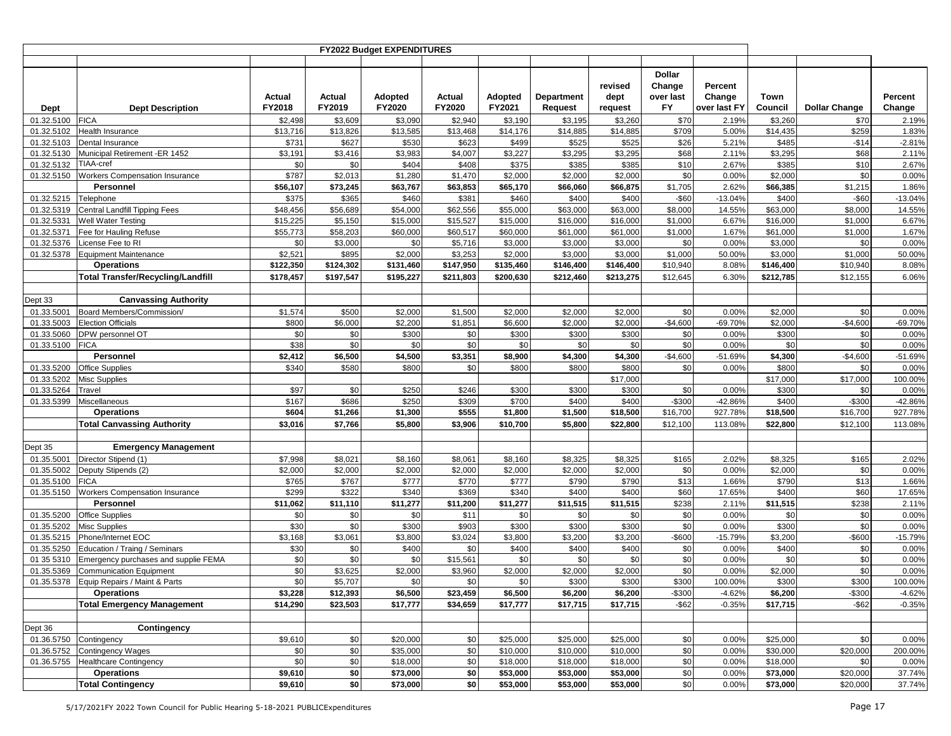|            |                                          |                  |                  | FY2022 Budget EXPENDITURES |                  |                   |                       |                            |                                                   |                                   |                 |                      |                   |
|------------|------------------------------------------|------------------|------------------|----------------------------|------------------|-------------------|-----------------------|----------------------------|---------------------------------------------------|-----------------------------------|-----------------|----------------------|-------------------|
|            |                                          |                  |                  |                            |                  |                   |                       |                            |                                                   |                                   |                 |                      |                   |
| Dept       | <b>Dept Description</b>                  | Actual<br>FY2018 | Actual<br>FY2019 | <b>Adopted</b><br>FY2020   | Actual<br>FY2020 | Adopted<br>FY2021 | Department<br>Request | revised<br>dept<br>request | <b>Dollar</b><br>Change<br>over last<br><b>FY</b> | Percent<br>Change<br>over last FY | Town<br>Council | <b>Dollar Change</b> | Percent<br>Change |
| 01.32.5100 | <b>FICA</b>                              | \$2,498          | \$3,609          | \$3,090                    | \$2,940          | \$3,190           | \$3,195               | \$3,260                    | \$70                                              | 2.19%                             | \$3,260         | \$70                 | 2.19%             |
| 01.32.5102 | Health Insurance                         | \$13,716         | \$13,826         | \$13,585                   | \$13,468         | \$14,176          | \$14,885              | \$14,885                   | \$709                                             | 5.00%                             | \$14,435        | \$259                | 1.83%             |
| 01.32.5103 | Dental Insurance                         | \$731            | \$627            | \$530                      | \$623            | \$499             | \$525                 | \$525                      | \$26                                              | 5.21%                             | \$485           | $-$14$               | $-2.81%$          |
| 01.32.5130 | Municipal Retirement -ER 1452            | \$3,191          | \$3,416          | \$3,983                    | \$4,007          | \$3,227           | \$3,295               | \$3,295                    | \$68                                              | 2.11%                             | \$3,295         | \$68                 | 2.11%             |
| 01.32.5132 | <b>TIAA-cref</b>                         | \$0              | \$0              | \$404                      | \$408            | \$375             | \$385                 | \$385                      | \$10                                              | 2.67%                             | \$385           | \$10                 | 2.67%             |
| 01.32.5150 | <b>Workers Compensation Insurance</b>    | \$787            | \$2,013          | \$1,280                    | \$1,470          | \$2,000           | \$2,000               | \$2,000                    | \$0                                               | 0.00%                             | \$2,000         | \$0                  | 0.00%             |
|            | Personnel                                | \$56,107         | \$73,245         | \$63,767                   | \$63,853         | \$65,170          | \$66,060              | \$66,875                   | \$1,705                                           | 2.62%                             | \$66,385        | \$1,215              | 1.86%             |
| 01.32.5215 | Telephone                                | \$375            | \$365            | \$460                      | \$381            | \$460             | \$400                 | \$400                      | -\$60                                             | $-13.04%$                         | \$400           | $-$ \$60             | $-13.04%$         |
| 01.32.5319 | <b>Central Landfill Tipping Fees</b>     | \$48,456         | \$56,689         | \$54,000                   | \$62,556         | \$55,000          | \$63,000              | \$63,000                   | \$8,000                                           | 14.55%                            | \$63,000        | \$8,000              | 14.55%            |
| 01.32.5331 | <b>Well Water Testing</b>                | \$15,225         | \$5,150          | \$15,000                   | \$15,527         | \$15,000          | \$16,000              | \$16,000                   | \$1,000                                           | 6.67%                             | \$16,000        | \$1,000              | 6.67%             |
| 01.32.5371 | Fee for Hauling Refuse                   | \$55,773         | \$58,203         | \$60,000                   | \$60,517         | \$60,000          | \$61,000              | \$61,000                   | \$1,000                                           | 1.67%                             | \$61,000        | \$1,000              | 1.67%             |
| 01.32.5376 | License Fee to RI                        | \$0              | \$3,000          | \$0                        | \$5,716          | \$3,000           | \$3,000               | \$3,000                    | \$0                                               | 0.00%                             | \$3,000         | \$0                  | 0.00%             |
| 01.32.5378 | <b>Equipment Maintenance</b>             | \$2,521          | \$895            | \$2,000                    | \$3,253          | \$2,000           | \$3,000               | \$3,000                    | \$1,000                                           | 50.00%                            | \$3,000         | \$1,000              | 50.00%            |
|            | <b>Operations</b>                        | \$122,350        | \$124,302        | \$131,460                  | \$147,950        | \$135,460         | \$146,400             | \$146,400                  | \$10,940                                          | 8.08%                             | \$146,400       | \$10,940             | 8.08%             |
|            | <b>Total Transfer/Recycling/Landfill</b> | \$178,457        | \$197,547        | \$195,227                  | \$211,803        | \$200,630         | \$212,460             | \$213,275                  | \$12,645                                          | 6.30%                             | \$212,785       | \$12,155             | 6.06%             |
|            |                                          |                  |                  |                            |                  |                   |                       |                            |                                                   |                                   |                 |                      |                   |
| Dept 33    | <b>Canvassing Authority</b>              |                  |                  |                            |                  |                   |                       |                            |                                                   |                                   |                 |                      |                   |
| 01.33.5001 | Board Members/Commission/                | \$1,574          | \$500            | \$2,000                    | \$1,500          | \$2,000           | \$2,000               | \$2,000                    | \$0                                               | 0.00%                             | \$2,000         | \$0                  | 0.00%             |
| 01.33.5003 | <b>Election Officials</b>                | \$800            | \$6,000          | \$2,200                    | \$1,851          | \$6,600           | \$2,000               | \$2,000                    | $-$4,600$                                         | $-69.70%$                         | \$2,000         | $-$4,600$            | -69.70%           |
| 01.33.5060 | DPW personnel OT                         | \$0              | \$0              | \$300                      | \$0              | \$300             | \$300                 | \$300                      | \$0                                               | 0.00%                             | \$300           | \$0                  | 0.00%             |
| 01.33.5100 | <b>FICA</b>                              | \$38             | \$0              | \$0                        | \$0              | \$0               | \$0                   | \$0                        | \$0                                               | 0.00%                             | \$0             | \$0                  | 0.00%             |
|            | Personnel                                | \$2,412          | \$6,500          | \$4,500                    | \$3,351          | \$8,900           | \$4,300               | \$4,300                    | $-$4,600$                                         | $-51.69%$                         | \$4,300         | $-$4,600$            | -51.69%           |
| 01.33.5200 | <b>Office Supplies</b>                   | \$340            | \$580            | \$800                      | \$0              | \$800             | \$800                 | \$800                      | \$0                                               | 0.00%                             | \$800           | \$0                  | 0.00%             |
| 01.33.5202 | <b>Misc Supplies</b>                     |                  |                  |                            |                  |                   |                       | \$17,000                   |                                                   |                                   | \$17,000        | \$17,000             | 100.00%           |
| 01.33.5264 | Travel                                   | \$97             | \$0              | \$250                      | \$246            | \$300             | \$300                 | \$300                      | \$0                                               | 0.00%                             | \$300           | \$0                  | 0.00%             |
| 01.33.5399 | Miscellaneous                            | \$167            | \$686            | \$250                      | \$309            | \$700             | \$400                 | \$400                      | $-$300$                                           | $-42.86%$                         | \$400           | $-$300$              | -42.86%           |
|            | Operations                               | \$604            | \$1,266          | \$1,300                    | \$555            | \$1,800           | \$1,500               | \$18,500                   | \$16,700                                          | 927.78%                           | \$18,500        | \$16,700             | 927.78%           |
|            | <b>Total Canvassing Authority</b>        | \$3,016          | \$7,766          | \$5,800                    | \$3,906          | \$10,700          | \$5,800               | \$22,800                   | \$12,100                                          | 113.08%                           | \$22,800        | \$12,100             | 113.08%           |
|            |                                          |                  |                  |                            |                  |                   |                       |                            |                                                   |                                   |                 |                      |                   |
| Dept 35    | <b>Emergency Management</b>              |                  |                  |                            |                  |                   |                       |                            |                                                   |                                   |                 |                      |                   |
| 01.35.5001 | Director Stipend (1)                     | \$7,998          | \$8,021          | \$8,160                    | \$8,061          | \$8,160           | \$8,325               | \$8,325                    | \$165                                             | 2.02%                             | \$8,325         | \$165                | 2.02%             |
| 01.35.5002 | Deputy Stipends (2)                      | \$2,000          | \$2,000          | \$2,000                    | \$2,000          | \$2,000           | \$2,000               | \$2,000                    | \$0                                               | 0.00%                             | \$2,000         | \$0                  | 0.00%             |
| 01.35.5100 | <b>FICA</b>                              | \$765            | \$767            | \$777                      | \$770            | \$777             | \$790                 | \$790                      | \$13                                              | 1.66%                             | \$790           | \$13                 | 1.66%             |
| 01.35.5150 | <b>Workers Compensation Insurance</b>    | \$299            | \$322            | \$340                      | \$369            | \$340             | \$400                 | \$400                      | \$60                                              | 17.65%                            | \$400           | \$60                 | 17.65%            |
|            | Personnel                                | \$11,062         | \$11,110         | \$11,277                   | \$11,200         | \$11,277          | \$11,515              | \$11,515                   | \$238                                             | 2.11%                             | \$11,515        | \$238                | 2.11%             |
| 01.35.5200 | <b>Office Supplies</b>                   | \$0              | \$0              | \$0                        | \$11             | \$0               | \$0                   | \$0                        | \$0                                               | 0.00%                             | \$0             | \$0                  | 0.00%             |
| 01.35.5202 | <b>Misc Supplies</b>                     | \$30             | \$0              | \$300                      | \$903            | \$300             | \$300                 | \$300                      | \$0                                               | 0.00%                             | \$300           | \$0                  | 0.00%             |
| 01.35.5215 | Phone/Internet EOC                       | \$3,168          | \$3,061          | \$3,800                    | \$3,024          | \$3,800           | \$3,200               | \$3,200                    | $-$ \$600                                         | $-15.79%$                         | \$3,200         | -\$600               | -15.79%           |
| 01.35.5250 | Education / Traing / Seminars            | \$30             | \$0              | \$400                      | \$0              | \$400             | \$400                 | \$400                      | \$0                                               | 0.00%                             | \$400           | \$0                  | 0.00%             |
| 01 35 5310 | Emergency purchases and supplie FEMA     | \$0              | \$0              | \$0                        | \$15,561         | \$0               | \$0                   | \$0                        | \$0                                               | 0.00%                             | \$0             | \$0                  | 0.00%             |
| 01.35.5369 | <b>Communication Equipment</b>           | \$0              | \$3,625          | \$2,000                    | \$3,960          | \$2,000           | \$2,000               | \$2,000                    | \$0                                               | 0.00%                             | \$2,000         | \$0                  | 0.00%             |
|            | 01.35.5378 Equip Repairs / Maint & Parts | \$0              | \$5,707          | \$0                        | \$0              | \$0               | \$300                 | \$300                      | \$300                                             | 100.00%                           | \$300           | \$300                | 100.00%           |
|            | <b>Operations</b>                        | \$3,228          | \$12,393         | \$6,500                    | \$23,459         | \$6,500           | \$6,200               | \$6,200                    | $-$300$                                           | $-4.62%$                          | \$6,200         | $-$300$              | $-4.62%$          |
|            | <b>Total Emergency Management</b>        | \$14,290         | \$23,503         | \$17,777                   | \$34,659         | \$17,777          | \$17,715              | \$17,715                   | $-$ \$62                                          | $-0.35%$                          | \$17,715        | $-$ \$62             | $-0.35%$          |
|            |                                          |                  |                  |                            |                  |                   |                       |                            |                                                   |                                   |                 |                      |                   |
| Dept 36    | Contingency                              |                  |                  |                            |                  |                   |                       |                            |                                                   |                                   |                 |                      |                   |
|            | 01.36.5750 Contingency                   | \$9,610          | \$0              | \$20,000                   | \$0              | \$25,000          | \$25,000              | \$25,000                   | \$0                                               | 0.00%                             | \$25,000        | \$0                  | 0.00%             |
|            | 01.36.5752 Contingency Wages             | \$0              | \$0              | \$35,000                   | \$0              | \$10,000          | \$10,000              | \$10,000                   | \$0                                               | 0.00%                             | \$30,000        | \$20,000             | 200.00%           |
|            | 01.36.5755 Healthcare Contingency        | \$0              | \$0              | \$18,000                   | \$0              | \$18,000          | \$18,000              | \$18,000                   | \$0                                               | 0.00%                             | \$18,000        | \$0                  | 0.00%             |
|            | Operations                               | \$9,610          | \$0              | \$73,000                   | \$0              | \$53,000          | \$53,000              | \$53,000                   | \$0                                               | 0.00%                             | \$73,000        | \$20,000             | 37.74%            |
|            | <b>Total Contingency</b>                 | \$9,610          | \$0              | \$73,000                   | \$0              | \$53,000          | \$53,000              | \$53,000                   | \$0                                               | 0.00%                             | \$73,000        | \$20,000             | 37.74%            |
|            |                                          |                  |                  |                            |                  |                   |                       |                            |                                                   |                                   |                 |                      |                   |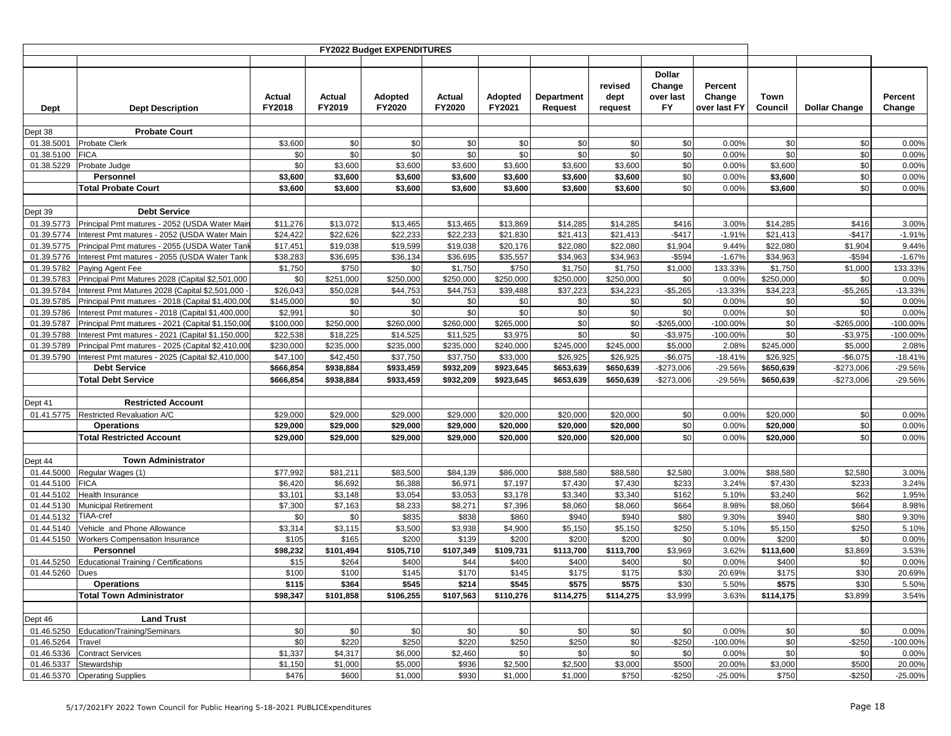|                          |                                                                                                      |                      |                  | FY2022 Budget EXPENDITURES |                  |                          |                                     |                            |                                                   |                                   |                 |                      |                   |
|--------------------------|------------------------------------------------------------------------------------------------------|----------------------|------------------|----------------------------|------------------|--------------------------|-------------------------------------|----------------------------|---------------------------------------------------|-----------------------------------|-----------------|----------------------|-------------------|
|                          |                                                                                                      |                      |                  |                            |                  |                          |                                     |                            |                                                   |                                   |                 |                      |                   |
| <b>Dept</b>              | <b>Dept Description</b>                                                                              | Actual<br>FY2018     | Actual<br>FY2019 | Adopted<br>FY2020          | Actual<br>FY2020 | <b>Adopted</b><br>FY2021 | <b>Department</b><br><b>Request</b> | revised<br>dept<br>request | <b>Dollar</b><br>Change<br>over last<br><b>FY</b> | Percent<br>Change<br>over last FY | Town<br>Council | <b>Dollar Change</b> | Percent<br>Change |
| Dept 38                  | <b>Probate Court</b>                                                                                 |                      |                  |                            |                  |                          |                                     |                            |                                                   |                                   |                 |                      |                   |
| 01.38.5001               | Probate Clerk                                                                                        | \$3,600              | \$0              | \$0                        | \$0              | \$0                      | \$0                                 | \$0                        | \$0                                               | 0.00%                             | \$0             | \$0                  | 0.00%             |
| 01.38.5100               | <b>FICA</b>                                                                                          | \$0                  | \$0              | \$0                        | \$0              | \$0                      | \$0                                 | \$0                        | \$0                                               | 0.00%                             | \$0             | \$0                  | 0.00%             |
| 01.38.5229               | Probate Judge                                                                                        | \$0                  | \$3,600          | \$3,600                    | \$3,600          | \$3,600                  | \$3,600                             | \$3,600                    | \$0                                               | 0.00%                             | \$3,600         | \$0                  | 0.00%             |
|                          | Personnel                                                                                            | \$3,600              | \$3,600          | \$3,600                    | \$3,600          | \$3,600                  | \$3,600                             | \$3,600                    | \$0                                               | 0.00%                             | \$3,600         | \$0                  | 0.00%             |
|                          | <b>Total Probate Court</b>                                                                           | \$3,600              | \$3,600          | \$3,600                    | \$3,600          | \$3,600                  | \$3,600                             | \$3,600                    | \$0                                               | 0.00%                             | \$3,600         | \$0                  | 0.00%             |
|                          |                                                                                                      |                      |                  |                            |                  |                          |                                     |                            |                                                   |                                   |                 |                      |                   |
| Dept 39                  | <b>Debt Service</b>                                                                                  |                      |                  |                            |                  |                          |                                     |                            |                                                   |                                   |                 |                      |                   |
| 01.39.5773               | Principal Pmt matures - 2052 (USDA Water Mai                                                         | \$11,276             | \$13,072         | \$13,465                   | \$13,465         | \$13,869                 | \$14,285                            | \$14,285                   | \$416                                             | 3.00%                             | \$14,285        | \$416                | 3.00%             |
| 01.39.5774               | Interest Pmt matures - 2052 (USDA Water Main                                                         | \$24,422             | \$22,626         | \$22,233                   | \$22,233         | \$21,830                 | \$21,413                            | \$21,413                   | $-$417$                                           | $-1.91%$                          | \$21,413        | $-$417$              | $-1.91%$          |
| 01.39.5775               | Principal Pmt matures - 2055 (USDA Water Tan                                                         | \$17,451             | \$19,038         | \$19,599                   | \$19,038         | \$20,176                 | \$22,080                            | $\overline{$}22,080$       | \$1,904                                           | 9.44%                             | \$22,080        | \$1,904              | 9.44%             |
| 01.39.5776               | Interest Pmt matures - 2055 (USDA Water Tank                                                         | \$38,283             | \$36,695         | \$36,134                   | \$36,695         | \$35,557                 | \$34,963                            | \$34,963                   | $-$594$                                           | $-1.67%$                          | \$34,963        | $-$594$              | $-1.67%$          |
| 01.39.5782               | Paying Agent Fee                                                                                     | \$1,750              | \$750            | \$0                        | \$1,750          | \$750                    | \$1,750                             | \$1,750                    | \$1,000                                           | 133.33%                           | \$1,750         | \$1,000              | 133.33%           |
| 01.39.5783               | Principal Pmt Matures 2028 (Capital \$2,501,000                                                      | \$0                  | \$251,000        | \$250,000                  | \$250,000        | \$250,000                | \$250,000                           | \$250,000                  | \$0                                               | 0.00%                             | \$250,000       | \$0                  | 0.00%             |
| 01.39.5784               | Interest Pmt Matures 2028 (Capital \$2,501,000                                                       | \$26,043             | \$50,028         | \$44,753                   | \$44,753         | \$39,488                 | \$37,223                            | \$34,223                   | $-$5,265$                                         | $-13.33%$                         | \$34,223        | $-$5,265$            | $-13.33%$         |
| 01.39.5785               | Principal Pmt matures - 2018 (Capital \$1,400,00<br>Interest Pmt matures - 2018 (Capital \$1,400,000 | \$145,000<br>\$2,991 | \$0<br>\$0       | \$0<br>\$0                 | \$0<br>\$0       | \$0<br>\$0               | \$0                                 | \$0<br>\$0                 | \$0<br>\$0                                        | 0.00%                             | \$0<br>\$0      | \$0<br>\$0           | 0.00%             |
| 01.39.5786<br>01.39.5787 | Principal Pmt matures - 2021 (Capital \$1,150,00                                                     | \$100,000            | \$250,000        | \$260,000                  | \$260,000        | \$265,000                | \$0<br>\$0                          | \$0                        | $-$265,000$                                       | 0.00%<br>$-100.00%$               | \$0             | $-$265,000$          | 0.00%<br>-100.00% |
| 01.39.5788               | Interest Pmt matures - 2021 (Capital \$1,150,000                                                     | \$22,538             | \$18,225         | \$14,525                   | \$11,525         | \$3,975                  | \$0                                 | \$0                        | $-$3,975$                                         | $-100.00%$                        | \$0             | $-$3,975$            | -100.00%          |
| 01.39.5789               | Principal Pmt matures - 2025 (Capital \$2,410,00                                                     | \$230,000            | \$235,000        | \$235,000                  | \$235,000        | \$240,000                | \$245,000                           | \$245,000                  | \$5,000                                           | 2.08%                             | \$245,000       | \$5,000              | 2.08%             |
| 01.39.5790               | Interest Pmt matures - 2025 (Capital \$2,410,000                                                     | \$47,100             | \$42,450         | \$37,750                   | \$37,750         | \$33,000                 | \$26,925                            | \$26,925                   | $-$6,075$                                         | $-18.41%$                         | \$26,925        | $-$6,075$            | $-18.41%$         |
|                          | <b>Debt Service</b>                                                                                  | \$666,854            | \$938,884        | \$933,459                  | \$932,209        | \$923,645                | \$653,639                           | \$650,639                  | $-$273,006$                                       | -29.56%                           | \$650,639       | $-$273,006$          | $-29.56%$         |
|                          | <b>Total Debt Service</b>                                                                            | \$666,854            | \$938,884        | \$933,459                  | \$932,209        | \$923,645                | \$653,639                           | \$650,639                  | $-$273,006$                                       | $-29.56%$                         | \$650,639       | $-$273,006$          | -29.56%           |
|                          |                                                                                                      |                      |                  |                            |                  |                          |                                     |                            |                                                   |                                   |                 |                      |                   |
| Dept 41                  | <b>Restricted Account</b>                                                                            |                      |                  |                            |                  |                          |                                     |                            |                                                   |                                   |                 |                      |                   |
| 01.41.5775               | Restricted Revaluation A/C                                                                           | \$29,000             | \$29,000         | \$29,000                   | \$29,000         | \$20,000                 | \$20,000                            | \$20,000                   | \$0                                               | 0.00%                             | \$20,000        | \$0                  | 0.00%             |
|                          | <b>Operations</b>                                                                                    | \$29,000             | \$29,000         | \$29,000                   | \$29,000         | \$20,000                 | \$20,000                            | \$20,000                   | \$0                                               | 0.00%                             | \$20,000        | \$0                  | 0.00%             |
|                          | <b>Total Restricted Account</b>                                                                      | \$29,000             | \$29,000         | \$29,000                   | \$29,000         | \$20,000                 | \$20,000                            | \$20,000                   | \$0                                               | 0.00%                             | \$20,000        | \$0                  | 0.00%             |
|                          |                                                                                                      |                      |                  |                            |                  |                          |                                     |                            |                                                   |                                   |                 |                      |                   |
| Dept 44                  | <b>Town Administrator</b>                                                                            |                      |                  |                            |                  |                          |                                     |                            |                                                   |                                   |                 |                      |                   |
| 01.44.5000               | Regular Wages (1)                                                                                    | \$77,992             | \$81,211         | \$83,500                   | \$84,139         | \$86,000                 | \$88,580                            | \$88,580                   | \$2,580                                           | 3.00%                             | \$88,580        | \$2,580              | 3.00%             |
| 01.44.5100               | <b>FICA</b>                                                                                          | \$6,420              | \$6,692          | \$6,388                    | \$6,971          | \$7,197                  | \$7,430                             | \$7,430                    | \$233                                             | 3.24%                             | \$7,430         | \$233                | 3.24%             |
| 01.44.5102               | <b>Health Insurance</b>                                                                              | \$3,101              | \$3,148          | \$3,054                    | \$3,053          | \$3,178                  | \$3,340                             | \$3,340                    | \$162                                             | 5.10%                             | \$3,240         | \$62                 | 1.95%             |
| 01.44.5130               | <b>Municipal Retirement</b>                                                                          | \$7,300              | \$7,163          | \$8,233                    | \$8,271          | \$7,396                  | \$8,060                             | \$8,060                    | \$664                                             | 8.98%                             | \$8,060         | \$664                | 8.98%             |
| 01.44.5132               | <b>TIAA-cref</b>                                                                                     | \$0                  | \$0              | \$835                      | \$838            | \$860                    | \$940                               | \$940                      | \$80                                              | 9.30%                             | \$940           | \$80                 | 9.30%             |
| 01.44.5140               | Vehicle and Phone Allowance                                                                          | \$3,314              | \$3,115          | \$3,500                    | \$3,938          | \$4,900                  | \$5,150                             | \$5,150                    | \$250                                             | 5.10%                             | \$5,150         | \$250                | 5.10%             |
| 01.44.5150               | Workers Compensation Insurance                                                                       | \$105                | \$165            | \$200                      | \$139            | \$200                    | \$200                               | \$200                      | \$0                                               | 0.00%                             | \$200           | \$0                  | 0.00%             |
|                          | Personnel                                                                                            | \$98,232             | \$101,494        | \$105,710                  | \$107,349        | \$109,731                | \$113,700                           | \$113,700                  | \$3,969                                           | 3.62%                             | \$113,600       | \$3,869              | 3.53%             |
| 01.44.5250               | <b>Educational Training / Certifications</b>                                                         | \$15                 | \$264            | \$400                      | \$44             | \$400                    | \$400                               | \$400                      | \$0                                               | 0.00%                             | \$400           | \$0                  | 0.00%             |
| 01.44.5260               | Dues                                                                                                 | \$100                | \$100            | \$145                      | \$170            | \$145                    | \$175                               | \$175                      | \$30                                              | 20.69%                            | \$175           | \$30                 | 20.69%            |
|                          | <b>Operations</b><br><b>Total Town Administrator</b>                                                 | \$115                | \$364            | \$545                      | \$214            | \$545                    | \$575                               | \$575                      | \$30                                              | 5.50%                             | \$575           | \$30                 | 5.50%             |
|                          |                                                                                                      | \$98,347             | \$101,858        | \$106,255                  | \$107,563        | \$110,276                | \$114,275                           | \$114,275                  | \$3,999                                           | 3.63%                             | \$114,175       | \$3,899              | 3.54%             |
|                          | <b>Land Trust</b>                                                                                    |                      |                  |                            |                  |                          |                                     |                            |                                                   |                                   |                 |                      |                   |
| Dept 46                  | 01.46.5250 Education/Training/Seminars                                                               | \$0                  | \$0              | \$0                        | \$0              | \$0                      | \$0                                 | \$0                        | \$0                                               | 0.00%                             | \$0             | \$0                  | 0.00%             |
| 01.46.5264 Travel        |                                                                                                      | \$0                  | \$220            | \$250                      | \$220            | \$250                    | \$250                               | \$0                        | $-$250$                                           | $-100.00\%$                       | \$0             | $-$250$              | $-100.00\%$       |
|                          | 01.46.5336 Contract Services                                                                         | \$1,337              | \$4,317          | \$6,000                    | \$2,460          | \$0                      | \$0                                 | \$0                        | \$0                                               | 0.00%                             | \$0             | \$0                  | 0.00%             |
|                          | 01.46.5337 Stewardship                                                                               | \$1,150              | \$1,000          | \$5,000                    | \$936            | \$2,500                  | \$2,500                             | \$3,000                    | \$500                                             | 20.00%                            | \$3,000         | \$500                | 20.00%            |
|                          | 01.46.5370 Operating Supplies                                                                        | \$476                | \$600            | \$1,000                    | \$930            | \$1,000                  | \$1,000                             | \$750                      | $-$250$                                           | $-25.00%$                         | \$750           | $-$250$              | $-25.00%$         |
|                          |                                                                                                      |                      |                  |                            |                  |                          |                                     |                            |                                                   |                                   |                 |                      |                   |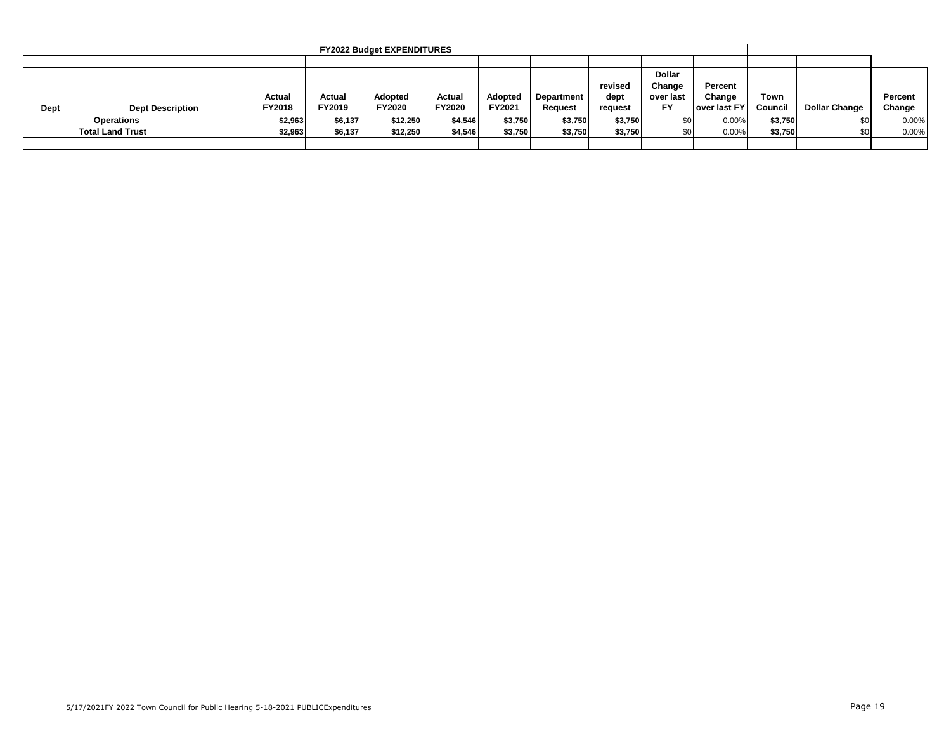|      |                                                                                                                                                                                                                                                                                              |         |         | <b>FY2022 Budget EXPENDITURES</b> |         |         |         |         |  |       |         |                      |                   |
|------|----------------------------------------------------------------------------------------------------------------------------------------------------------------------------------------------------------------------------------------------------------------------------------------------|---------|---------|-----------------------------------|---------|---------|---------|---------|--|-------|---------|----------------------|-------------------|
|      |                                                                                                                                                                                                                                                                                              |         |         |                                   |         |         |         |         |  |       |         |                      |                   |
| Dept | <b>Dollar</b><br>Percent<br>revised<br>Change<br>Change<br>Adopted<br>Actual<br>Actual<br><b>Adopted</b><br>Actual<br>Department<br>dept<br>over last<br><b>FY</b><br>FY2018<br><b>FY2020</b><br>FY2019<br>FY2021<br>FY2020<br>over last FY<br><b>Dept Description</b><br>Reauest<br>request |         |         |                                   |         |         |         |         |  |       |         | <b>Dollar Change</b> | Percent<br>Change |
|      | Operations                                                                                                                                                                                                                                                                                   | \$2,963 | \$6,137 | \$12,250                          | \$4,546 | \$3,750 | \$3,750 | \$3,750 |  | 0.00% | \$3,750 | SO I                 | 0.00%             |
|      | <b>Total Land Trust</b><br>\$3,750<br>\$2,963<br>\$6,137<br>\$12,250<br>\$3,750<br>\$3,750<br>\$4,546<br>0.00%                                                                                                                                                                               |         |         |                                   |         |         |         |         |  |       | \$3,750 |                      | 0.00%             |
|      |                                                                                                                                                                                                                                                                                              |         |         |                                   |         |         |         |         |  |       |         |                      |                   |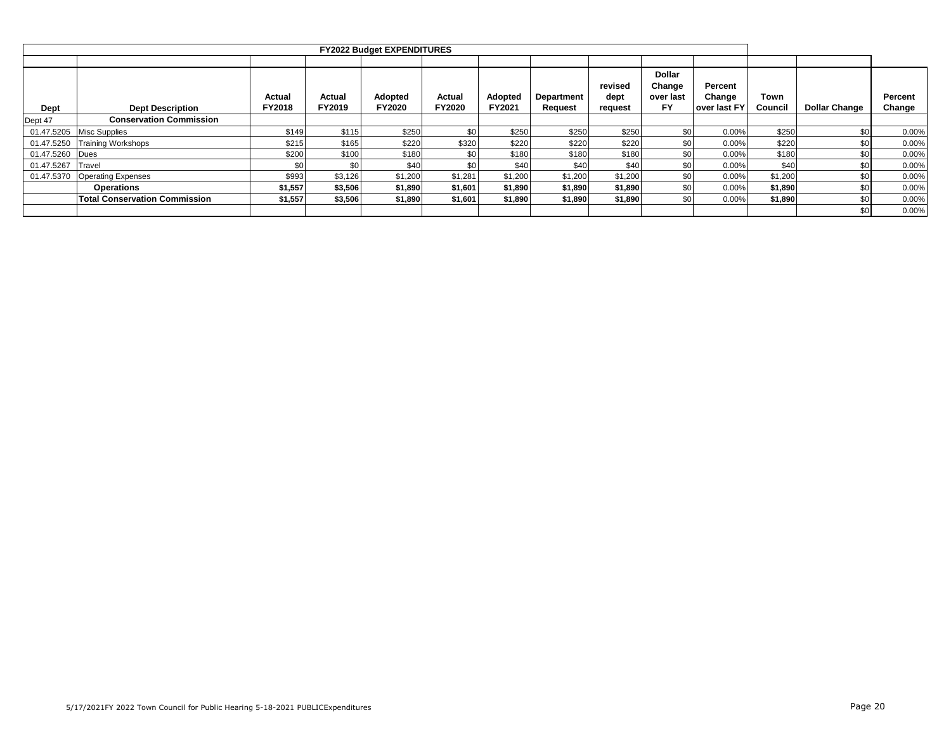|             |                                      |               |         | <b>FY2022 Budget EXPENDITURES</b> |               |         |            |                 |                                      |                   |         |                      |         |
|-------------|--------------------------------------|---------------|---------|-----------------------------------|---------------|---------|------------|-----------------|--------------------------------------|-------------------|---------|----------------------|---------|
|             |                                      |               |         |                                   |               |         |            |                 |                                      |                   |         |                      |         |
|             |                                      | Actual        | Actual  | Adopted                           | Actual        | Adopted | Department | revised<br>dept | <b>Dollar</b><br>Change<br>over last | Percent<br>Change | Town    |                      | Percent |
| <b>Dept</b> | <b>Dept Description</b>              | <b>FY2018</b> | FY2019  | <b>FY2020</b>                     | <b>FY2020</b> | FY2021  | Request    | request         | <b>FY</b>                            | over last FY      | Council | <b>Dollar Change</b> | Change  |
| Dept 47     | <b>Conservation Commission</b>       |               |         |                                   |               |         |            |                 |                                      |                   |         |                      |         |
| 01.47.5205  | <b>Misc Supplies</b>                 | \$149         | \$115   | \$250                             | \$0           | \$250   | \$250      | \$250           | \$0                                  | 0.00%             | \$250   | \$0                  | 0.00%   |
| 01.47.5250  | <b>Training Workshops</b>            | \$215         | \$165   | \$220                             | \$320         | \$220   | \$220      | \$220           | \$0                                  | 0.00%             | \$220   | \$0                  | 0.00%   |
| 01.47.5260  | Dues                                 | \$200         | \$100   | \$180                             |               | \$180   | \$180      | \$180           | \$0                                  | 0.00%             | \$180   | \$0                  | 0.00%   |
| 01.47.5267  | Travel                               | \$0           | \$0     | \$40                              | \$0           | \$40    | \$40       | \$40            | \$0                                  | 0.00%             | \$40    | \$0                  | 0.00%   |
| 01.47.5370  | <b>Operating Expenses</b>            | \$993         | \$3,126 | \$1,200                           | \$1,281       | \$1,200 | \$1,200    | \$1,200         | \$0                                  | 0.00%             | \$1,200 | \$0.                 | 0.00%   |
|             | <b>Operations</b>                    | \$1,557       | \$3,506 | \$1,890                           | \$1,601       | \$1,890 | \$1,890    | \$1,890         | \$0                                  | 0.00%             | \$1,890 | \$0                  | 0.00%   |
|             | <b>Total Conservation Commission</b> | \$1,557       | \$3,506 | \$1,890                           | \$1,601       | \$1,890 | \$1,890    | \$1,890         | \$0                                  | 0.00%             | \$1,890 | \$0                  | 0.00%   |
|             |                                      |               |         |                                   |               |         |            |                 |                                      |                   |         | \$0 <sub>1</sub>     | 0.00%   |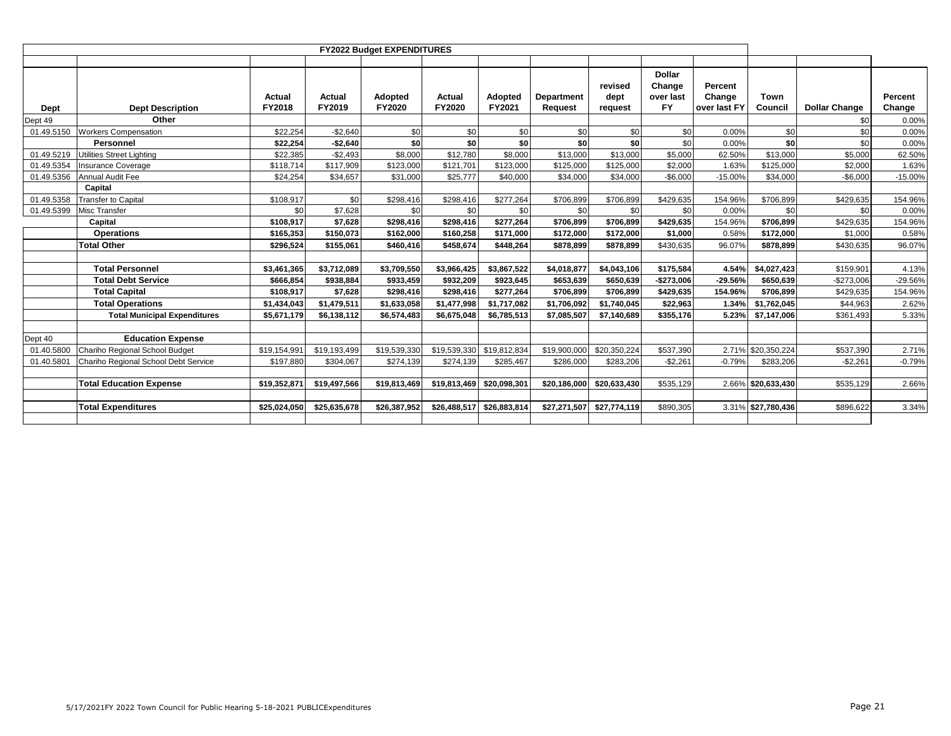|             |                                      |                         |                  | FY2022 Budget EXPENDITURES |                  |                           |                       |                            |                                                   |                                   |                    |                      |                   |
|-------------|--------------------------------------|-------------------------|------------------|----------------------------|------------------|---------------------------|-----------------------|----------------------------|---------------------------------------------------|-----------------------------------|--------------------|----------------------|-------------------|
|             |                                      |                         |                  |                            |                  |                           |                       |                            |                                                   |                                   |                    |                      |                   |
| <b>Dept</b> | <b>Dept Description</b>              | <b>Actual</b><br>FY2018 | Actual<br>FY2019 | Adopted<br>FY2020          | Actual<br>FY2020 | Adopted<br>FY2021         | Department<br>Request | revised<br>dept<br>request | <b>Dollar</b><br>Change<br>over last<br><b>FY</b> | Percent<br>Change<br>over last FY | Town<br>Council    | <b>Dollar Change</b> | Percent<br>Change |
| Dept 49     | Other                                |                         |                  |                            |                  |                           |                       |                            |                                                   |                                   |                    | \$0                  | 0.00%             |
| 01.49.5150  | <b>Workers Compensation</b>          | \$22,254                | $-$2,640$        | \$0                        | \$0              | \$0                       | \$0                   | \$0                        | \$0                                               | 0.00%                             | \$0                | \$0                  | 0.00%             |
|             | Personnel                            | \$22,254                | $-$2,640$        | \$0                        | \$0              | \$0                       | \$0                   | \$0                        | \$0                                               | 0.00%                             | \$O                | \$0                  | 0.00%             |
| 01.49.5219  | <b>Utilities Street Lighting</b>     | \$22,385                | $-$2,493$        | \$8,000                    | \$12,780         | \$8,000                   | \$13,000              | \$13,000                   | \$5,000                                           | 62.50%                            | \$13,000           | \$5,000              | 62.50%            |
| 01.49.5354  | <b>Insurance Coverage</b>            | \$118,714               | \$117,909        | \$123,000                  | \$121,701        | \$123,000                 | \$125,000             | \$125,000                  | \$2,000                                           | 1.63%                             | \$125,000          | \$2,000              | 1.63%             |
| 01.49.5356  | Annual Audit Fee                     | \$24,254                | \$34,657         | \$31,000                   | \$25,777         | \$40,000                  | \$34,000              | \$34,000                   | $-$6,000$                                         | $-15.00%$                         | \$34,000           | $-$6,000$            | $-15.00%$         |
|             | Capital                              |                         |                  |                            |                  |                           |                       |                            |                                                   |                                   |                    |                      |                   |
| 01.49.5358  | <b>Transfer to Capital</b>           | \$108,917               | \$0              | \$298,416                  | \$298,416        | \$277,264                 | \$706,899             | \$706,899                  | \$429,635                                         | 154.96%                           | \$706,899          | \$429,635            | 154.96%           |
| 01.49.5399  | Misc Transfer                        | \$0                     | \$7,628          | \$0                        | \$0              | \$0                       | \$0                   | \$0                        | \$0                                               | 0.00%                             | \$0                | \$0                  | 0.00%             |
|             | Capital                              | \$108,917               | \$7,628          | \$298,416                  | \$298,416        | \$277,264                 | \$706,899             | \$706,899                  | \$429,635                                         | 154.96%                           | \$706,899          | \$429,635            | 154.96%           |
|             | <b>Operations</b>                    | \$165,353               | \$150,073        | \$162,000                  | \$160,258        | \$171,000                 | \$172,000             | \$172,000                  | \$1,000                                           | 0.58%                             | \$172,000          | \$1,000              | 0.58%             |
|             | <b>Total Other</b>                   | \$296.524               | \$155,061        | \$460.416                  | \$458.674        | \$448.264                 | \$878,899             | \$878.899                  | \$430,635                                         | 96.07%                            | \$878.899          | \$430,635            | 96.07%            |
|             |                                      |                         |                  |                            |                  |                           |                       |                            |                                                   |                                   |                    |                      |                   |
|             | <b>Total Personnel</b>               | \$3,461,365             | \$3,712,089      | \$3,709,550                | \$3,966,425      | \$3,867,522               | \$4,018,877           | \$4,043,106                | \$175,584                                         | 4.54%                             | \$4,027,423        | \$159,901            | 4.13%             |
|             | <b>Total Debt Service</b>            | \$666,854               | \$938,884        | \$933,459                  | \$932,209        | \$923,645                 | \$653,639             | \$650,639                  | $-$273,006$                                       | -29.56%                           | \$650,639          | $-$273,006$          | -29.56%           |
|             | <b>Total Capital</b>                 | \$108,917               | \$7,628          | \$298,416                  | \$298,416        | \$277.264                 | \$706,899             | \$706,899                  | \$429,635                                         | 154.96%                           | \$706,899          | \$429.635            | 154.96%           |
|             | <b>Total Operations</b>              | \$1,434,043             | \$1,479,511      | \$1,633,058                | \$1,477,998      | \$1,717,082               | \$1,706,092           | \$1,740,045                | \$22,963                                          | 1.34%                             | \$1,762,045        | \$44,963             | 2.62%             |
|             | <b>Total Municipal Expenditures</b>  | \$5,671,179             | \$6,138,112      | \$6,574,483                | \$6,675,048      | \$6,785,513               | \$7,085,507           | \$7,140,689                | \$355,176                                         | 5.23%                             | \$7,147,006        | \$361,493            | 5.33%             |
|             |                                      |                         |                  |                            |                  |                           |                       |                            |                                                   |                                   |                    |                      |                   |
| Dept 40     | <b>Education Expense</b>             |                         |                  |                            |                  |                           |                       |                            |                                                   |                                   |                    |                      |                   |
| 01.40.5800  | Chariho Regional School Budget       | \$19,154,991            | \$19,193,499     | \$19,539,330               |                  | \$19,539,330 \$19,812,834 | \$19,900,000          | \$20,350,224               | \$537,390                                         |                                   | 2.71% \$20,350,224 | \$537,390            | 2.71%             |
| 01.40.5801  | Chariho Regional School Debt Service | \$197,880               | \$304,067        | \$274,139                  | \$274,139        | \$285,467                 | \$286,000             | \$283,206                  | $-$2,261$                                         | $-0.79%$                          | \$283,206          | $-$2,261$            | $-0.79%$          |
|             |                                      |                         |                  |                            |                  |                           |                       |                            |                                                   |                                   |                    |                      |                   |
|             | <b>Total Education Expense</b>       | \$19,352,871            | \$19,497,566     | \$19,813,469               | \$19,813,469     | \$20,098,301              | \$20,186,000          | \$20,633,430               | \$535,129                                         |                                   | 2.66% \$20,633,430 | \$535,129            | 2.66%             |
|             |                                      |                         |                  |                            |                  |                           |                       |                            |                                                   |                                   |                    |                      |                   |
|             | <b>Total Expenditures</b>            | \$25,024,050            | \$25,635,678     | \$26,387,952               | \$26,488,517     | \$26,883,814              | \$27,271,507          | \$27,774,119               | \$890,305                                         |                                   | 3.31% \$27,780,436 | \$896,622            | 3.34%             |
|             |                                      |                         |                  |                            |                  |                           |                       |                            |                                                   |                                   |                    |                      |                   |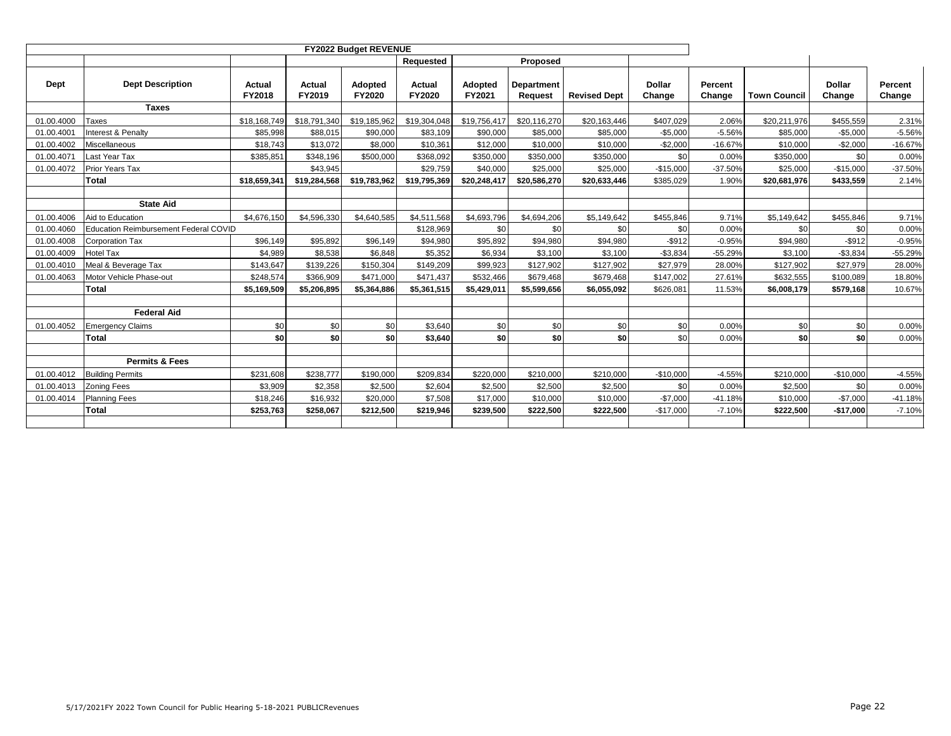|            |                                       |                  |                  | <b>FY2022 Budget REVENUE</b> |                  |                   |                                     |                     |                         |                   |                     |                         |                   |
|------------|---------------------------------------|------------------|------------------|------------------------------|------------------|-------------------|-------------------------------------|---------------------|-------------------------|-------------------|---------------------|-------------------------|-------------------|
|            |                                       |                  |                  |                              | Requested        |                   | Proposed                            |                     |                         |                   |                     |                         |                   |
| Dept       | <b>Dept Description</b>               | Actual<br>FY2018 | Actual<br>FY2019 | Adopted<br><b>FY2020</b>     | Actual<br>FY2020 | Adopted<br>FY2021 | <b>Department</b><br><b>Request</b> | <b>Revised Dept</b> | <b>Dollar</b><br>Change | Percent<br>Change | <b>Town Council</b> | <b>Dollar</b><br>Change | Percent<br>Change |
|            | <b>Taxes</b>                          |                  |                  |                              |                  |                   |                                     |                     |                         |                   |                     |                         |                   |
| 01.00.4000 | Taxes                                 | \$18,168,749     | \$18,791,340     | \$19,185,962                 | \$19,304,048     | \$19,756,417      | \$20,116,270                        | \$20,163,446        | \$407.029               | 2.06%             | \$20,211,976        | \$455,559               | 2.31%             |
| 01.00.4001 | Interest & Penalty                    | \$85,998         | \$88,015         | \$90,000                     | \$83,109         | \$90,000          | \$85,000                            | \$85,000            | $-$5.000$               | $-5.56%$          | \$85,000            | $-$5,000$               | $-5.56%$          |
| 01.00.4002 | Miscellaneous                         | \$18,743         | \$13,072         | \$8,000                      | \$10,361         | \$12,000          | \$10,000                            | \$10,000            | $-$2,000$               | $-16.67%$         | \$10,000            | $-$2,000$               | $-16.67%$         |
| 01.00.4071 | Last Year Tax                         | \$385,851        | \$348,196        | \$500,000                    | \$368,092        | \$350,000         | \$350,000                           | \$350,000           | \$0                     | 0.00%             | \$350,000           | \$0                     | 0.00%             |
| 01.00.4072 | Prior Years Tax                       |                  | \$43,945         |                              | \$29.759         | \$40,000          | \$25,000                            | \$25,000            | $-$15,000$              | $-37.50%$         | \$25,000            | $-$15,000$              | $-37.50%$         |
|            | <b>Total</b>                          | \$18,659,341     | \$19,284,568     | \$19,783,962                 | \$19,795,369     | \$20,248,417      | \$20,586,270                        | \$20,633,446        | \$385.029               | 1.90%             | \$20,681,976        | \$433,559               | 2.14%             |
|            |                                       |                  |                  |                              |                  |                   |                                     |                     |                         |                   |                     |                         |                   |
|            | <b>State Aid</b>                      |                  |                  |                              |                  |                   |                                     |                     |                         |                   |                     |                         |                   |
| 01.00.4006 | Aid to Education                      | \$4.676.150      | \$4,596,330      | \$4,640,585                  | \$4,511,568      | \$4,693,796       | \$4,694,206                         | \$5,149,642         | \$455,846               | 9.71%             | \$5,149,642         | \$455,846               | 9.71%             |
| 01.00.4060 | Education Reimbursement Federal COVID |                  |                  |                              | \$128,969        | \$0               | \$0                                 | \$0                 | \$0                     | 0.00%             | \$0                 | \$0                     | 0.00%             |
| 01.00.4008 | <b>Corporation Tax</b>                | \$96,149         | \$95,892         | \$96,149                     | \$94,980         | \$95,892          | \$94,980                            | \$94,980            | $-$ \$912               | $-0.95%$          | \$94,980            | $-$ \$912               | $-0.95%$          |
| 01.00.4009 | <b>Hotel Tax</b>                      | \$4,989          | \$8,538          | \$6,848                      | \$5,352          | \$6,934           | \$3,100                             | \$3,100             | $-$3,834$               | $-55.29%$         | \$3,100             | $-$3,834$               | $-55.29%$         |
| 01.00.4010 | Meal & Beverage Tax                   | \$143,647        | \$139,226        | \$150,304                    | \$149,209        | \$99,923          | \$127,902                           | \$127,902           | \$27,979                | 28.00%            | \$127,902           | \$27,979                | 28.00%            |
| 01.00.4063 | Motor Vehicle Phase-out               | \$248,574        | \$366,909        | \$471,000                    | \$471,437        | \$532,466         | \$679,468                           | \$679,468           | \$147,002               | 27.61%            | \$632,555           | \$100,089               | 18.80%            |
|            | <b>Total</b>                          | \$5,169,509      | \$5,206,895      | \$5,364,886                  | \$5,361,515      | \$5,429,011       | \$5,599,656                         | \$6,055,092         | \$626,081               | 11.53%            | \$6,008,179         | \$579,168               | 10.67%            |
|            |                                       |                  |                  |                              |                  |                   |                                     |                     |                         |                   |                     |                         |                   |
|            | <b>Federal Aid</b>                    |                  |                  |                              |                  |                   |                                     |                     |                         |                   |                     |                         |                   |
| 01.00.4052 | <b>Emergency Claims</b>               | \$0              | \$0              | \$0                          | \$3,640          | \$0               | \$0                                 | \$0                 | \$0                     | 0.00%             | \$0                 | \$0                     | 0.00%             |
|            | <b>Total</b>                          | \$0              | \$0              | \$0                          | \$3,640          | \$0               | \$0                                 | \$0                 | \$0                     | 0.00%             | \$0                 | \$0                     | 0.00%             |
|            |                                       |                  |                  |                              |                  |                   |                                     |                     |                         |                   |                     |                         |                   |
|            | <b>Permits &amp; Fees</b>             |                  |                  |                              |                  |                   |                                     |                     |                         |                   |                     |                         |                   |
| 01.00.4012 | <b>Building Permits</b>               | \$231,608        | \$238,777        | \$190,000                    | \$209,834        | \$220,000         | \$210,000                           | \$210,000           | $-$10,000$              | $-4.55%$          | \$210,000           | $-$10,000$              | $-4.55%$          |
| 01.00.4013 | <b>Zoning Fees</b>                    | \$3,909          | \$2,358          | \$2,500                      | \$2,604          | \$2,500           | \$2,500                             | \$2,500             | \$0                     | 0.00%             | \$2,500             | \$0                     | 0.00%             |
| 01.00.4014 | <b>Planning Fees</b>                  | \$18,246         | \$16,932         | \$20,000                     | \$7,508          | \$17,000          | \$10,000                            | \$10,000            | $-$7,000$               | $-41.18%$         | \$10,000            | $-$7,000$               | $-41.18%$         |
|            | Total                                 | \$253,763        | \$258,067        | \$212,500                    | \$219,946        | \$239,500         | \$222,500                           | \$222,500           | $-$17,000$              | $-7.10%$          | \$222,500           | $-$17,000$              | $-7.10%$          |
|            |                                       |                  |                  |                              |                  |                   |                                     |                     |                         |                   |                     |                         |                   |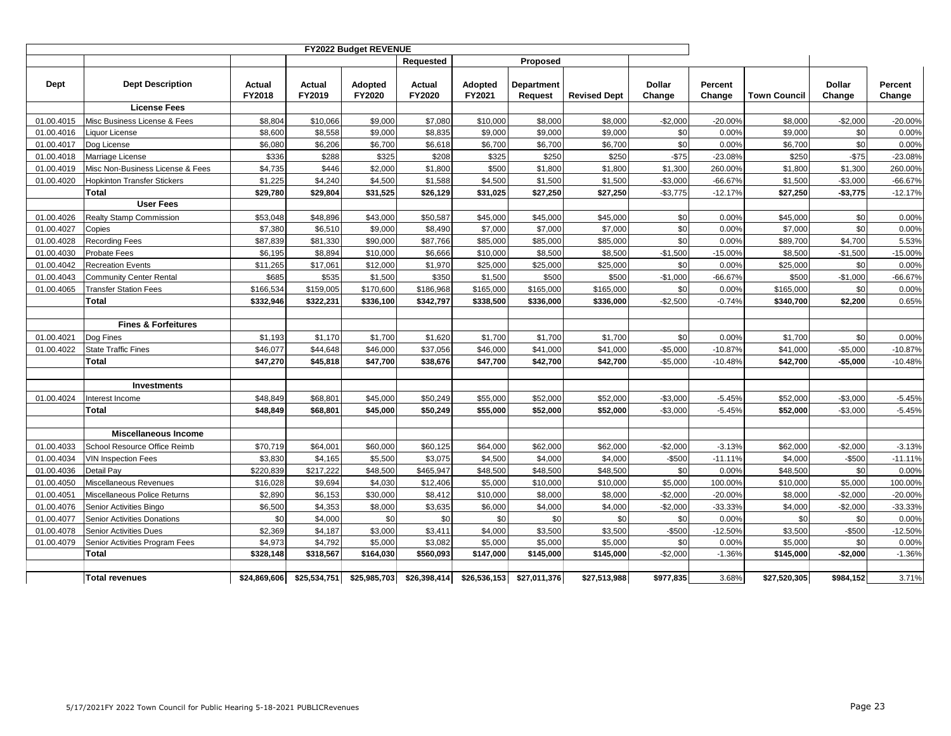|            |                                    |                  |                  | FY2022 Budget REVENUE |                  |                   |                              |                     |                         |                   |                     |                         |                   |
|------------|------------------------------------|------------------|------------------|-----------------------|------------------|-------------------|------------------------------|---------------------|-------------------------|-------------------|---------------------|-------------------------|-------------------|
|            |                                    |                  |                  |                       | Requested        |                   | Proposed                     |                     |                         |                   |                     |                         |                   |
| Dept       | <b>Dept Description</b>            | Actual<br>FY2018 | Actual<br>FY2019 | Adopted<br>FY2020     | Actual<br>FY2020 | Adopted<br>FY2021 | <b>Department</b><br>Request | <b>Revised Dept</b> | <b>Dollar</b><br>Change | Percent<br>Change | <b>Town Council</b> | <b>Dollar</b><br>Change | Percent<br>Change |
|            | <b>License Fees</b>                |                  |                  |                       |                  |                   |                              |                     |                         |                   |                     |                         |                   |
| 01.00.4015 | Misc Business License & Fees       | \$8,804          | \$10,066         | \$9,000               | \$7,080          | \$10,000          | \$8,000                      | \$8,000             | $-$2,000$               | $-20.00%$         | \$8,000             | $-$2,000$               | $-20.00%$         |
| 01.00.4016 | Liquor License                     | \$8,600          | \$8,558          | \$9,000               | \$8,835          | \$9,000           | \$9,000                      | \$9,000             | \$0                     | 0.00%             | \$9,000             | \$0                     | 0.00%             |
| 01.00.4017 | Dog License                        | \$6,080          | \$6,206          | \$6,700               | \$6,618          | \$6,700           | \$6,700                      | \$6,700             | \$0                     | 0.00%             | \$6,700             | \$0                     | 0.00%             |
| 01.00.4018 | Marriage License                   | \$336            | \$288            | \$325                 | \$208            | \$325             | \$250                        | \$250               | $-$75$                  | $-23.08%$         | \$250               | $-$75$                  | $-23.08%$         |
| 01.00.4019 | Misc Non-Business License & Fees   | \$4,735          | \$446            | \$2,000               | \$1,800          | \$500             | \$1,800                      | \$1,800             | \$1,300                 | 260.00%           | \$1,800             | \$1,300                 | 260.00%           |
| 01.00.4020 | <b>Hopkinton Transfer Stickers</b> | \$1,225          | \$4,240          | \$4,500               | \$1,588          | \$4,500           | \$1,500                      | \$1,500             | $-$3,000$               | $-66.67%$         | \$1,500             | $-$3,000$               | $-66.67%$         |
|            | Total                              | \$29,780         | \$29,804         | \$31,525              | \$26,129         | \$31,025          | \$27,250                     | \$27,250            | $-$3,775$               | $-12.17%$         | \$27,250            | $-$3,775$               | $-12.17%$         |
|            | <b>User Fees</b>                   |                  |                  |                       |                  |                   |                              |                     |                         |                   |                     |                         |                   |
| 01.00.4026 | Realty Stamp Commission            | \$53,048         | \$48,896         | \$43,000              | \$50,587         | \$45,000          | \$45,000                     | \$45,000            | \$0                     | 0.00%             | \$45,000            | \$0                     | 0.00%             |
| 01.00.4027 | Copies                             | \$7,380          | \$6,510          | \$9,000               | \$8,490          | \$7,000           | \$7,000                      | \$7,000             | \$0                     | 0.00%             | \$7,000             | \$0                     | 0.00%             |
| 01.00.4028 | <b>Recording Fees</b>              | \$87,839         | \$81,330         | \$90,000              | \$87,766         | \$85,000          | \$85,000                     | \$85,000            | \$0                     | 0.00%             | \$89,700            | \$4,700                 | 5.53%             |
| 01.00.4030 | <b>Probate Fees</b>                | \$6,195          | \$8,894          | \$10,000              | \$6,666          | \$10,000          | \$8,500                      | \$8,500             | $-$1,500$               | $-15.00%$         | \$8,500             | $-$1,500$               | $-15.00%$         |
| 01.00.4042 | <b>Recreation Events</b>           | \$11,265         | \$17,061         | \$12,000              | \$1,970          | \$25,000          | \$25,000                     | \$25,000            | \$0                     | 0.00%             | \$25,000            | \$0                     | 0.00%             |
| 01.00.4043 | <b>Community Center Rental</b>     | \$685            | \$535            | \$1,500               | \$350            | \$1,500           | \$500                        | \$500               | $-$1,000$               | -66.67%           | \$500               | $-$1,000$               | $-66.67%$         |
| 01.00.4065 | <b>Transfer Station Fees</b>       | \$166,534        | \$159,005        | \$170,600             | \$186,968        | \$165,000         | \$165,000                    | \$165,000           | \$0                     | 0.00%             | \$165,000           | \$0                     | 0.00%             |
|            | Total                              | \$332,946        | \$322,231        | \$336,100             | \$342,797        | \$338,500         | \$336,000                    | \$336,000           | $-$2,500$               | $-0.74%$          | \$340,700           | \$2,200                 | 0.65%             |
|            |                                    |                  |                  |                       |                  |                   |                              |                     |                         |                   |                     |                         |                   |
|            | <b>Fines &amp; Forfeitures</b>     |                  |                  |                       |                  |                   |                              |                     |                         |                   |                     |                         |                   |
| 01.00.4021 | Dog Fines                          | \$1,193          | \$1,170          | \$1,700               | \$1,620          | \$1,700           | \$1,700                      | \$1,700             | \$0                     | 0.00%             | \$1,700             | \$0                     | 0.00%             |
| 01.00.4022 | <b>State Traffic Fines</b>         | \$46,077         | \$44,648         | \$46,000              | \$37,056         | \$46,000          | \$41,000                     | \$41,000            | $-$5,000$               | $-10.87%$         | \$41,000            | $-$5,000$               | $-10.87%$         |
|            | Total                              | \$47,270         | \$45,818         | \$47,700              | \$38,676         | \$47,700          | \$42,700                     | \$42,700            | $-$5,000$               | $-10.48%$         | \$42,700            | $-$5,000$               | $-10.48%$         |
|            |                                    |                  |                  |                       |                  |                   |                              |                     |                         |                   |                     |                         |                   |
|            | <b>Investments</b>                 |                  |                  |                       |                  |                   |                              |                     |                         |                   |                     |                         |                   |
| 01.00.4024 | Interest Income                    | \$48,849         | \$68,801         | \$45,000              | \$50,249         | \$55,000          | \$52,000                     | \$52,000            | $-$3,000$               | $-5.45%$          | \$52,000            | $-$3,000$               | $-5.45%$          |
|            | Total                              | \$48,849         | \$68,801         | \$45,000              | \$50,249         | \$55,000          | \$52,000                     | \$52,000            | $-$3,000$               | $-5.45%$          | \$52,000            | $-$3,000$               | $-5.45%$          |
|            |                                    |                  |                  |                       |                  |                   |                              |                     |                         |                   |                     |                         |                   |
|            | <b>Miscellaneous Income</b>        |                  |                  |                       |                  |                   |                              |                     |                         |                   |                     |                         |                   |
| 01.00.4033 | School Resource Office Reimb       | \$70,719         | \$64,001         | \$60,000              | \$60,125         | \$64,000          | \$62,000                     | \$62,000            | $-$2,000$               | $-3.13%$          | \$62,000            | $-$2,000$               | $-3.13%$          |
| 01.00.4034 | <b>VIN Inspection Fees</b>         | \$3,830          | \$4,165          | \$5,500               | \$3,075          | \$4,500           | \$4,000                      | \$4,000             | -\$500                  | $-11.11%$         | \$4,000             | $-$500$                 | $-11.11%$         |
| 01.00.4036 | Detail Pay                         | \$220,839        | \$217,222        | \$48,500              | \$465,947        | \$48,500          | \$48,500                     | \$48,500            | \$0                     | 0.00%             | \$48,500            | \$0                     | 0.00%             |
| 01.00.4050 | Miscellaneous Revenues             | \$16,028         | \$9,694          | \$4,030               | \$12,406         | \$5,000           | \$10,000                     | \$10,000            | \$5,000                 | 100.00%           | \$10,000            | \$5,000                 | 100.00%           |
| 01.00.4051 | Miscellaneous Police Returns       | \$2,890          | \$6,153          | \$30,000              | \$8,412          | \$10,000          | \$8,000                      | \$8,000             | $-$2,000$               | $-20.00%$         | \$8,000             | $-$2,000$               | $-20.00%$         |
| 01.00.4076 | Senior Activities Bingo            | \$6,500          | \$4,353          | \$8,000               | \$3,635          | \$6,000           | \$4,000                      | \$4,000             | $-$2,000$               | $-33.33%$         | \$4,000             | $-$2,000$               | -33.33%           |
| 01.00.4077 | Senior Activities Donations        | \$0              | \$4,000          | \$0                   | \$0              | \$0               | \$0                          | \$0                 | \$0                     | 0.00%             | \$0                 | \$0                     | 0.00%             |
| 01.00.4078 | <b>Senior Activities Dues</b>      | \$2,369          | \$4,187          | \$3,000               | \$3,411          | \$4,000           | \$3,500                      | \$3,500             | -\$500                  | $-12.50%$         | \$3,500             | $-$500$                 | $-12.50%$         |
| 01.00.4079 | Senior Activities Program Fees     | \$4,973          | \$4,792          | \$5,000               | \$3,082          | \$5,000           | \$5,000                      | \$5,000             | \$0                     | 0.00%             | \$5,000             | \$0                     | 0.00%             |
|            | Total                              | \$328,148        | \$318,567        | \$164,030             | \$560,093        | \$147,000         | \$145,000                    | \$145,000           | $-$2,000$               | $-1.36%$          | \$145,000           | $-$2,000$               | $-1.36%$          |
|            |                                    |                  |                  |                       |                  |                   |                              |                     |                         |                   |                     |                         |                   |
|            | <b>Total revenues</b>              | \$24,869,606     | \$25,534,751     | \$25,985,703          | \$26,398,414     | \$26,536,153      | \$27,011,376                 | \$27,513,988        | \$977,835               | 3.68%             | \$27,520,305        | \$984,152               | 3.71%             |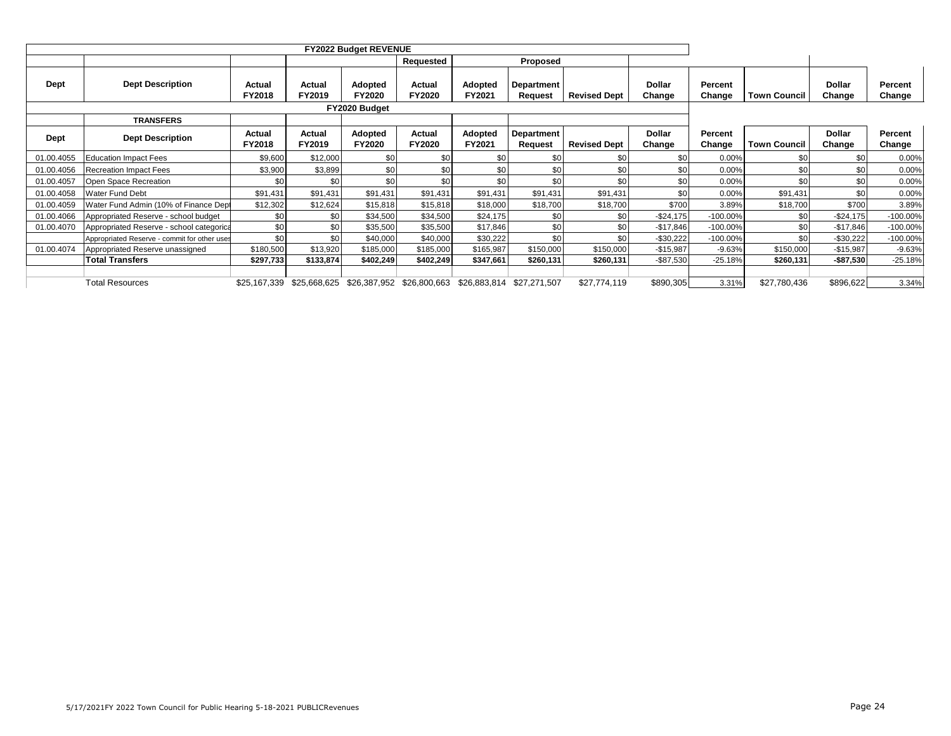|             |                                              |                  |                  | <b>FY2022 Budget REVENUE</b> |                           |                   |                              |                     |                         |                   |                     |                         |                   |
|-------------|----------------------------------------------|------------------|------------------|------------------------------|---------------------------|-------------------|------------------------------|---------------------|-------------------------|-------------------|---------------------|-------------------------|-------------------|
|             |                                              |                  |                  |                              | Requested                 |                   | Proposed                     |                     |                         |                   |                     |                         |                   |
| Dept        | <b>Dept Description</b>                      | Actual<br>FY2018 | Actual<br>FY2019 | Adopted<br><b>FY2020</b>     | Actual<br><b>FY2020</b>   | Adopted<br>FY2021 | <b>Department</b><br>Request | <b>Revised Dept</b> | <b>Dollar</b><br>Change | Percent<br>Change | <b>Town Council</b> | <b>Dollar</b><br>Change | Percent<br>Change |
|             |                                              |                  |                  | FY2020 Budget                |                           |                   |                              |                     |                         |                   |                     |                         |                   |
|             | <b>TRANSFERS</b>                             |                  |                  |                              |                           |                   |                              |                     |                         |                   |                     |                         |                   |
| <b>Dept</b> | <b>Dept Description</b>                      | Actual<br>FY2018 | Actual<br>FY2019 | Adopted<br><b>FY2020</b>     | Actual<br><b>FY2020</b>   | Adopted<br>FY2021 | Department<br>Request        | <b>Revised Dept</b> | <b>Dollar</b><br>Change | Percent<br>Change | <b>Town Council</b> | <b>Dollar</b><br>Change | Percent<br>Change |
| 01.00.4055  | <b>Education Impact Fees</b>                 | \$9,600          | \$12,000         | \$0                          | \$0                       | \$0               | \$0                          | \$0 <sub>1</sub>    | \$C                     | 0.00%             | \$0                 | \$0                     | 0.00%             |
| 01.00.4056  | <b>Recreation Impact Fees</b>                | \$3,900          | \$3,899          | \$0                          | \$0                       | \$0               | \$0                          | \$0                 | \$C                     | 0.00%             | \$0                 | \$0                     | 0.00%             |
| 01.00.4057  | Open Space Recreation                        | \$0              | \$0              | \$0                          | \$0                       | \$0               | \$0                          | \$0                 | \$C                     | 0.00%             | \$C                 | \$0                     | 0.00%             |
| 01.00.4058  | <b>Water Fund Debt</b>                       | \$91,431         | \$91,431         | \$91,431                     | \$91,431                  | \$91,431          | \$91,431                     | \$91,431            | \$C                     | 0.00%             | \$91,431            | \$0                     | 0.00%             |
| 01.00.4059  | Water Fund Admin (10% of Finance Dept        | \$12,302         | \$12,624         | \$15,818                     | \$15,818                  | \$18,000          | \$18,700                     | \$18,700            | <b>\$700</b>            | 3.89%             | \$18,700            | \$700                   | 3.89%             |
| 01.00.4066  | Appropriated Reserve - school budget         | \$0              | \$0              | \$34,500                     | \$34,500                  | \$24,175          | \$0                          | \$0                 | $-$24,175$              | $-100.00\%$       | \$0                 | $-$24,175$              | $-100.00\%$       |
| 01.00.4070  | Appropriated Reserve - school categorica     | \$0              | \$0              | \$35,500                     | \$35,500                  | \$17,846          | \$0                          | \$0                 | $-$17,846$              | $-100.00\%$       | \$0                 | $-$17,846$              | $-100.00\%$       |
|             | Appropriated Reserve - commit for other uses | \$0              | \$0              | \$40,000                     | \$40,000                  | \$30,222          | \$0                          | \$0                 | $-$30,222$              | $-100.00\%$       | \$0                 | $-$30,222$              | $-100.00\%$       |
| 01.00.4074  | Appropriated Reserve unassigned              | \$180,500        | \$13,920         | \$185,000                    | \$185,000                 | \$165,987         | \$150,000                    | \$150,000           | $-$15,987$              | $-9.63%$          | \$150,000           | $-$15,987$              | $-9.63%$          |
|             | <b>Total Transfers</b>                       | \$297,733        | \$133,874        | \$402,249                    | \$402,249                 | \$347,661         | \$260,131                    | \$260,131           | $-$ \$87,530            | -25.18%           | \$260,131           | $-$87,530$              | -25.18%           |
|             |                                              |                  |                  |                              |                           |                   |                              |                     |                         |                   |                     |                         |                   |
|             | <b>Total Resources</b>                       | \$25,167,339     | \$25,668,625     |                              | \$26,387,952 \$26,800,663 | \$26,883,814      | \$27,271,507                 | \$27,774,119        | \$890,305               | 3.31%             | \$27,780,436        | \$896,622               | 3.34%             |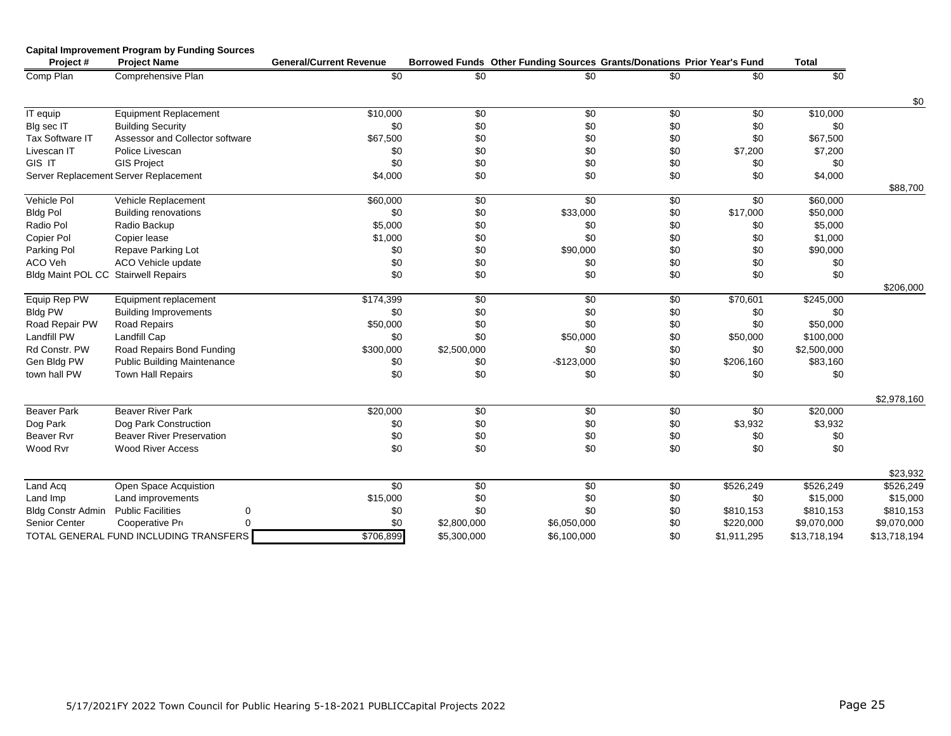| Project#                            | <b>Capital Improvement Program by Funding Sources</b><br><b>Project Name</b> | <b>General/Current Revenue</b> |             | Borrowed Funds Other Funding Sources Grants/Donations Prior Year's Fund |            |             | <b>Total</b> |              |
|-------------------------------------|------------------------------------------------------------------------------|--------------------------------|-------------|-------------------------------------------------------------------------|------------|-------------|--------------|--------------|
| Comp Plan                           | Comprehensive Plan                                                           | \$0                            | \$0         | \$0                                                                     | \$0        | \$0         | \$0          |              |
|                                     |                                                                              |                                |             |                                                                         |            |             |              | \$0          |
| IT equip                            | <b>Equipment Replacement</b>                                                 | \$10,000                       | $\sqrt{6}$  | $\sqrt[6]{30}$                                                          | $\sqrt{6}$ | \$0         | \$10,000     |              |
| Blg sec IT                          | <b>Building Security</b>                                                     | \$0                            | \$0         | \$0                                                                     | \$0        | \$0         | \$0          |              |
| Tax Software IT                     | Assessor and Collector software                                              | \$67,500                       | \$0         | \$0                                                                     | \$0        | \$0         | \$67,500     |              |
| Livescan IT                         | Police Livescan                                                              | \$0                            | \$0         | \$0                                                                     | \$0        | \$7,200     | \$7,200      |              |
| GIS IT                              | <b>GIS Project</b>                                                           | \$0                            | \$0         | \$0                                                                     | \$0        | \$0         | \$0          |              |
|                                     | Server Replacement Server Replacement                                        | \$4,000                        | \$0         | \$0                                                                     | \$0        | \$0         | \$4,000      |              |
|                                     |                                                                              |                                |             |                                                                         |            |             |              | \$88,700     |
| Vehicle Pol                         | Vehicle Replacement                                                          | \$60,000                       | \$0         | \$0                                                                     | \$0        | \$0         | \$60,000     |              |
| <b>Bldg Pol</b>                     | <b>Building renovations</b>                                                  | \$0                            | \$0         | \$33,000                                                                | \$0        | \$17,000    | \$50,000     |              |
| Radio Pol                           | Radio Backup                                                                 | \$5,000                        | \$0         | \$0                                                                     | \$0        | \$0         | \$5,000      |              |
| Copier Pol                          | Copier lease                                                                 | \$1,000                        | \$0         | \$0                                                                     | \$0        | \$0         | \$1,000      |              |
| Parking Pol                         | Repave Parking Lot                                                           | \$0                            | \$0         | \$90,000                                                                | \$0        | \$0         | \$90,000     |              |
| ACO Veh                             | ACO Vehicle update                                                           | \$0                            | \$0         | \$0                                                                     | \$0        | \$0         | \$0          |              |
| Bldg Maint POL CC Stairwell Repairs |                                                                              | \$0                            | \$0         | \$0                                                                     | \$0        | \$0         | \$0          |              |
|                                     |                                                                              |                                |             |                                                                         |            |             |              | \$206,000    |
| Equip Rep PW                        | Equipment replacement                                                        | \$174,399                      | \$0         | \$0                                                                     | \$0        | \$70,601    | \$245,000    |              |
| <b>Bldg PW</b>                      | <b>Building Improvements</b>                                                 | \$0                            | \$0         | \$0                                                                     | \$0        | \$0         | \$0          |              |
| Road Repair PW                      | <b>Road Repairs</b>                                                          | \$50,000                       | \$0         | \$0                                                                     | \$0        | \$0         | \$50,000     |              |
| Landfill PW                         | Landfill Cap                                                                 | \$0                            | \$0         | \$50,000                                                                | \$0        | \$50,000    | \$100,000    |              |
| Rd Constr. PW                       | Road Repairs Bond Funding                                                    | \$300,000                      | \$2,500,000 | \$0                                                                     | \$0        | \$0         | \$2,500,000  |              |
| Gen Bldg PW                         | <b>Public Building Maintenance</b>                                           | \$0                            | \$0         | $-$123,000$                                                             | \$0        | \$206,160   | \$83,160     |              |
| town hall PW                        | Town Hall Repairs                                                            | \$0                            | \$0         | \$0                                                                     | \$0        | \$0         | \$0          |              |
|                                     |                                                                              |                                |             |                                                                         |            |             |              | \$2,978,160  |
| <b>Beaver Park</b>                  | <b>Beaver River Park</b>                                                     | \$20,000                       | \$0         | \$0                                                                     | \$0        | \$0         | \$20,000     |              |
| Dog Park                            | Dog Park Construction                                                        | \$0                            | \$0         | \$0                                                                     | \$0        | \$3,932     | \$3,932      |              |
| <b>Beaver Rvr</b>                   | <b>Beaver River Preservation</b>                                             | \$0                            | \$0         | \$0                                                                     | \$0        | \$0         | \$0          |              |
| Wood Rvr                            | <b>Wood River Access</b>                                                     | \$0                            | \$0         | \$0                                                                     | \$0        | \$0         | \$0          |              |
|                                     |                                                                              |                                |             |                                                                         |            |             |              | \$23,932     |
| Land Acq                            | Open Space Acquistion                                                        | \$0                            | $\sqrt{6}$  | \$0                                                                     | \$0        | \$526,249   | \$526,249    | \$526,249    |
| Land Imp                            | Land improvements                                                            | \$15,000                       | \$0         | \$0                                                                     | \$0        | \$0         | \$15,000     | \$15,000     |
| <b>Bldg Constr Admin</b>            | <b>Public Facilities</b><br>0                                                | \$0                            | \$0         | \$0                                                                     | \$0        | \$810,153   | \$810,153    | \$810,153    |
| Senior Center                       | $\Omega$<br>Cooperative Pro                                                  | \$0                            | \$2,800,000 | \$6,050,000                                                             | \$0        | \$220,000   | \$9,070,000  | \$9,070,000  |
|                                     | TOTAL GENERAL FUND INCLUDING TRANSFERS                                       | \$706,899                      | \$5,300,000 | \$6,100,000                                                             | \$0        | \$1,911,295 | \$13,718,194 | \$13,718,194 |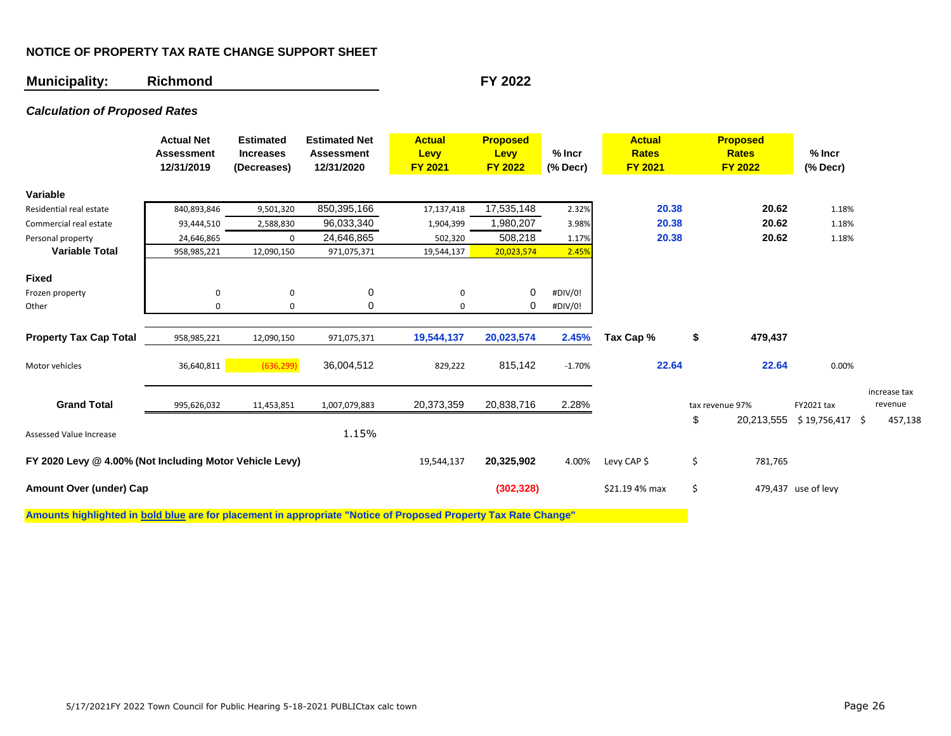## **NOTICE OF PROPERTY TAX RATE CHANGE SUPPORT SHEET**

## **Municipality: Richmond FY 2022**

## *Calculation of Proposed Rates*

|                                                         | <b>Actual Net</b><br><b>Assessment</b><br>12/31/2019 | <b>Estimated</b><br><b>Increases</b><br>(Decreases) | <b>Estimated Net</b><br><b>Assessment</b><br>12/31/2020 | <b>Actual</b><br>Levy<br><b>FY 2021</b> | <b>Proposed</b><br>Levy<br><b>FY 2022</b> | $%$ Incr<br>$(%$ Decr $)$ | <b>Actual</b><br><b>Rates</b><br><b>FY 2021</b> | <b>Proposed</b><br><b>Rates</b><br><b>FY 2022</b> | $%$ Incr<br>$(% \mathcal{L}_{0})$ (% Decr) |                         |
|---------------------------------------------------------|------------------------------------------------------|-----------------------------------------------------|---------------------------------------------------------|-----------------------------------------|-------------------------------------------|---------------------------|-------------------------------------------------|---------------------------------------------------|--------------------------------------------|-------------------------|
| Variable                                                |                                                      |                                                     |                                                         |                                         |                                           |                           |                                                 |                                                   |                                            |                         |
| Residential real estate                                 | 840,893,846                                          | 9,501,320                                           | 850,395,166                                             | 17,137,418                              | 17,535,148                                | 2.32%                     | 20.38                                           | 20.62                                             | 1.18%                                      |                         |
| Commercial real estate                                  | 93,444,510                                           | 2,588,830                                           | 96,033,340                                              | 1,904,399                               | 1,980,207                                 | 3.98%                     | 20.38                                           | 20.62                                             | 1.18%                                      |                         |
| Personal property                                       | 24,646,865                                           | 0                                                   | 24,646,865                                              | 502,320                                 | 508,218                                   | 1.17%                     | 20.38                                           | 20.62                                             | 1.18%                                      |                         |
| <b>Variable Total</b>                                   | 958,985,221                                          | 12,090,150                                          | 971,075,371                                             | 19,544,137                              | 20,023,574                                | 2.45%                     |                                                 |                                                   |                                            |                         |
| <b>Fixed</b>                                            |                                                      |                                                     |                                                         |                                         |                                           |                           |                                                 |                                                   |                                            |                         |
| Frozen property                                         | 0                                                    | 0                                                   | 0                                                       | 0                                       | 0                                         | #DIV/0!                   |                                                 |                                                   |                                            |                         |
| Other                                                   | 0                                                    | 0                                                   | 0                                                       | $\Omega$                                | 0                                         | #DIV/0!                   |                                                 |                                                   |                                            |                         |
| <b>Property Tax Cap Total</b>                           | 958,985,221                                          | 12,090,150                                          | 971,075,371                                             | 19,544,137                              | 20,023,574                                | 2.45%                     | Tax Cap %                                       | \$<br>479,437                                     |                                            |                         |
| Motor vehicles                                          | 36,640,811                                           | (636, 299)                                          | 36,004,512                                              | 829,222                                 | 815,142                                   | $-1.70%$                  | 22.64                                           | 22.64                                             | 0.00%                                      |                         |
|                                                         |                                                      |                                                     |                                                         |                                         |                                           |                           |                                                 |                                                   |                                            |                         |
| <b>Grand Total</b>                                      | 995,626,032                                          | 11,453,851                                          | 1,007,079,883                                           | 20,373,359                              | 20,838,716                                | 2.28%                     |                                                 | tax revenue 97%                                   | FY2021 tax                                 | increase tax<br>revenue |
| Assessed Value Increase                                 |                                                      |                                                     | 1.15%                                                   |                                         |                                           |                           |                                                 | \$<br>20,213,555                                  | $$19,756,417$ \$                           | 457,138                 |
| FY 2020 Levy @ 4.00% (Not Including Motor Vehicle Levy) |                                                      |                                                     |                                                         | 19,544,137                              | 20,325,902                                | 4.00%                     | Levy CAP \$                                     | \$<br>781,765                                     |                                            |                         |
| Amount Over (under) Cap                                 |                                                      |                                                     |                                                         |                                         | (302, 328)                                |                           | \$21.19 4% max                                  | \$                                                | 479,437 use of levy                        |                         |

**Amounts highlighted in bold blue are for placement in appropriate "Notice of Proposed Property Tax Rate Change"**